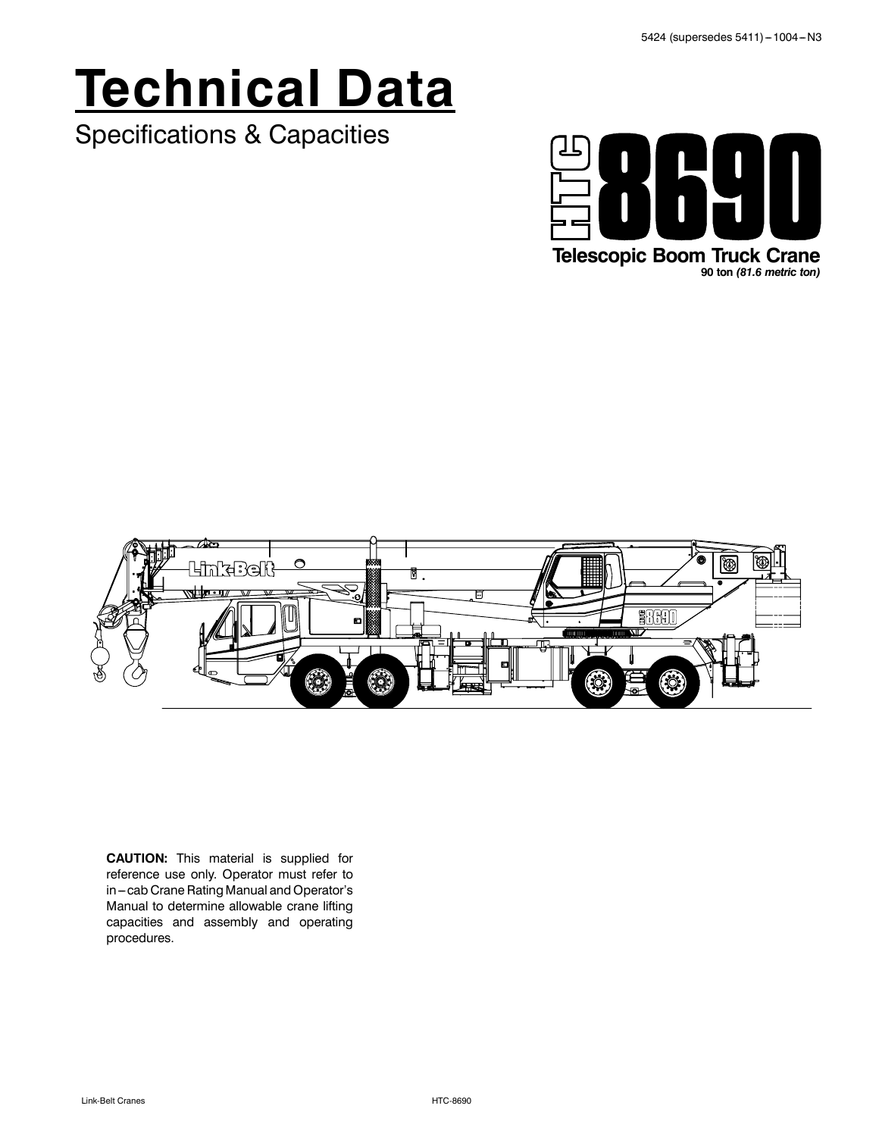# **Technical Data**

Specifications & Capacities



**90 ton** *(81.6 metric ton)*



**CAUTION:** This material is supplied for reference use only. Operator must refer to in-cab Crane Rating Manual and Operator's Manual to determine allowable crane lifting capacities and assembly and operating procedures.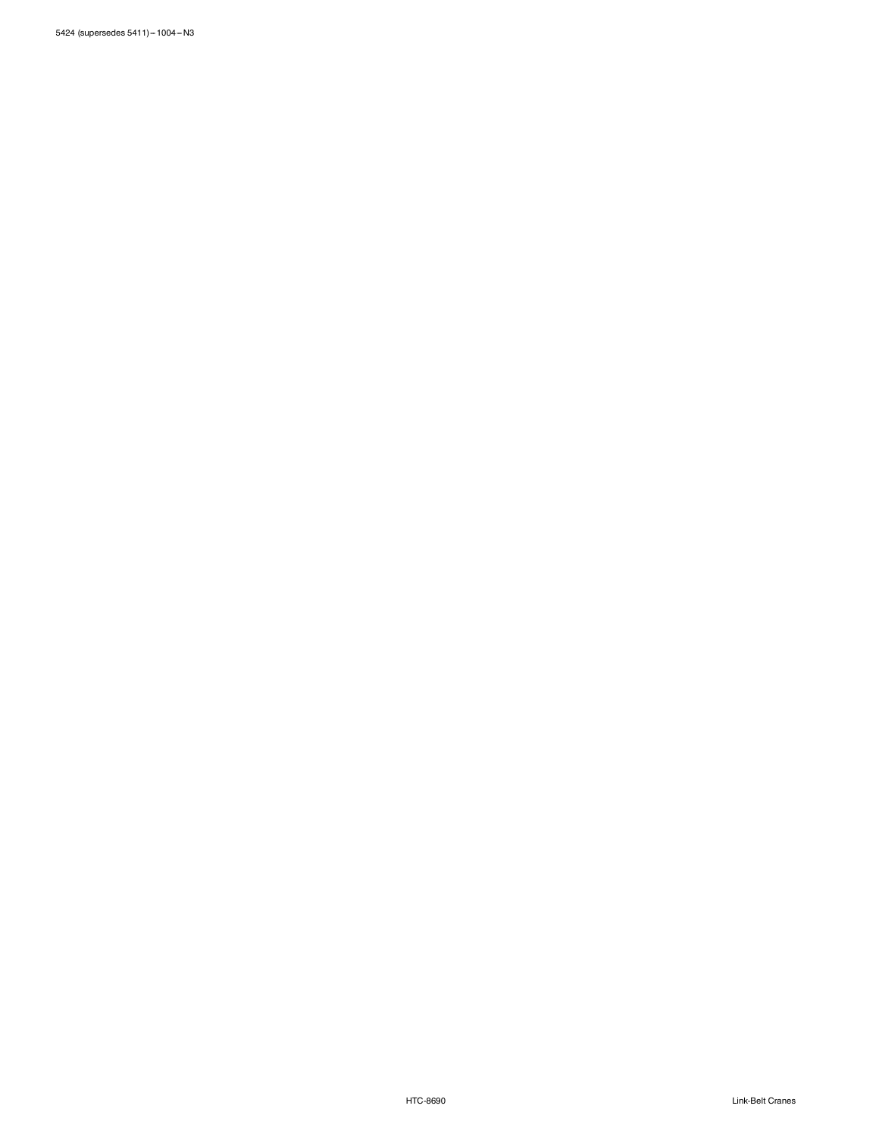5424 (supersedes 5411) - 1004 - N3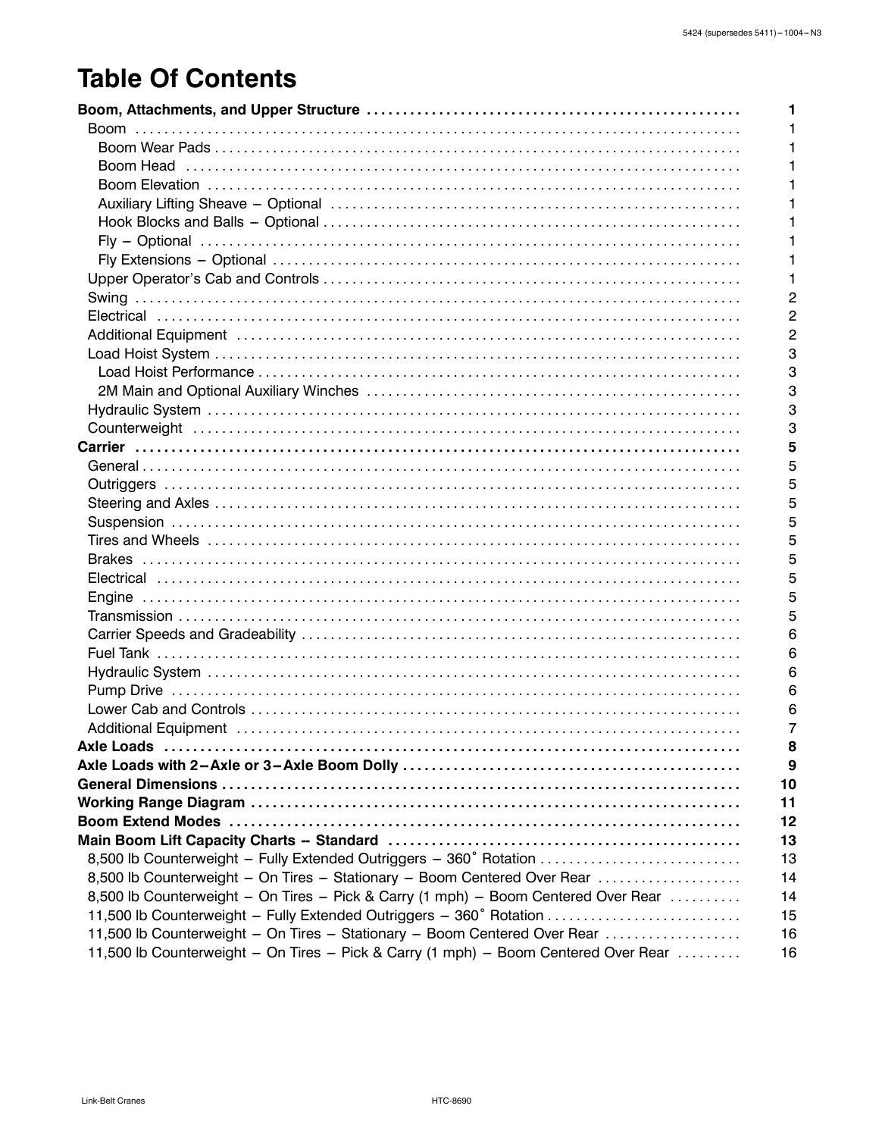# **Table Of Contents**

|                                                                                     | 1              |
|-------------------------------------------------------------------------------------|----------------|
|                                                                                     | 1              |
|                                                                                     |                |
|                                                                                     |                |
|                                                                                     |                |
|                                                                                     |                |
|                                                                                     | 1              |
|                                                                                     |                |
|                                                                                     | 1              |
|                                                                                     | $\overline{c}$ |
|                                                                                     | 2              |
|                                                                                     | $\overline{2}$ |
|                                                                                     | 3              |
|                                                                                     | 3              |
|                                                                                     | 3              |
|                                                                                     |                |
|                                                                                     | 3              |
|                                                                                     | 3              |
|                                                                                     | 5              |
|                                                                                     | 5              |
|                                                                                     | 5              |
|                                                                                     | 5              |
|                                                                                     | 5              |
|                                                                                     | 5              |
|                                                                                     | 5              |
|                                                                                     | 5              |
|                                                                                     | 5              |
|                                                                                     | 5              |
|                                                                                     | 6              |
|                                                                                     | 6              |
|                                                                                     | 6              |
|                                                                                     | 6              |
|                                                                                     | 6              |
|                                                                                     | 7              |
| Axle Loads                                                                          | 8              |
|                                                                                     | 9              |
|                                                                                     | 10             |
|                                                                                     | 11             |
|                                                                                     | 12             |
|                                                                                     | 13             |
| 8,500 lb Counterweight - Fully Extended Outriggers - 360° Rotation                  | 13             |
| 8,500 lb Counterweight - On Tires - Stationary - Boom Centered Over Rear            | 14             |
| 8,500 lb Counterweight - On Tires - Pick & Carry (1 mph) - Boom Centered Over Rear  | 14             |
| 11,500 lb Counterweight - Fully Extended Outriggers - 360° Rotation                 | 15             |
| 11,500 lb Counterweight - On Tires - Stationary - Boom Centered Over Rear           | 16             |
| 11,500 lb Counterweight - On Tires - Pick & Carry (1 mph) - Boom Centered Over Rear | 16             |
|                                                                                     |                |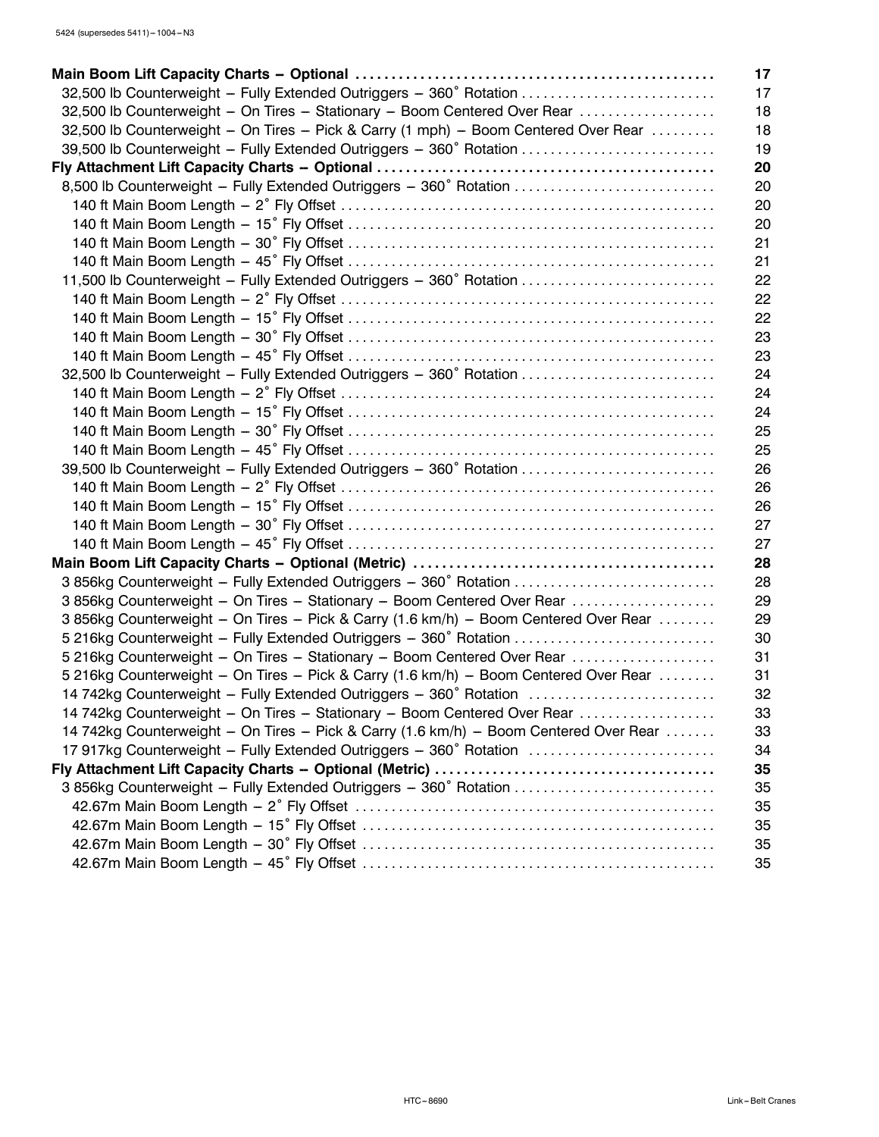|                                                                                       | 17 |
|---------------------------------------------------------------------------------------|----|
| 32,500 lb Counterweight - Fully Extended Outriggers - 360° Rotation                   | 17 |
| 32,500 lb Counterweight - On Tires - Stationary - Boom Centered Over Rear             | 18 |
| 32,500 lb Counterweight - On Tires - Pick & Carry (1 mph) - Boom Centered Over Rear   | 18 |
| 39,500 lb Counterweight - Fully Extended Outriggers - 360° Rotation                   | 19 |
|                                                                                       | 20 |
| 8,500 lb Counterweight - Fully Extended Outriggers - 360° Rotation                    | 20 |
|                                                                                       | 20 |
|                                                                                       | 20 |
|                                                                                       | 21 |
|                                                                                       | 21 |
| 11,500 lb Counterweight - Fully Extended Outriggers - 360° Rotation                   | 22 |
|                                                                                       | 22 |
|                                                                                       | 22 |
|                                                                                       | 23 |
|                                                                                       | 23 |
| 32,500 lb Counterweight - Fully Extended Outriggers - 360° Rotation                   | 24 |
|                                                                                       | 24 |
|                                                                                       | 24 |
|                                                                                       | 25 |
|                                                                                       | 25 |
| 39,500 lb Counterweight - Fully Extended Outriggers - 360° Rotation                   | 26 |
|                                                                                       | 26 |
|                                                                                       | 26 |
|                                                                                       | 27 |
|                                                                                       | 27 |
|                                                                                       | 28 |
| 3856kg Counterweight - Fully Extended Outriggers - 360° Rotation                      | 28 |
| 3 856kg Counterweight - On Tires - Stationary - Boom Centered Over Rear               | 29 |
| 3 856kg Counterweight - On Tires - Pick & Carry (1.6 km/h) - Boom Centered Over Rear  | 29 |
| 5 216kg Counterweight - Fully Extended Outriggers - 360° Rotation                     | 30 |
| 5 216kg Counterweight - On Tires - Stationary - Boom Centered Over Rear               | 31 |
| 5 216kg Counterweight - On Tires - Pick & Carry (1.6 km/h) - Boom Centered Over Rear  | 31 |
| 14 742kg Counterweight - Fully Extended Outriggers - 360° Rotation                    | 32 |
| 14 742kg Counterweight - On Tires - Stationary - Boom Centered Over Rear              | 33 |
| 14 742kg Counterweight - On Tires - Pick & Carry (1.6 km/h) - Boom Centered Over Rear | 33 |
| 17 917kg Counterweight - Fully Extended Outriggers - 360° Rotation                    | 34 |
|                                                                                       | 35 |
| 3 856kg Counterweight - Fully Extended Outriggers - 360° Rotation                     | 35 |
|                                                                                       | 35 |
|                                                                                       | 35 |
|                                                                                       | 35 |
|                                                                                       | 35 |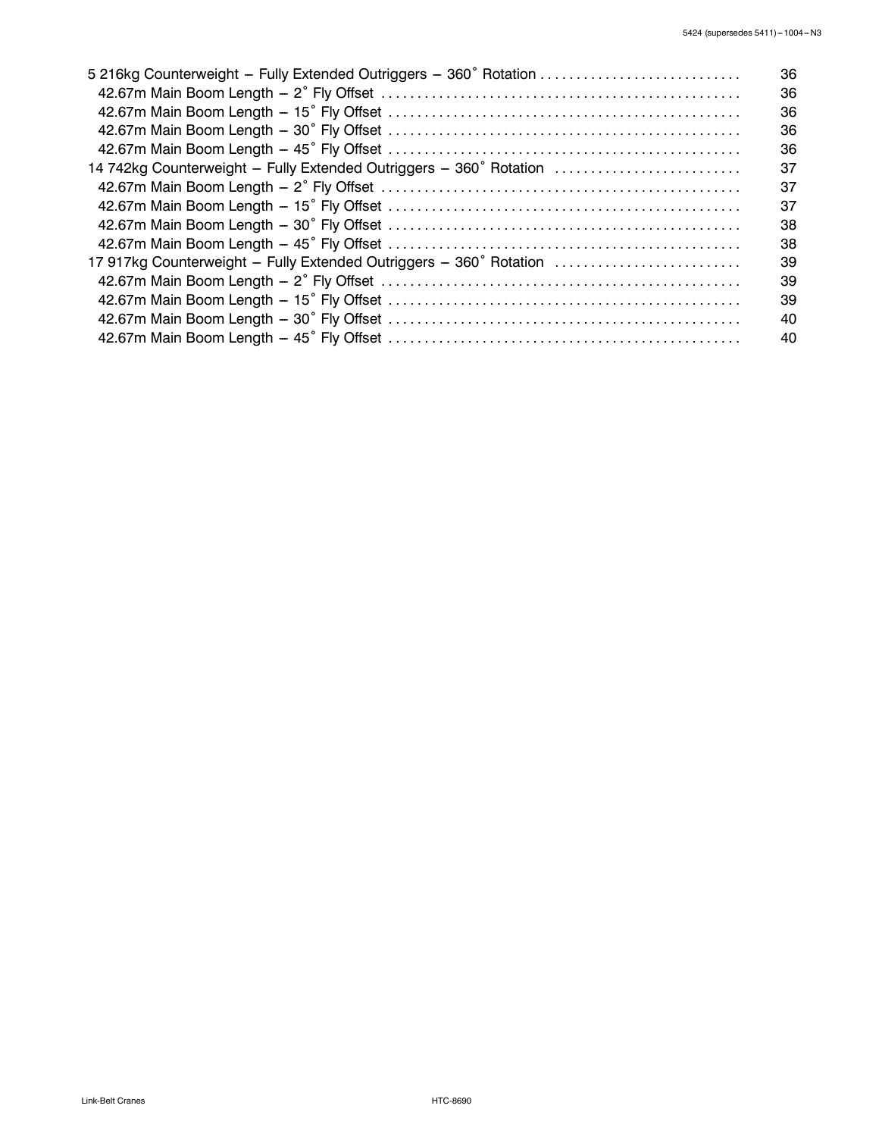| 5 216kg Counterweight - Fully Extended Outriggers - 360° Rotation  | 36 |
|--------------------------------------------------------------------|----|
|                                                                    | 36 |
|                                                                    | 36 |
|                                                                    | 36 |
|                                                                    | 36 |
| 14 742kg Counterweight - Fully Extended Outriggers - 360° Rotation | 37 |
|                                                                    | 37 |
|                                                                    | 37 |
|                                                                    | 38 |
|                                                                    | 38 |
| 17 917kg Counterweight - Fully Extended Outriggers - 360° Rotation | 39 |
|                                                                    | 39 |
|                                                                    | 39 |
|                                                                    | 40 |
|                                                                    | 40 |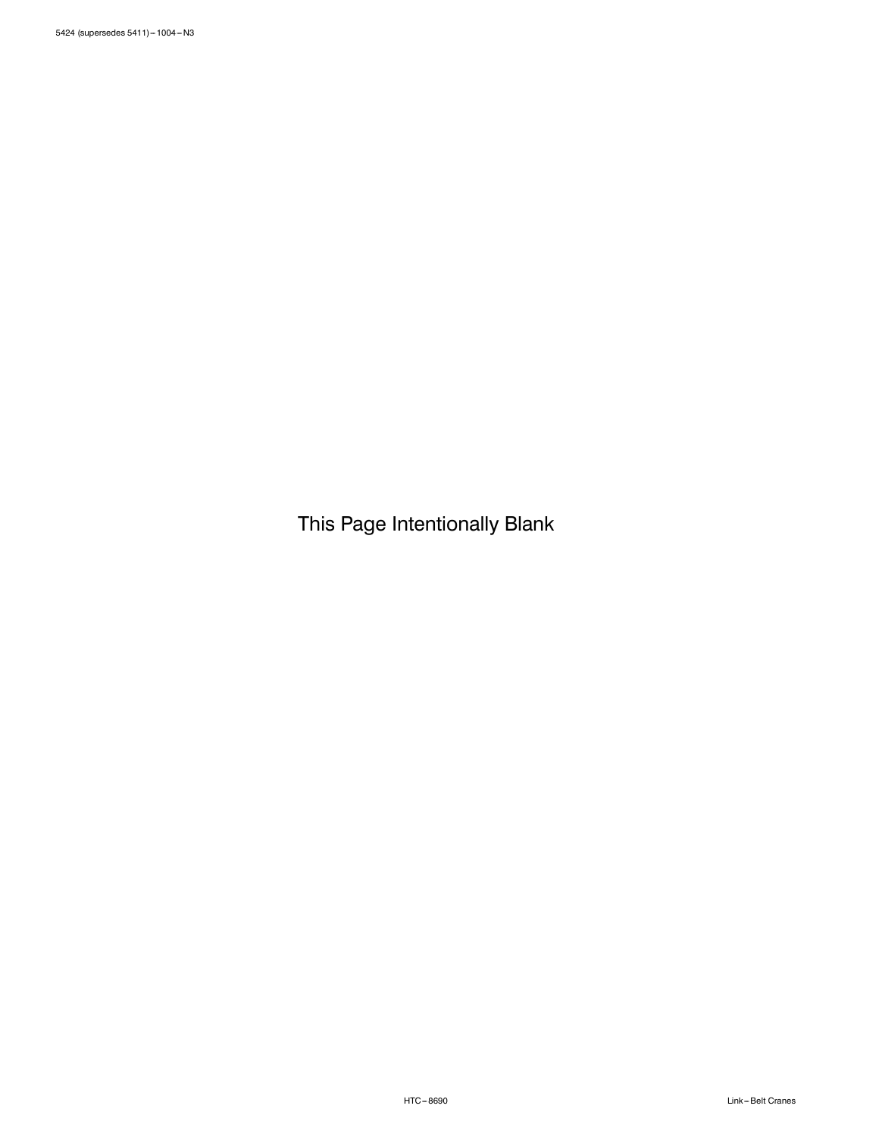This Page Intentionally Blank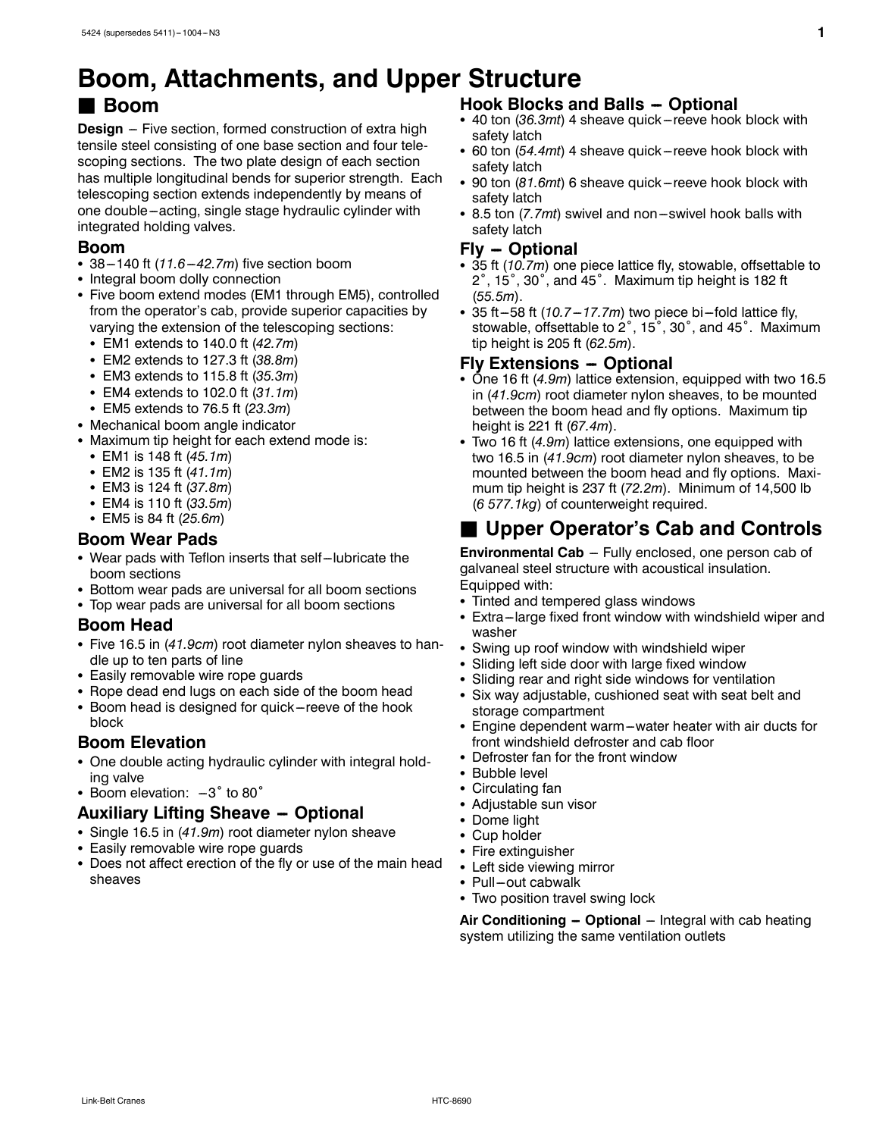# **Boom, Attachments, and Upper Structure**

### J **Boom**

**Design** -- Five section, formed construction of extra high tensile steel consisting of one base section and four telescoping sections. The two plate design of each section has multiple longitudinal bends for superior strength. Each telescoping section extends independently by means of one double-acting, single stage hydraulic cylinder with integrated holding valves.

#### **Boom**

- $\cdot$  38 140 ft (11.6 42.7m) five section boom
- Integral boom dolly connection
- Five boom extend modes (EM1 through EM5), controlled from the operator's cab, provide superior capacities by varying the extension of the telescoping sections:
	- EM1 extends to 140.0 ft (42.7*m*)
	- EM2 extends to 127.3 ft (38.8m)
	- EM3 extends to 115.8 ft (35.3m)
	- EM4 extends to 102.0 ft (31.1m)
	- EM5 extends to 76.5 ft (23.3m)
- Mechanical boom angle indicator
- Maximum tip height for each extend mode is:
	- EM1 is 148 ft (45.1m)
	- EM2 is 135 ft (41.1m)
	- EM3 is 124 ft (37.8m)
	- EM4 is 110 ft (33.5m)
	- EM5 is 84 ft (25.6m)

#### **Boom Wear Pads**

- Wear pads with Teflon inserts that self-lubricate the boom sections
- Bottom wear pads are universal for all boom sections
- Top wear pads are universal for all boom sections

### **Boom Head**

- Five 16.5 in (41.9cm) root diameter nylon sheaves to handle up to ten parts of line
- Easily removable wire rope guards
- Rope dead end lugs on each side of the boom head
- Boom head is designed for quick-reeve of the hook block

### **Boom Elevation**

- One double acting hydraulic cylinder with integral holding valve
- $\bullet$  Boom elevation:  $-3°$  to 80°

### **Auxiliary Lifting Sheave - Optional**

- Single 16.5 in (41.9m) root diameter nylon sheave
- Easily removable wire rope quards
- Does not affect erection of the fly or use of the main head sheaves

### **Hook Blocks and Balls - Optional**

- 40 ton (36.3mt) 4 sheave quick-reeve hook block with safety latch
- 60 ton (54.4mt) 4 sheave quick-reeve hook block with safety latch
- 90 ton (81.6mt) 6 sheave quick-reeve hook block with safety latch
- 8.5 ton (7.7mt) swivel and non-swivel hook balls with safety latch

### **Fly - Optional**

- 35 ft (10.7m) one piece lattice fly, stowable, offsettable to 2˚, 15˚, 30˚, and 45˚. Maximum tip height is 182 ft (*55.5m*).
- $\cdot$  35 ft -58 ft (10.7 17.7m) two piece bi -fold lattice fly, stowable, offsettable to 2˚, 15˚, 30˚, and 45˚. Maximum tip height is 205 ft (*62.5m*).

### **Fly Extensions - Optional**

- One 16 ft (4.9m) lattice extension, equipped with two 16.5 in (*41.9cm*) root diameter nylon sheaves, to be mounted between the boom head and fly options. Maximum tip height is 221 ft (*67.4m*).
- Two 16 ft (4.9m) lattice extensions, one equipped with two 16.5 in (*41.9cm*) root diameter nylon sheaves, to be mounted between the boom head and fly options. Maximum tip height is 237 ft (*72.2m*). Minimum of 14,500 lb (*6 577.1kg*) of counterweight required.

### ■ Upper Operator's Cab and Controls

**Environmental Cab** - Fully enclosed, one person cab of galvaneal steel structure with acoustical insulation. Equipped with:

- Tinted and tempered glass windows
- Extra-large fixed front window with windshield wiper and washer
- Swing up roof window with windshield wiper
- Sliding left side door with large fixed window
- Sliding rear and right side windows for ventilation
- Six way adjustable, cushioned seat with seat belt and storage compartment
- Engine dependent warm-water heater with air ducts for front windshield defroster and cab floor
- Defroster fan for the front window
- Bubble level
- Circulating fan
- Adjustable sun visor
- Dome light
- Cup holder
- Fire extinguisher
- Left side viewing mirror
- Pull-out cabwalk
- Two position travel swing lock

**Air Conditioning - Optional** - Integral with cab heating system utilizing the same ventilation outlets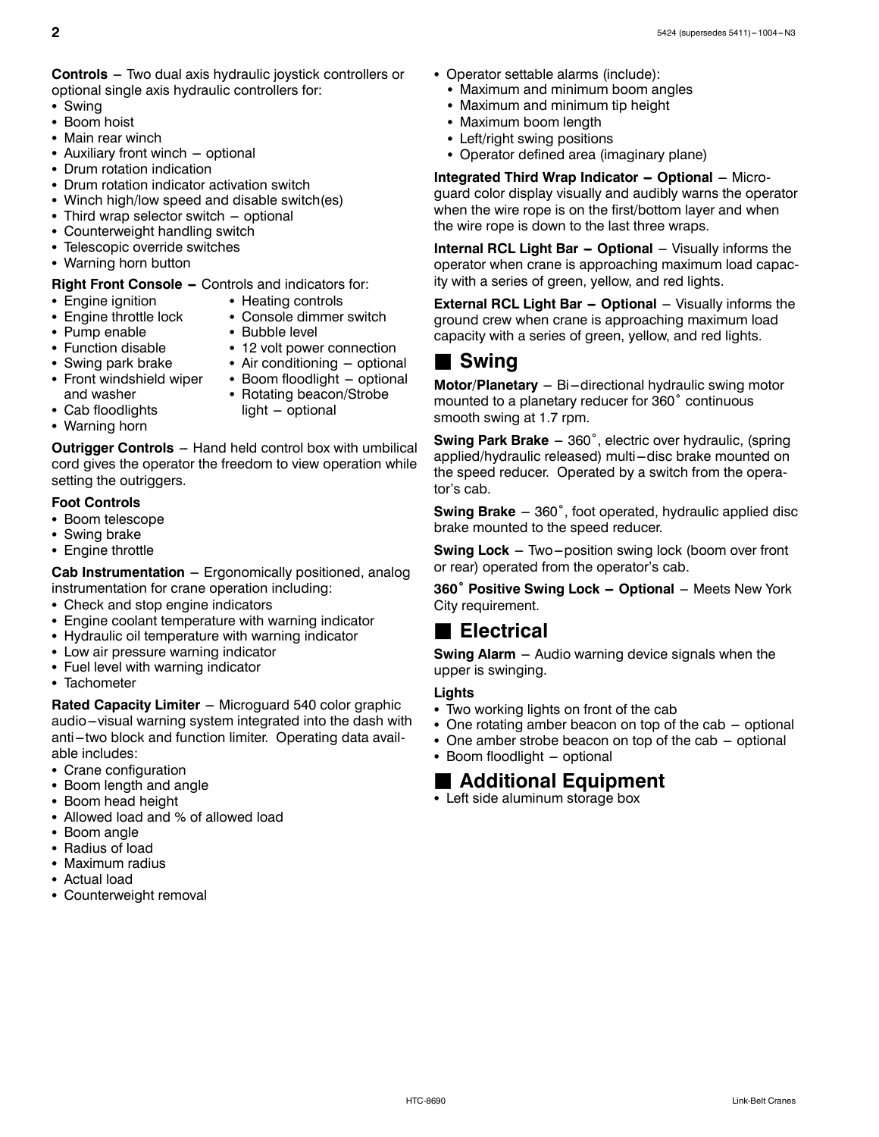**Controls** - Two dual axis hydraulic joystick controllers or optional single axis hydraulic controllers for:

- Swina
- Boom hoist
- Main rear winch
- $\bullet$  Auxiliary front winch  $-$  optional
- Drum rotation indication
- Drum rotation indicator activation switch
- Winch high/low speed and disable switch(es)
- Third wrap selector switch  $-$  optional
- Counterweight handling switch
- Telescopic override switches
- Warning horn button

#### **Right Front Console - Controls and indicators for:**

- Engine ignition Heating controls
- Engine throttle lock Console dimmer switch
- S Pump enable S Bubble level
- Function disable 12 volt power connection
- Swing park brake  $\bullet$  Air conditioning  $-$  optional
	-
- Front windshield wiper Boom floodlight -- optional
- 
- and washer **Conservant Conservant Conservant** Point Point Conservation Conservation Conservation Conservation Co • Cab floodlights light --- optional
- Warning horn

**Outrigger Controls** -- Hand held control box with umbilical cord gives the operator the freedom to view operation while

#### **Foot Controls**

• Boom telescope

setting the outriggers.

- Swing brake
- Engine throttle

**Cab Instrumentation** -- Ergonomically positioned, analog instrumentation for crane operation including:

- Check and stop engine indicators
- Engine coolant temperature with warning indicator
- Hydraulic oil temperature with warning indicator
- Low air pressure warning indicator
- Fuel level with warning indicator
- Tachometer

**Rated Capacity Limiter** - Microguard 540 color graphic audio-visual warning system integrated into the dash with anti-two block and function limiter. Operating data available includes:

- Crane configuration
- Boom length and angle
- Boom head height
- Allowed load and % of allowed load
- Boom angle
- Radius of load
- Maximum radius
- Actual load
- Counterweight removal
- Operator settable alarms (include):
	- Maximum and minimum boom angles
	- Maximum and minimum tip height
	- Maximum boom length
	- Left/right swing positions
	- Operator defined area (imaginary plane)

**Integrated Third Wrap Indicator - Optional -- Micro**guard color display visually and audibly warns the operator when the wire rope is on the first/bottom layer and when the wire rope is down to the last three wraps.

**Internal RCL Light Bar - Optional** -- Visually informs the operator when crane is approaching maximum load capacity with a series of green, yellow, and red lights.

**External RCL Light Bar - Optional** -- Visually informs the ground crew when crane is approaching maximum load capacity with a series of green, yellow, and red lights.

### **■ Swing**

**Motor/Planetary** -- Bi--directional hydraulic swing motor mounted to a planetary reducer for 360˚ continuous smooth swing at 1.7 rpm.

**Swing Park Brake** - 360°, electric over hydraulic, (spring applied/hydraulic released) multi-disc brake mounted on the speed reducer. Operated by a switch from the operator's cab.

**Swing Brake** - 360°, foot operated, hydraulic applied disc brake mounted to the speed reducer.

**Swing Lock** -- Two--position swing lock (boom over front or rear) operated from the operator's cab.

**360° Positive Swing Lock - Optional** -- Meets New York City requirement.

### **Electrical**

**Swing Alarm** - Audio warning device signals when the upper is swinging.

#### **Lights**

- Two working lights on front of the cab
- $\bullet$  One rotating amber beacon on top of the cab  $-$  optional
- $\bullet$  One amber strobe beacon on top of the cab  $-$  optional
- $\bullet$  Boom floodlight  $-$  optional

### **Additional Equipment**

• Left side aluminum storage box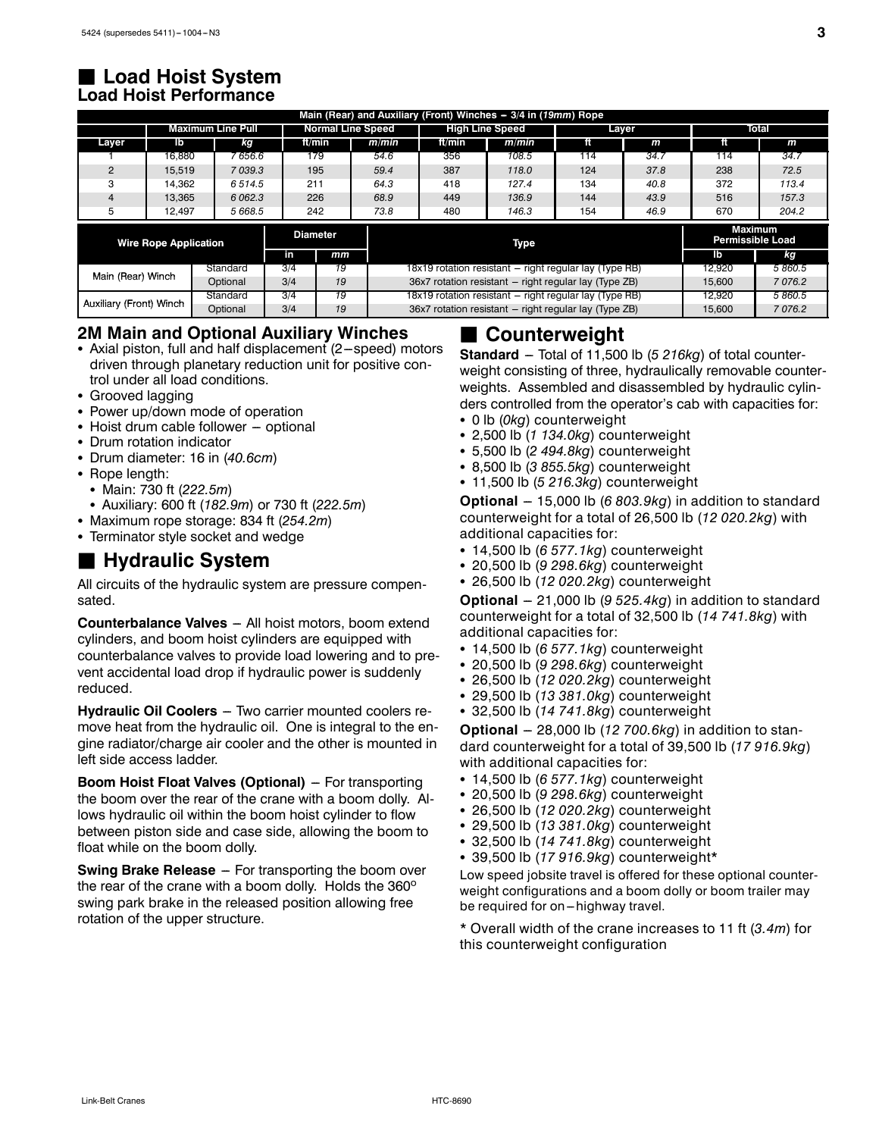### ■ Load Hoist System **Load Hoist Performance**

| Main (Rear) and Auxiliary (Front) Winches - 3/4 in (19mm) Rope |                                        |          |     |        |       |                                                       |                                                        |                                                        |      |        |        |  |
|----------------------------------------------------------------|----------------------------------------|----------|-----|--------|-------|-------------------------------------------------------|--------------------------------------------------------|--------------------------------------------------------|------|--------|--------|--|
|                                                                | Normal Line Speed<br>Maximum Line Pull |          |     |        |       |                                                       | <b>High Line Speed</b>                                 |                                                        |      | Total  |        |  |
| Layer                                                          | lb                                     | kg       |     | ft/min | m/min | ft/min<br>m/min                                       |                                                        |                                                        | m    | π      | m      |  |
|                                                                | 16.880                                 | 7 656.6  |     | 179    | 54.6  | 356                                                   | 108.5                                                  | 114                                                    | 34.7 | 114    | 34.7   |  |
| $\overline{2}$                                                 | 15.519                                 | 7 039.3  |     | 195    | 59.4  | 387                                                   | 118.0                                                  | 124                                                    | 37.8 | 238    | 72.5   |  |
| 3                                                              | 14.362                                 | 6514.5   |     | 211    | 64.3  | 418                                                   | 127.4                                                  | 134                                                    | 40.8 | 372    | 113.4  |  |
| $\overline{4}$                                                 | 13.365                                 | 6 062.3  |     | 226    | 68.9  | 449                                                   | 136.9                                                  | 144                                                    | 43.9 | 516    | 157.3  |  |
| 5                                                              | 12.497                                 | 5 668.5  |     | 242    | 73.8  | 480                                                   | 146.3                                                  | 154                                                    | 46.9 | 670    | 204.2  |  |
| <b>Diameter</b><br><b>Wire Rope Application</b>                |                                        |          |     |        |       |                                                       |                                                        | Maximum<br><b>Permissible Load</b>                     |      |        |        |  |
|                                                                |                                        |          | in  | mm     |       |                                                       |                                                        | lb                                                     | kg   |        |        |  |
|                                                                |                                        | Standard | 3/4 | 19     |       |                                                       | 18x19 rotation resistant - right regular lay (Type RB) |                                                        |      | 12.920 | 5860.5 |  |
| Main (Rear) Winch                                              |                                        | Optional | 3/4 | 19     |       | 36x7 rotation resistant - right regular lay (Type ZB) |                                                        |                                                        |      |        | 7076.2 |  |
|                                                                |                                        | Standard | 3/4 | 19     |       |                                                       |                                                        | 18x19 rotation resistant - right regular lay (Type RB) |      | 12,920 | 5860.5 |  |
| Auxiliary (Front) Winch                                        |                                        | Optional | 3/4 | 19     |       |                                                       | 36x7 rotation resistant - right regular lay (Type ZB)  |                                                        |      | 15.600 | 7076.2 |  |

#### **2M Main and Optional Auxiliary Winches**

- Axial piston, full and half displacement (2-speed) motors driven through planetary reduction unit for positive control under all load conditions.
- Grooved lagging
- Power up/down mode of operation
- $\bullet$  Hoist drum cable follower  $-$  optional
- Drum rotation indicator
- Drum diameter: 16 in (40.6cm)
- Rope length:
	- Main: 730 ft (222.5m)
	- S Auxiliary: 600 ft (*182.9m*) or 730 ft (*222.5m*)
- Maximum rope storage: 834 ft (254.2m)
- Terminator style socket and wedge

### J **Hydraulic System**

All circuits of the hydraulic system are pressure compensated.

**Counterbalance Valves** -- All hoist motors, boom extend cylinders, and boom hoist cylinders are equipped with counterbalance valves to provide load lowering and to prevent accidental load drop if hydraulic power is suddenly reduced.

**Hydraulic Oil Coolers** - Two carrier mounted coolers remove heat from the hydraulic oil. One is integral to the engine radiator/charge air cooler and the other is mounted in left side access ladder.

**Boom Hoist Float Valves (Optional)** -- For transporting the boom over the rear of the crane with a boom dolly. Allows hydraulic oil within the boom hoist cylinder to flow between piston side and case side, allowing the boom to float while on the boom dolly.

**Swing Brake Release** - For transporting the boom over the rear of the crane with a boom dolly. Holds the 360º swing park brake in the released position allowing free rotation of the upper structure.

### ■ Counterweight

**Standard** - Total of 11,500 lb (5 216kg) of total counterweight consisting of three, hydraulically removable counterweights. Assembled and disassembled by hydraulic cylinders controlled from the operator's cab with capacities for:

- 0 lb (Okg) counterweight
- 2,500 lb (1 134.0kg) counterweight
- S 5,500 lb (*2 494.8kg*) counterweight
- S 8,500 lb (*3 855.5kg*) counterweight
- 11,500 lb (5 216.3kg) counterweight

**Optional** -- 15,000 lb (6 803.9kg) in addition to standard counterweight for a total of 26,500 lb (*12 020.2kg*) with additional capacities for:

- 14,500 lb (6 577.1kg) counterweight
- 20,500 lb (9 298.6kg) counterweight
- 26,500 lb (12 020.2kg) counterweight

**Optional** - 21,000 lb (9 525.4kg) in addition to standard counterweight for a total of 32,500 lb (*14 741.8kg*) with additional capacities for:

- $\cdot$  14,500 lb (6 577.1kg) counterweight
- S 20,500 lb (*9 298.6kg*) counterweight
- $\cdot$  26,500 lb (12 020.2kg) counterweight
- S 29,500 lb (*13 381.0kg*) counterweight
- S 32,500 lb (*14 741.8kg*) counterweight

**Optional**  $-28,000$  lb (12 700.6kg) in addition to standard counterweight for a total of 39,500 lb (*17 916.9kg*) with additional capacities for:

- 14,500 lb (6 577.1kg) counterweight
- 20,500 lb (9 298.6kg) counterweight
- 26,500 lb (12 020.2kg) counterweight
- S 29,500 lb (*13 381.0kg*) counterweight
- S 32,500 lb (*14 741.8kg*) counterweight
- S 39,500 lb (*17 916.9kg*) counterweight\*

Low speed jobsite travel is offered for these optional counterweight configurations and a boom dolly or boom trailer may be required for on-highway travel.

\* Overall width of the crane increases to 11 ft (*3.4m*) for this counterweight configuration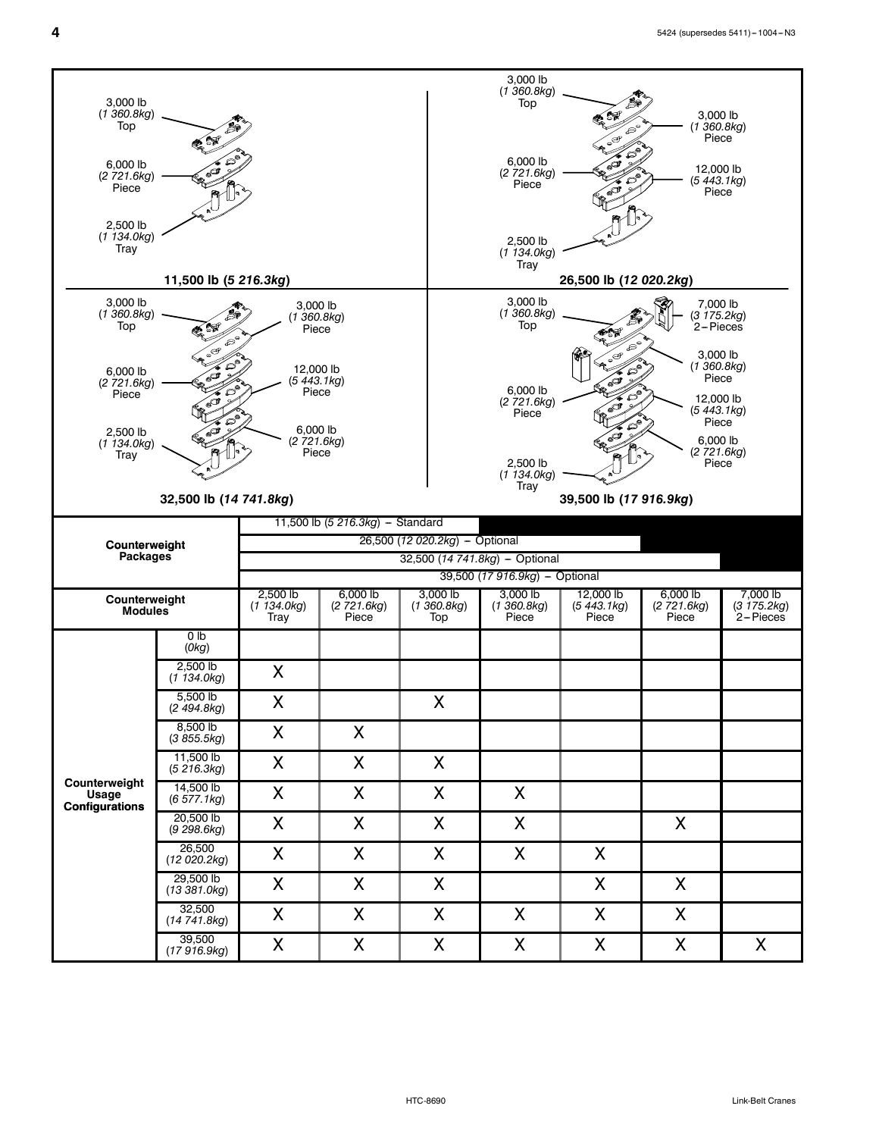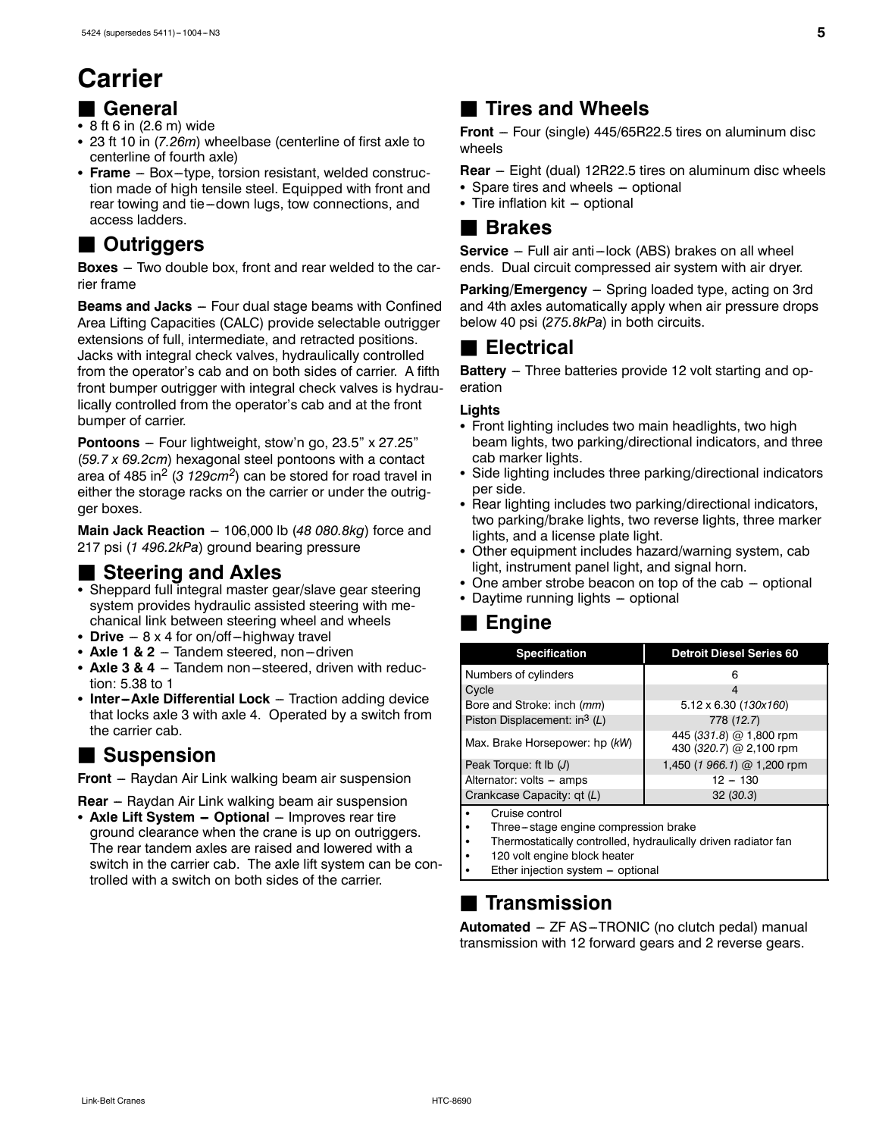# **Carrier**

#### J **General**  $\bullet$  8 ft 6 in (2.6 m) wide

- 23 ft 10 in (7.26m) wheelbase (centerline of first axle to centerline of fourth axle)
- Frame -- Box-type, torsion resistant, welded construction made of high tensile steel. Equipped with front and rear towing and tie-down lugs, tow connections, and access ladders.

### **N** Outriggers

**Boxes** - Two double box, front and rear welded to the carrier frame

**Beams and Jacks** -- Four dual stage beams with Confined Area Lifting Capacities (CALC) provide selectable outrigger extensions of full, intermediate, and retracted positions. Jacks with integral check valves, hydraulically controlled from the operator's cab and on both sides of carrier. A fifth front bumper outrigger with integral check valves is hydraulically controlled from the operator's cab and at the front bumper of carrier.

**Pontoons** -- Four lightweight, stow'n go, 23.5" x 27.25" (*59.7 x 69.2cm*) hexagonal steel pontoons with a contact area of 485 in<sup>2</sup> (*3 129cm2*) can be stored for road travel in either the storage racks on the carrier or under the outrigger boxes.

**Main Jack Reaction** -- 106,000 lb (48 080.8kg) force and 217 psi (*1 496.2kPa*) ground bearing pressure

### **■ Steering and Axles**

- Sheppard full integral master gear/slave gear steering system provides hydraulic assisted steering with mechanical link between steering wheel and wheels
- Drive  $-8 \times 4$  for on/off-highway travel
- Axle 1 & 2 Tandem steered, non-driven
- $\bullet$  Axle 3 & 4  $-$  Tandem non  $-$  steered, driven with reduction: 5.38 to 1
- Inter-Axle Differential Lock Traction adding device that locks axle 3 with axle 4. Operated by a switch from the carrier cab.

### **Suspension**

**Front** -- Raydan Air Link walking beam air suspension

- **Rear** -- Raydan Air Link walking beam air suspension
- Axle Lift System Optional -- Improves rear tire ground clearance when the crane is up on outriggers. The rear tandem axles are raised and lowered with a switch in the carrier cab. The axle lift system can be controlled with a switch on both sides of the carrier.

### ■ Tires and Wheels

**Front** - Four (single) 445/65R22.5 tires on aluminum disc wheels

**Rear** -- Eight (dual) 12R22.5 tires on aluminum disc wheels • Spare tires and wheels -- optional

 $\bullet$  Tire inflation kit  $-$  optional

### **■ Brakes**

**Service** -- Full air anti -- lock (ABS) brakes on all wheel ends. Dual circuit compressed air system with air dryer.

**Parking/Emergency** -- Spring loaded type, acting on 3rd and 4th axles automatically apply when air pressure drops below 40 psi (*275.8kPa*) in both circuits.

### $\blacksquare$  Electrical

**Battery** - Three batteries provide 12 volt starting and operation

#### **Lights**

- Front lighting includes two main headlights, two high beam lights, two parking/directional indicators, and three cab marker lights.
- Side lighting includes three parking/directional indicators per side.
- Rear lighting includes two parking/directional indicators, two parking/brake lights, two reverse lights, three marker lights, and a license plate light.
- Other equipment includes hazard/warning system, cab light, instrument panel light, and signal horn.
- One amber strobe beacon on top of the cab optional
- Daytime running lights  $-$  optional

### **■ Engine**

| <b>Specification</b>                       | <b>Detroit Diesel Series 60</b>                    |
|--------------------------------------------|----------------------------------------------------|
| Numbers of cylinders                       | 6                                                  |
| Cycle                                      | 4                                                  |
| Bore and Stroke: inch (mm)                 | 5.12 x 6.30 (130x160)                              |
| Piston Displacement: in <sup>3</sup> $(L)$ | 778 (12.7)                                         |
| Max. Brake Horsepower: hp (kW)             | 445 (331.8) @ 1,800 rpm<br>430 (320.7) @ 2,100 rpm |
| Peak Torque: ft $ b \rangle$ (J)           | 1,450 (1 966.1) @ 1,200 rpm                        |
| Alternator: volts - amps                   | $12 - 130$                                         |
| Crankcase Capacity: qt (L)                 | 32(30.3)                                           |
| Cruise control                             |                                                    |

• Cruise control

- Three-stage engine compression brake
- Thermostatically controlled, hydraulically driven radiator fan
- 120 volt engine block heater
- Ether injection system  $-$  optional

### $\blacksquare$  **Transmission**

Automated - ZF AS-TRONIC (no clutch pedal) manual transmission with 12 forward gears and 2 reverse gears.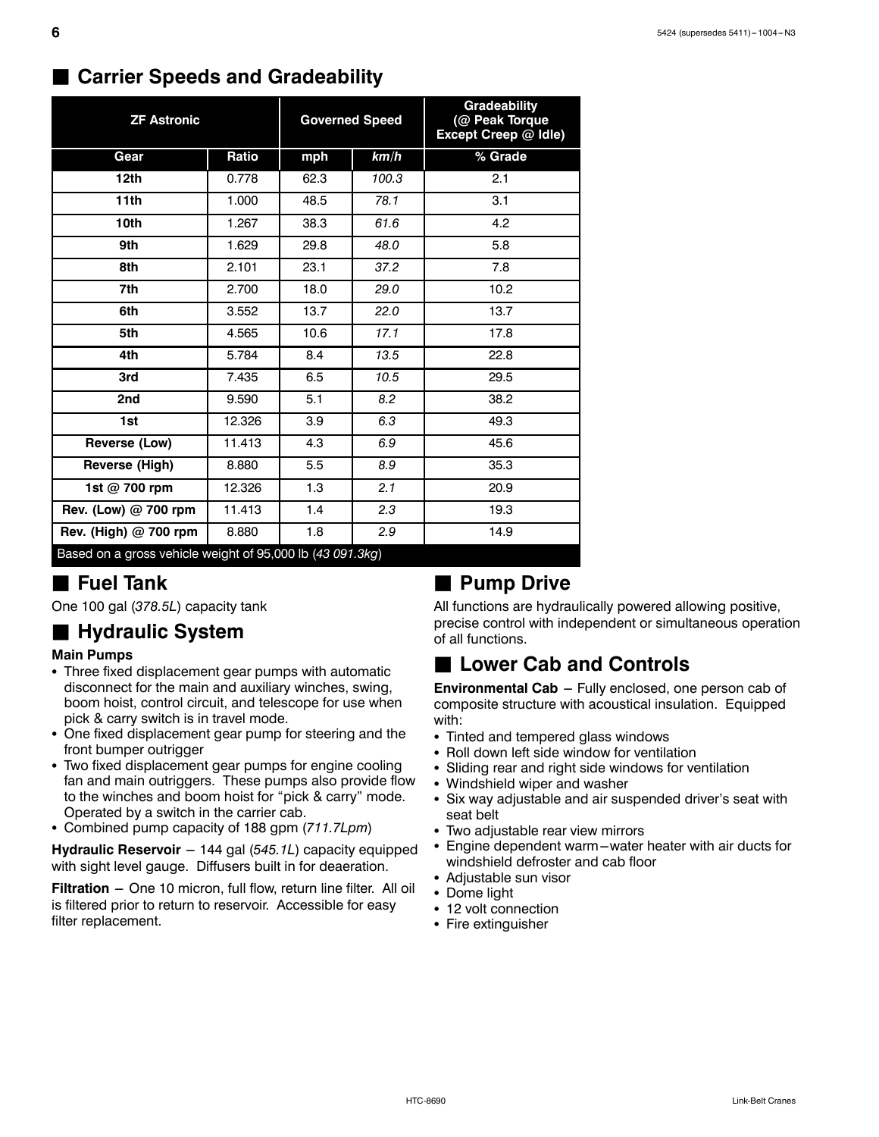### J **Carrier Speeds and Gradeability**

| <b>ZF Astronic</b>                                        |        |      | <b>Governed Speed</b> | Gradeability<br>(@ Peak Torque<br>Except Creep @ Idle) |  |  |
|-----------------------------------------------------------|--------|------|-----------------------|--------------------------------------------------------|--|--|
| Gear                                                      | Ratio  | mph  | km/h                  | % Grade                                                |  |  |
| 12 <sub>th</sub>                                          | 0.778  | 62.3 | 100.3                 | 2.1                                                    |  |  |
| 11th                                                      | 1.000  | 48.5 | 78.1                  | 3.1                                                    |  |  |
| 10th                                                      | 1.267  | 38.3 | 61.6                  | 4.2                                                    |  |  |
| 9th                                                       | 1.629  | 29.8 | 48.0                  | 5.8                                                    |  |  |
| 8th                                                       | 2.101  | 23.1 | 37.2                  | 7.8                                                    |  |  |
| 7th                                                       | 2.700  | 18.0 | 29.0                  | 10.2                                                   |  |  |
| 6th                                                       | 3.552  | 13.7 | 22.0                  | 13.7                                                   |  |  |
| 5th                                                       | 4.565  | 10.6 | 17.1                  | 17.8                                                   |  |  |
| 4th                                                       | 5.784  | 8.4  | 13.5                  | 22.8                                                   |  |  |
| 3rd                                                       | 7.435  | 6.5  | 10.5                  | 29.5                                                   |  |  |
| 2nd                                                       | 9.590  | 5.1  | 8.2                   | 38.2                                                   |  |  |
| 1st                                                       | 12.326 | 3.9  | 6.3                   | 49.3                                                   |  |  |
| Reverse (Low)                                             | 11.413 | 4.3  | 6.9                   | 45.6                                                   |  |  |
| Reverse (High)                                            | 8.880  | 5.5  | 8.9                   | 35.3                                                   |  |  |
| 1st @ 700 rpm                                             | 12.326 | 1.3  | 2.1                   | 20.9                                                   |  |  |
| Rev. (Low) @ 700 rpm                                      | 11.413 | 1.4  | 2.3                   | 19.3                                                   |  |  |
| Rev. (High) @ 700 rpm                                     | 8.880  | 1.8  | 2.9                   | 14.9                                                   |  |  |
| Based on a gross vehicle weight of 95,000 lb (43 091.3kg) |        |      |                       |                                                        |  |  |

### **Fuel Tank**

One 100 gal (*378.5L*) capacity tank

### **Hydraulic System**

#### **Main Pumps**

- Three fixed displacement gear pumps with automatic disconnect for the main and auxiliary winches, swing, boom hoist, control circuit, and telescope for use when pick & carry switch is in travel mode.
- One fixed displacement gear pump for steering and the front bumper outrigger
- Two fixed displacement gear pumps for engine cooling fan and main outriggers. These pumps also provide flow to the winches and boom hoist for "pick & carry" mode. Operated by a switch in the carrier cab.
- Combined pump capacity of 188 gpm (711.7Lpm)

**Hydraulic Reservoir** -- 144 gal (545.1L) capacity equipped with sight level gauge. Diffusers built in for deaeration.

**Filtration** -- One 10 micron, full flow, return line filter. All oil is filtered prior to return to reservoir. Accessible for easy filter replacement.

### **Pump Drive**

All functions are hydraulically powered allowing positive, precise control with independent or simultaneous operation of all functions.

### ■ Lower Cab and Controls

**Environmental Cab** -- Fully enclosed, one person cab of composite structure with acoustical insulation. Equipped with:

- Tinted and tempered glass windows
- Roll down left side window for ventilation
- Sliding rear and right side windows for ventilation
- Windshield wiper and washer
- Six way adjustable and air suspended driver's seat with seat belt
- Two adjustable rear view mirrors
- Engine dependent warm-water heater with air ducts for windshield defroster and cab floor
- Adjustable sun visor
- Dome light
- 12 volt connection
- Fire extinguisher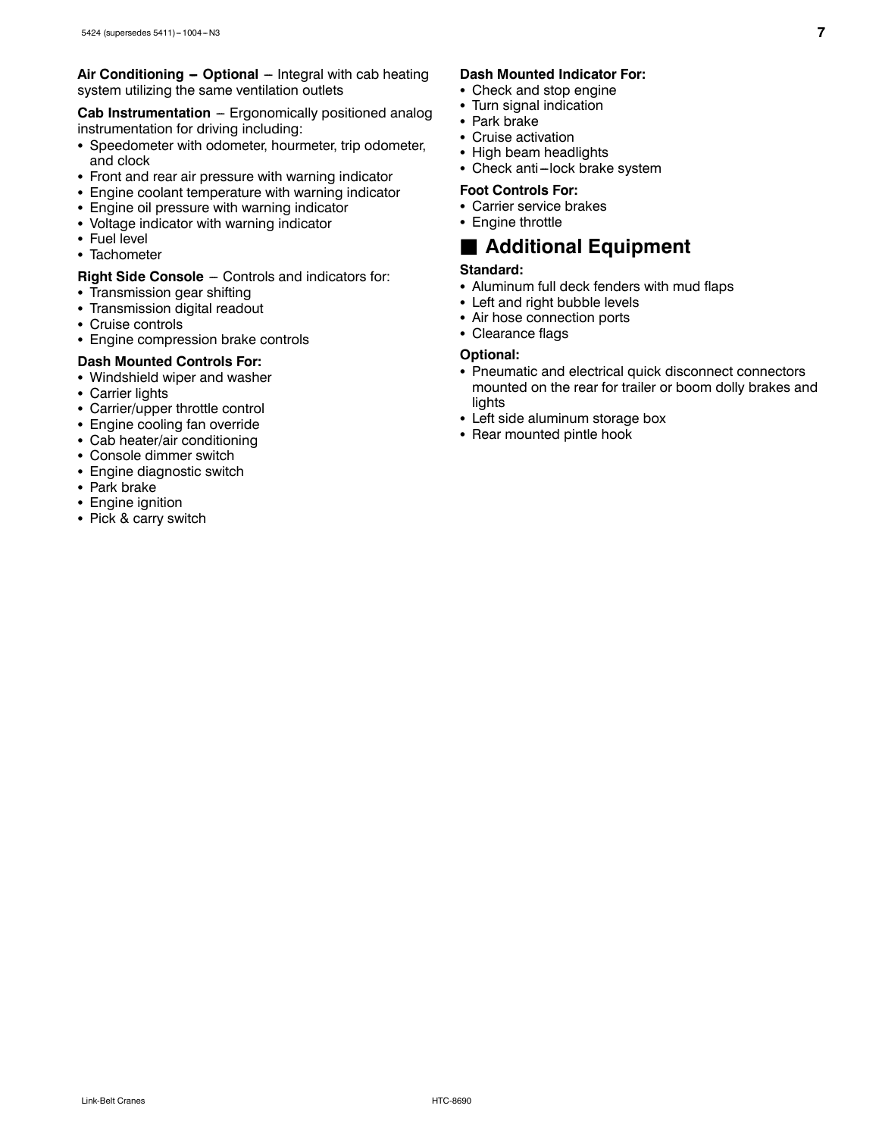**Air Conditioning - Optional** - Integral with cab heating system utilizing the same ventilation outlets

**Cab Instrumentation** -- Ergonomically positioned analog instrumentation for driving including:

- Speedometer with odometer, hourmeter, trip odometer, and clock
- Front and rear air pressure with warning indicator
- Engine coolant temperature with warning indicator
- Engine oil pressure with warning indicator
- Voltage indicator with warning indicator
- Fuel level
- Tachometer

#### **Right Side Console** - Controls and indicators for:

- Transmission gear shifting
- Transmission digital readout
- Cruise controls
- Engine compression brake controls

#### **Dash Mounted Controls For:**

- Windshield wiper and washer
- Carrier lights
- Carrier/upper throttle control
- Engine cooling fan override
- Cab heater/air conditioning
- Console dimmer switch
- Engine diagnostic switch
- Park brake
- Engine ignition
- Pick & carry switch

#### **Dash Mounted Indicator For:**

- Check and stop engine
- Turn signal indication
- Park brake • Cruise activation
- High beam headlights
- Check anti-lock brake system

#### **Foot Controls For:**

- Carrier service brakes
- Engine throttle

### **Additional Equipment**

#### **Standard:**

- Aluminum full deck fenders with mud flaps
- Left and right bubble levels
- Air hose connection ports
- Clearance flags

#### **Optional:**

- Pneumatic and electrical quick disconnect connectors mounted on the rear for trailer or boom dolly brakes and lights
- Left side aluminum storage box
- Rear mounted pintle hook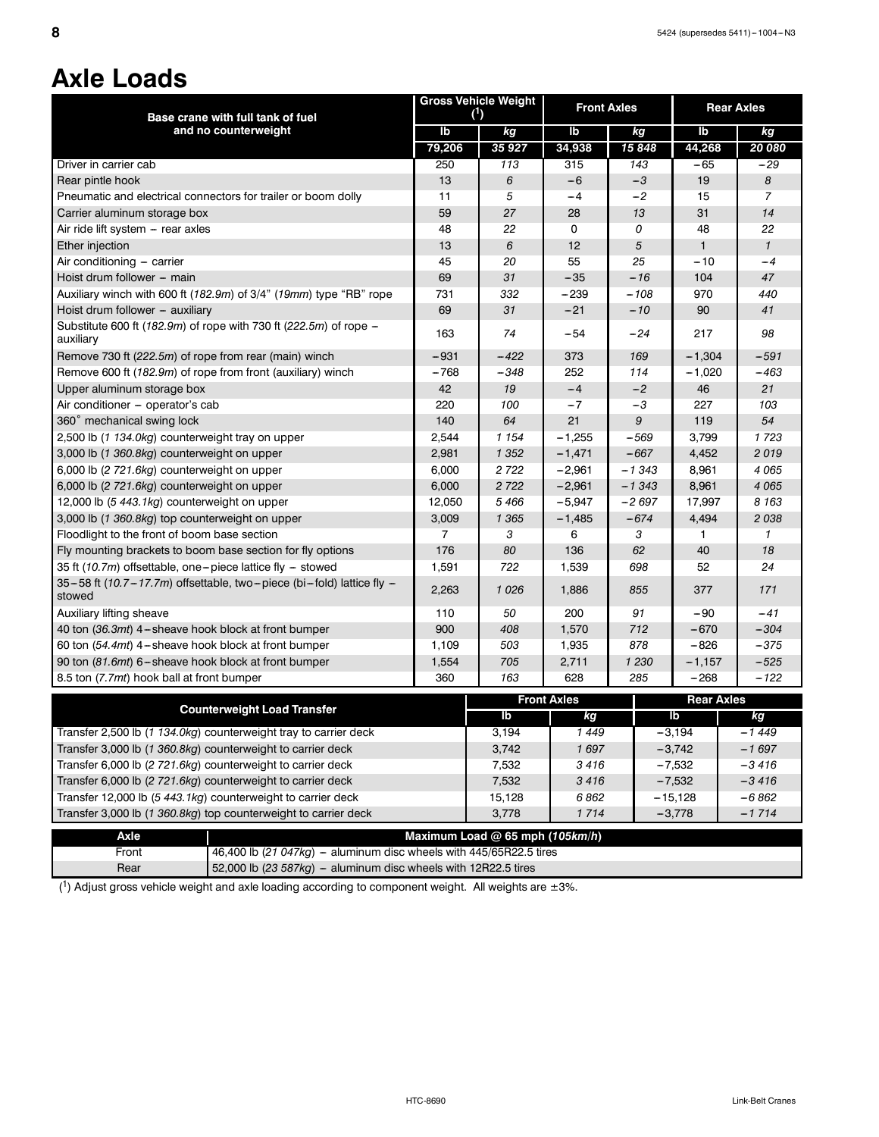# **Axle Loads**

| Base crane with full tank of fuel                                              | (1)    | <b>Gross Vehicle Weight</b>     | <b>Front Axles</b> |         |                   | <b>Rear Axles</b> |  |
|--------------------------------------------------------------------------------|--------|---------------------------------|--------------------|---------|-------------------|-------------------|--|
| and no counterweight                                                           | lb     | kg                              | lb                 | kg      | lb                | kg                |  |
|                                                                                | 79,206 | 35 927                          | 34,938             | 15 848  | 44,268            | 20 080            |  |
| Driver in carrier cab                                                          | 250    | 113                             | 315                | 143     | $-65$             | -29               |  |
| Rear pintle hook                                                               | 13     | 6                               | $-6$               | $-3$    | 19                | 8                 |  |
| Pneumatic and electrical connectors for trailer or boom dolly                  | 11     | 5                               | $-4$               | $-2$    | 15                | $\overline{7}$    |  |
| Carrier aluminum storage box                                                   | 59     | 27                              | 28                 | 13      | 31                | 14                |  |
| Air ride lift system - rear axles                                              | 48     | 22                              | 0                  | 0       | 48                | 22                |  |
| Ether injection                                                                | 13     | 6                               | 12                 | 5       | $\mathbf{1}$      | $\mathbf{1}$      |  |
| Air conditioning - carrier                                                     | 45     | 20                              | 55                 | 25      | $-10$             | $-4$              |  |
| Hoist drum follower - main                                                     | 69     | 31                              | $-35$              | $-16$   | 104               | 47                |  |
| Auxiliary winch with 600 ft (182.9m) of 3/4" (19mm) type "RB" rope             | 731    | 332                             | $-239$             | $-108$  | 970               | 440               |  |
| Hoist drum follower - auxiliary                                                | 69     | 31                              | $-21$              | $-10$   | 90                | 41                |  |
| Substitute 600 ft (182.9m) of rope with 730 ft (222.5m) of rope -<br>auxiliary | 163    | 74                              | $-54$              | -24     | 217               | 98                |  |
| Remove 730 ft (222.5m) of rope from rear (main) winch                          | $-931$ | $-422$                          | 373                | 169     | $-1,304$          | $-591$            |  |
| Remove 600 ft (182.9m) of rope from front (auxiliary) winch                    | $-768$ | $-348$                          | 252                | 114     | $-1.020$          | -463              |  |
| Upper aluminum storage box                                                     | 42     | 19                              | $-4$               | $-2$    | 46                | 21                |  |
| Air conditioner - operator's cab                                               | 220    | 100                             | $-7$               | -3      | 227               | 103               |  |
| 360° mechanical swing lock                                                     | 140    | 64                              | 21                 | 9       | 119               | 54                |  |
| 2,500 lb (1 134.0kg) counterweight tray on upper                               | 2,544  | 1 1 5 4                         | $-1,255$           | $-569$  | 3,799             | 1723              |  |
| 3,000 lb (1 360.8kg) counterweight on upper                                    | 2,981  | 1 3 5 2                         | $-1,471$           | $-667$  | 4,452             | 2019              |  |
| 6,000 lb (2 721.6kg) counterweight on upper                                    | 6,000  | 2722                            | $-2,961$           | $-1343$ | 8,961             | 4 0 6 5           |  |
| 6,000 lb (2 721.6kg) counterweight on upper                                    | 6,000  | 2 7 2 2                         | $-2,961$           | $-1343$ | 8,961             | 4 0 6 5           |  |
| 12,000 lb (5 443.1kg) counterweight on upper                                   | 12,050 | 5 4 6 6                         | $-5,947$           | $-2697$ | 17,997            | 8 1 6 3           |  |
| 3,000 lb (1 360.8kg) top counterweight on upper                                | 3,009  | 1 365                           | $-1,485$           | $-674$  | 4,494             | 2038              |  |
| Floodlight to the front of boom base section                                   | 7      | 3                               | 6                  | 3       | 1                 | $\mathcal I$      |  |
| Fly mounting brackets to boom base section for fly options                     | 176    | 80                              | 136                | 62      | 40                | 18                |  |
| 35 ft (10.7m) offsettable, one-piece lattice fly - stowed                      | 1,591  | 722                             | 1,539              | 698     | 52                | 24                |  |
| 35-58 ft (10.7-17.7m) offsettable, two-piece (bi-fold) lattice fly -<br>stowed | 2,263  | 1026                            | 1,886              | 855     | 377               | 171               |  |
| Auxiliary lifting sheave                                                       | 110    | 50                              | 200                | 91      | $-90$             | $-41$             |  |
| 40 ton (36.3mt) 4-sheave hook block at front bumper                            | 900    | 408                             | 1,570              | 712     | $-670$            | $-304$            |  |
| 60 ton (54.4mt) 4-sheave hook block at front bumper                            | 1,109  | 503                             | 1,935              | 878     | $-826$            | $-375$            |  |
| 90 ton (81.6mt) 6-sheave hook block at front bumper                            | 1,554  | 705                             | 2,711              | 1 2 3 0 | $-1,157$          | $-525$            |  |
| 8.5 ton (7.7mt) hook ball at front bumper                                      | 360    | 163                             | 628                | 285     | $-268$            | $-122$            |  |
|                                                                                |        |                                 | <b>Front Axles</b> |         | <b>Rear Axles</b> |                   |  |
| <b>Counterweight Load Transfer</b>                                             |        | Ib                              | kg                 |         | lb                | kg                |  |
| Transfer 2,500 lb (1 134.0kg) counterweight tray to carrier deck               |        | 3,194                           | 1449               |         | $-3,194$          | $-1449$           |  |
| Transfer 3,000 lb (1 360.8kg) counterweight to carrier deck                    |        | 3,742                           | 1697               |         | $-3,742$          | $-1697$           |  |
| Transfer 6,000 lb (2 721.6kg) counterweight to carrier deck                    |        | 7,532                           | 3416               |         | $-7,532$          | $-3416$           |  |
| Transfer 6,000 lb (2 721.6kg) counterweight to carrier deck                    |        | 7,532                           | 3416               |         | $-7,532$          | $-3416$           |  |
| Transfer 12,000 lb (5 443.1kg) counterweight to carrier deck                   |        | 15,128                          | 6862               |         | $-15,128$         | $-6862$           |  |
| Transfer 3,000 lb (1 360.8kg) top counterweight to carrier deck                |        | 3,778                           | 1714               |         | $-3,778$          | $-1714$           |  |
| Axle                                                                           |        | Maximum Load @ 65 mph (105km/h) |                    |         |                   |                   |  |
| 46,400 lb (21 047kg) - aluminum disc wheels with 445/65R22.5 tires<br>Front    |        |                                 |                    |         |                   |                   |  |
| 52,000 lb (23 587kg) - aluminum disc wheels with 12R22.5 tires<br>Rear         |        |                                 |                    |         |                   |                   |  |

(1) Adjust gross vehicle weight and axle loading according to component weight. All weights are ±3%.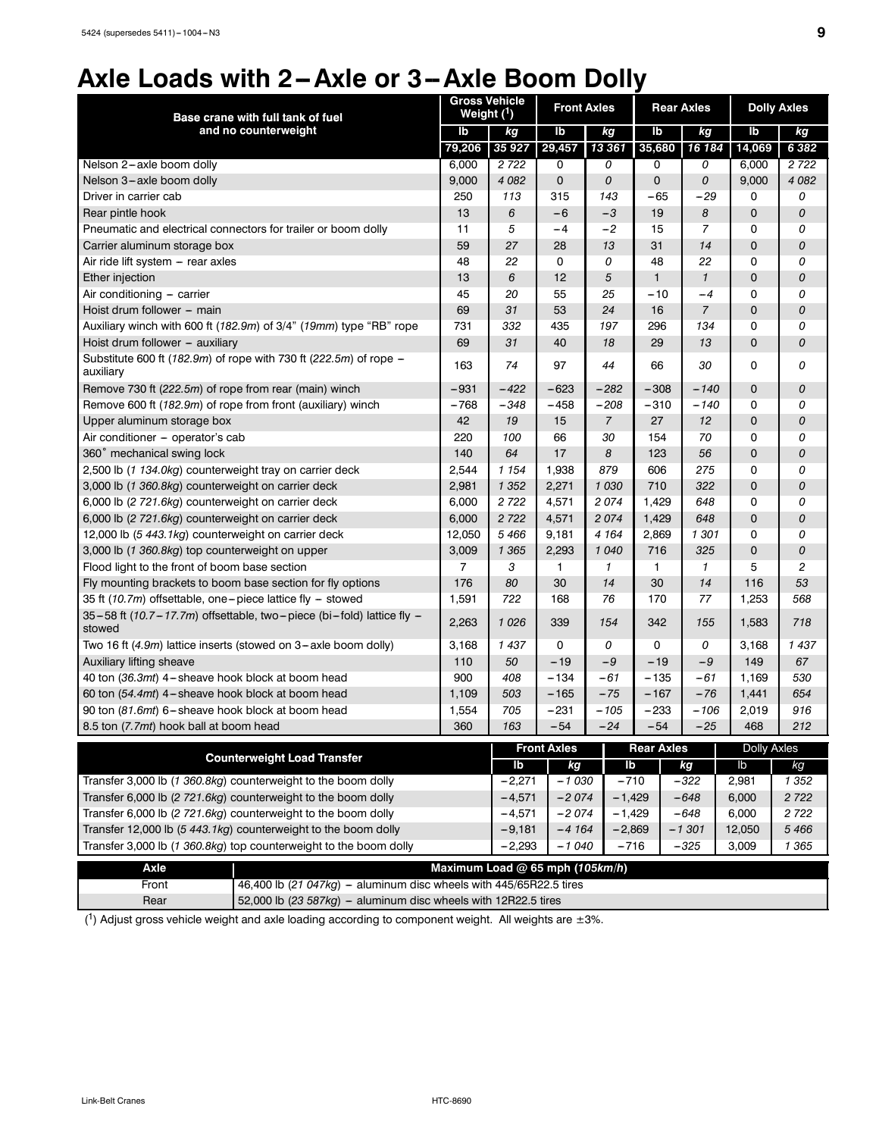# Axle Loads with 2-Axle or 3-Axle Boom Dolly

| Base crane with full tank of fuel                                              | <b>Gross Vehicle</b><br>Weight $(1)$ |          | <b>Front Axles</b>                 |                | <b>Rear Axles</b> |                | <b>Dolly Axles</b> |         |
|--------------------------------------------------------------------------------|--------------------------------------|----------|------------------------------------|----------------|-------------------|----------------|--------------------|---------|
| and no counterweight                                                           | lb                                   | kg       | lb                                 | kg             | lb                | kg             | lb                 | kg      |
|                                                                                | 79,206 35 927                        |          | 29,457 13 361 35,680 16 184 14,069 |                |                   |                |                    | 6382    |
| Nelson 2-axle boom dolly                                                       | 6,000                                | 2 7 2 2  | 0                                  | 0              | $\Omega$          | 0              | 6,000              | 2722    |
| Nelson 3-axle boom dolly                                                       | 9,000                                | 4 0 8 2  | 0                                  | 0              | $\Omega$          | 0              | 9,000              | 4082    |
| Driver in carrier cab                                                          | 250                                  | 113      | 315                                | 143            | $-65$             | $-29$          | 0                  | 0       |
| Rear pintle hook                                                               | 13                                   | 6        | $-6$                               | $-3$           | 19                | 8              | 0                  | 0       |
| Pneumatic and electrical connectors for trailer or boom dolly                  | 11                                   | 5        | $-4$                               | $-2$           | 15                | 7              | 0                  | 0       |
| Carrier aluminum storage box                                                   | 59                                   | 27       | 28                                 | 13             | 31                | 14             | 0                  | 0       |
| Air ride lift system - rear axles                                              | 48                                   | 22       | 0                                  | 0              | 48                | 22             | 0                  | 0       |
| Ether injection                                                                | 13                                   | 6        | 12                                 | 5              | $\mathbf{1}$      | $\mathbf{1}$   | 0                  | 0       |
| Air conditioning - carrier                                                     | 45                                   | 20       | 55                                 | 25             | $-10$             | $-4$           | 0                  | 0       |
| Hoist drum follower - main                                                     | 69                                   | 31       | 53                                 | 24             | 16                | $\overline{7}$ | 0                  | 0       |
| Auxiliary winch with 600 ft (182.9m) of 3/4" (19mm) type "RB" rope             | 731                                  | 332      | 435                                | 197            | 296               | 134            | 0                  | 0       |
| Hoist drum follower - auxiliary                                                | 69                                   | 31       | 40                                 | 18             | 29                | 13             | $\Omega$           | 0       |
| Substitute 600 ft (182.9m) of rope with 730 ft (222.5m) of rope -<br>auxiliary | 163                                  | 74       | 97                                 | 44             | 66                | 30             | 0                  | 0       |
| Remove 730 ft (222.5m) of rope from rear (main) winch                          | $-931$                               | $-422$   | $-623$                             | $-282$         | $-308$            | $-140$         | 0                  | 0       |
| Remove 600 ft (182.9m) of rope from front (auxiliary) winch                    | $-768$                               | $-348$   | $-458$                             | $-208$         | $-310$            | -140           | 0                  | 0       |
| Upper aluminum storage box                                                     | 42                                   | 19       | 15                                 | $\overline{7}$ | 27                | 12             | 0                  | 0       |
| Air conditioner - operator's cab                                               | 220                                  | 100      | 66                                 | 30             | 154               | 70             | 0                  | 0       |
| 360° mechanical swing lock                                                     | 140                                  | 64       | 17                                 | 8              | 123               | 56             | 0                  | 0       |
| 2,500 lb (1 134.0kg) counterweight tray on carrier deck                        | 2,544                                | 1 154    | 1,938                              | 879            | 606               | 275            | 0                  | 0       |
| 3,000 lb (1 360.8kg) counterweight on carrier deck                             | 2,981                                | 1 3 5 2  | 2,271                              | 1 0 3 0        | 710               | 322            | 0                  | 0       |
| 6,000 lb (2 721.6kg) counterweight on carrier deck                             | 6,000                                | 2 7 2 2  | 4,571                              | 2074           | 1,429             | 648            | 0                  | 0       |
| 6,000 lb (2 721.6kg) counterweight on carrier deck                             | 6,000                                | 2722     | 4,571                              | 2074           | 1,429             | 648            | 0                  | 0       |
| 12,000 lb (5 443.1kg) counterweight on carrier deck                            | 12,050                               | 5466     | 9,181                              | 4 1 6 4        | 2,869<br>1301     |                | 0                  | 0       |
| 3,000 lb (1 360.8kg) top counterweight on upper                                | 3,009                                | 1 3 6 5  | 2,293                              | 1040           | 716<br>325        |                | 0                  | 0       |
| Flood light to the front of boom base section                                  | 7                                    | 3        | 1                                  | $\mathcal I$   | 1                 | $\mathcal I$   | 5                  | 2       |
| Fly mounting brackets to boom base section for fly options                     | 176                                  | 80       | 30                                 | 14             | 30                | 14             | 116                | 53      |
| 35 ft (10.7m) offsettable, one-piece lattice fly - stowed                      | 1,591                                | 722      | 168                                | 76             | 170               | 77             | 1,253              | 568     |
| 35-58 ft (10.7-17.7m) offsettable, two-piece (bi-fold) lattice fly -<br>stowed | 2,263                                | 1026     | 339                                | 154            | 342               | 155            | 1,583              | 718     |
| Two 16 ft (4.9m) lattice inserts (stowed on 3-axle boom dolly)                 | 3,168                                | 1 437    | 0                                  | 0              | 0                 | 0              | 3,168              | 1437    |
| Auxiliary lifting sheave                                                       | 110                                  | 50       | $-19$                              | -9             | $-19$             | $-9$           | 149                | 67      |
| 40 ton (36.3mt) 4-sheave hook block at boom head                               | 900                                  | 408      | $-134$                             | $-61$          | $-135$            | $-61$          | 1,169              | 530     |
| 60 ton (54.4mt) 4-sheave hook block at boom head                               | 1,109                                | 503      | $-165$                             | $-75$          | $-167$            | $-76$          | 1,441              | 654     |
| 90 ton (81.6mt) 6-sheave hook block at boom head                               | 1,554                                | 705      | -231                               | $-105$         | $-233$            | -106           | 2,019              | 916     |
| 8.5 ton (7.7mt) hook ball at boom head                                         | 360                                  | 163      | $-54$                              | $-24$          | $-54$             | $-25$          | 468                | 212     |
|                                                                                |                                      |          | <b>Front Axles</b>                 |                | <b>Rear Axles</b> |                | <b>Dolly Axles</b> |         |
| <b>Counterweight Load Transfer</b>                                             |                                      | lb       | kg                                 | lb             |                   | kg             | lb                 | kg      |
| Transfer 3,000 lb (1 360.8kg) counterweight to the boom dolly                  |                                      | $-2,271$ | $-1030$                            | $-710$         |                   | $-322$         | 2,981              | 1 3 5 2 |
| Transfer 6,000 lb (2 721.6kg) counterweight to the boom dolly                  |                                      | $-4,571$ | $-2074$                            | $-1,429$       |                   | $-648$         | 6,000              | 2 7 2 2 |
| Transfer 6,000 lb (2 721.6kg) counterweight to the boom dolly                  |                                      | $-4,571$ | $-2074$                            | $-1,429$       |                   | $-648$         | 6,000              | 2 7 2 2 |
| Transfer 12,000 lb (5 443.1kg) counterweight to the boom dolly                 |                                      | $-9,181$ | $-4164$                            | $-2,869$       |                   | $-1301$        | 12,050             | 5 4 6 6 |
| Transfer 3,000 lb (1 360.8kg) top counterweight to the boom dolly              |                                      | $-2,293$ | $-1040$                            | $-716$         |                   | $-325$         | 3,009              | 1 3 6 5 |
| Axle                                                                           | Maximum Load @ 65 mph (105km/h)      |          |                                    |                |                   |                |                    |         |
| 46,400 lb (21 047kg) - aluminum disc wheels with 445/65R22.5 tires<br>Front    |                                      |          |                                    |                |                   |                |                    |         |
| 52,000 lb (23 587kg) - aluminum disc wheels with 12R22.5 tires<br>Rear         |                                      |          |                                    |                |                   |                |                    |         |

(1) Adjust gross vehicle weight and axle loading according to component weight. All weights are  $\pm 3\%$ .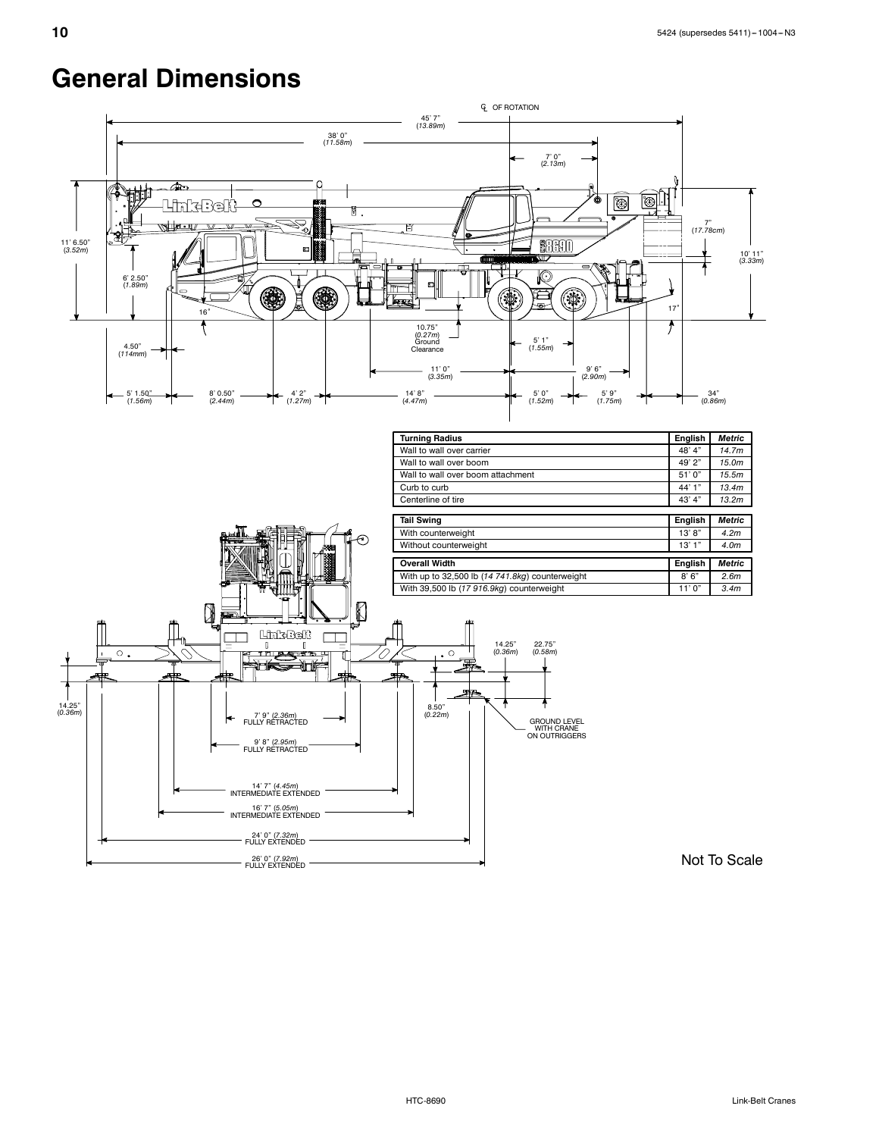## **General Dimensions**

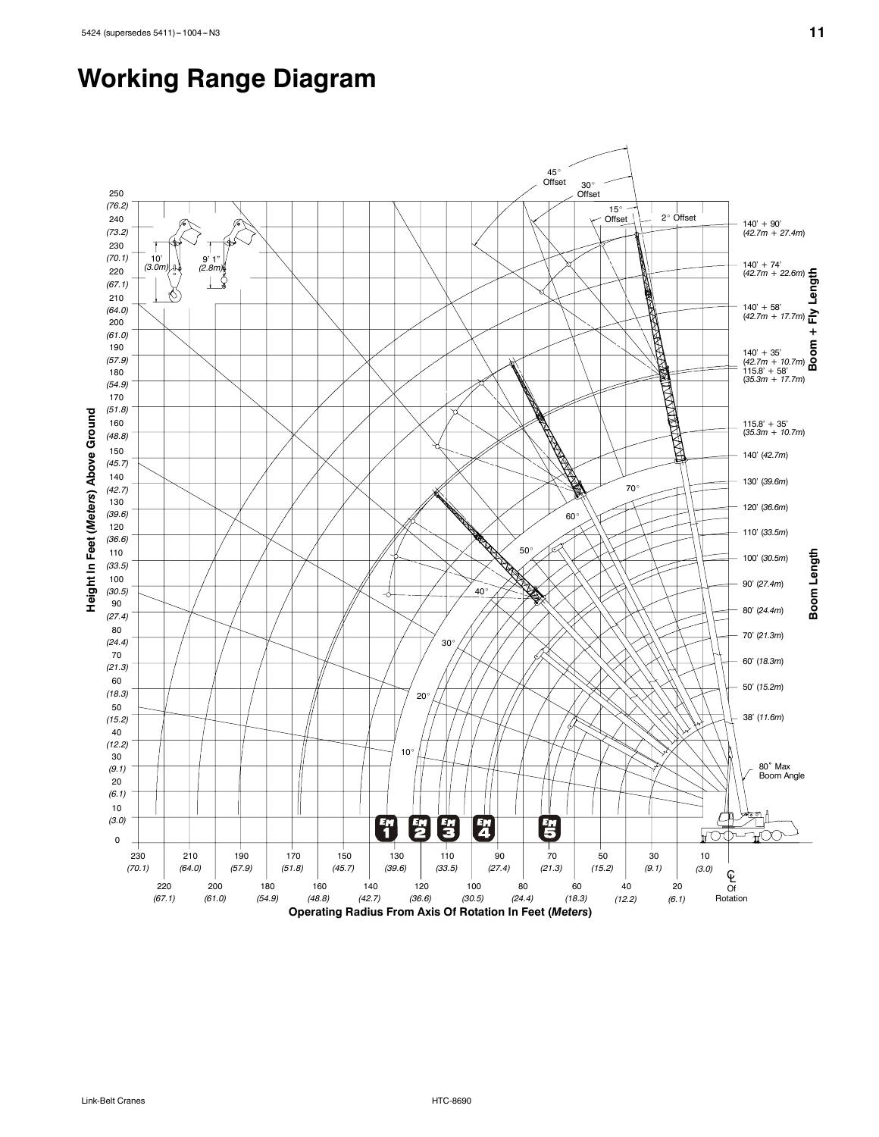# **Working Range Diagram**

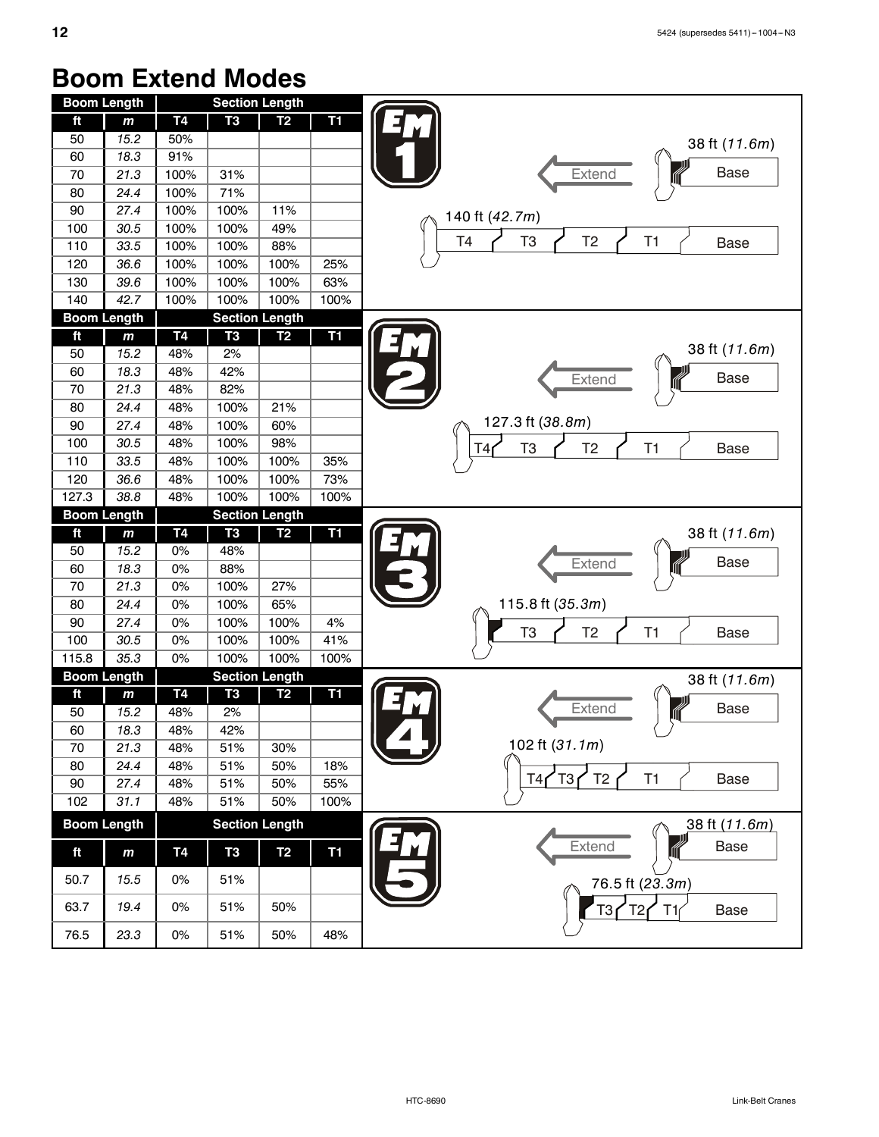# **Boom Extend Modes**

|            | <b>Boom Length</b> |                | <b>Section Length</b> |                       |           |                                                                         |
|------------|--------------------|----------------|-----------------------|-----------------------|-----------|-------------------------------------------------------------------------|
| ft         | $\mathbf m$        | T <sub>4</sub> | T3                    | T <sub>2</sub>        | T1        |                                                                         |
| 50         | 15.2               | 50%            |                       |                       |           | 38 ft (11.6m)                                                           |
| 60         | 18.3               | 91%            |                       |                       |           |                                                                         |
| 70         | 21.3               | 100%           | 31%                   |                       |           | <b>Base</b><br>Extend                                                   |
| 80         | 24.4               | 100%           | 71%                   |                       |           |                                                                         |
| 90         | 27.4               | 100%           | 100%                  | 11%                   |           | 140 ft (42.7m)                                                          |
| 100        | 30.5               | 100%           | 100%                  | 49%                   |           |                                                                         |
| 110        | 33.5               | 100%           | 100%                  | 88%                   |           | T <sub>4</sub><br>T <sub>3</sub><br>T <sub>2</sub><br>T1<br><b>Base</b> |
| 120        | 36.6               | 100%           | 100%                  | 100%                  | 25%       |                                                                         |
| 130        | 39.6               | 100%           | 100%                  | 100%                  | 63%       |                                                                         |
| 140        | 42.7               | 100%           | 100%                  | 100%                  | 100%      |                                                                         |
|            | <b>Boom Length</b> |                |                       | <b>Section Length</b> |           |                                                                         |
| ft         | $\mathbf m$        | <b>T4</b>      | T3                    | T2                    | <b>T1</b> | 38 ft (11.6m)                                                           |
| 50         | 15.2               | 48%            | 2%                    |                       |           |                                                                         |
| 60         | 18.3               | 48%            | 42%                   |                       |           | <b>Base</b><br>Extend                                                   |
| 70         | 21.3               | 48%            | 82%                   |                       |           |                                                                         |
| 80         | 24.4               | 48%            | 100%                  | 21%                   |           | 127.3 ft (38.8m)                                                        |
| 90         | 27.4               | 48%            | 100%                  | 60%                   |           |                                                                         |
| 100<br>110 | 30.5<br>33.5       | 48%<br>48%     | 100%<br>100%          | 98%<br>100%           | 35%       | T <sub>3</sub><br>T <sub>2</sub><br>T1<br>T4r<br><b>Base</b>            |
| 120        | 36.6               | 48%            | 100%                  | 100%                  | 73%       |                                                                         |
| 127.3      | 38.8               | 48%            | 100%                  | 100%                  | 100%      |                                                                         |
|            | <b>Boom Length</b> |                |                       | <b>Section Length</b> |           |                                                                         |
| ft         | $\mathbf m$        | <b>T4</b>      | T <sub>3</sub>        | T <sub>2</sub>        | T1        | 38 ft (11.6m)                                                           |
| 50         | 15.2               | 0%             | 48%                   |                       |           |                                                                         |
| 60         | 18.3               | 0%             | 88%                   |                       |           | <b>Base</b><br>Extend                                                   |
| 70         | 21.3               | 0%             | 100%                  | 27%                   |           |                                                                         |
| 80         | 24.4               | 0%             | 100%                  | 65%                   |           | 115.8 ft (35.3m)                                                        |
| 90         | 27.4               | 0%             | 100%                  | 100%                  | 4%        |                                                                         |
| 100        | 30.5               | 0%             | 100%                  | 100%                  | 41%       | T1<br>T <sub>3</sub><br>T <sub>2</sub><br><b>Base</b>                   |
| 115.8      | 35.3               | 0%             | 100%                  | 100%                  | 100%      |                                                                         |
|            | <b>Boom Length</b> |                | <b>Section Length</b> |                       |           | 38 ft (11.6m)                                                           |
| ft         | $\mathbf m$        | T <sub>4</sub> | T3                    | T2                    | T1        |                                                                         |
| 50         | 15.2               | 48%            | 2%                    |                       |           | Extend<br><b>Base</b>                                                   |
| 60         | 18.3               | 48%            | 42%                   |                       |           |                                                                         |
| 70         | 21.3               | 48%            | 51%                   | 30%                   |           | 102 ft (31.1m)                                                          |
| 80         | 24.4               | 48%            | 51%                   | 50%                   | 18%       | T <sub>2</sub><br>T1<br><b>Base</b>                                     |
| 90         | 27.4               | 48%            | 51%                   | 50%                   | 55%       | T4                                                                      |
| 102        | 31.1               | 48%            | 51%                   | 50%                   | 100%      |                                                                         |
|            | <b>Boom Length</b> |                |                       | <b>Section Length</b> |           | 38 ft (11.6m)                                                           |
| ft         | $\mathbf{m}$       | <b>T4</b>      | T <sub>3</sub>        | <b>T2</b>             | <b>T1</b> | Extend<br><b>Base</b>                                                   |
|            |                    |                |                       |                       |           |                                                                         |
| 50.7       | 15.5               | $0\%$          | 51%                   |                       |           | 76.5 ft (23.3m)                                                         |
| 63.7       | 19.4               | 0%             | 51%                   | 50%                   |           | T1<br>T3 <sub>1</sub><br>T2<br><b>Base</b>                              |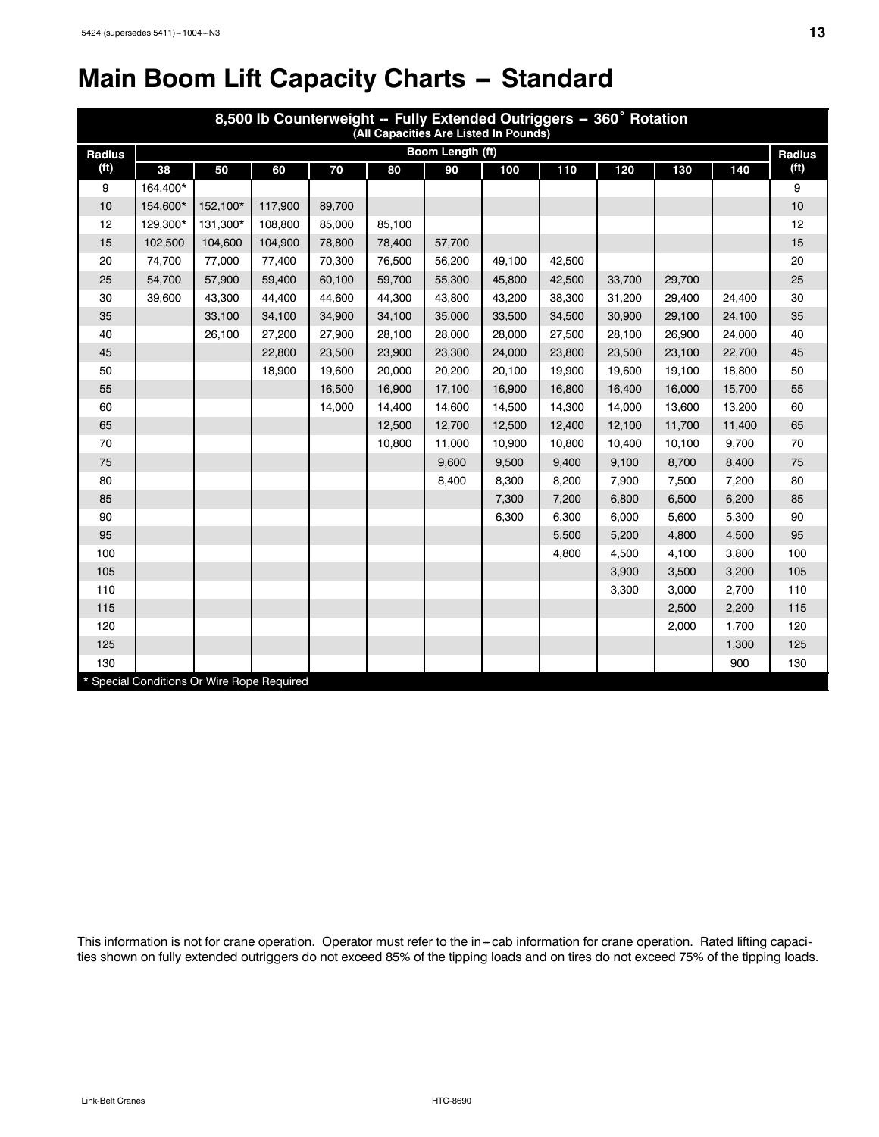# **Main Boom Lift Capacity Charts - Standard**

| 8,500 lb Counterweight -- Fully Extended Outriggers -- 360° Rotation<br>(All Capacities Are Listed In Pounds) |                                            |          |         |        |        |                  |        |        |        |        |        |                   |
|---------------------------------------------------------------------------------------------------------------|--------------------------------------------|----------|---------|--------|--------|------------------|--------|--------|--------|--------|--------|-------------------|
| Radius                                                                                                        |                                            |          |         |        |        | Boom Length (ft) |        |        |        |        |        | Radius            |
| (f <sup>t</sup> )                                                                                             | 38                                         | 50       | 60      | 70     | 80     | 90               | 100    | 110    | 120    | 130    | 140    | (f <sup>t</sup> ) |
| 9                                                                                                             | 164,400*                                   |          |         |        |        |                  |        |        |        |        |        | 9                 |
| 10                                                                                                            | 154,600*                                   | 152,100* | 117,900 | 89,700 |        |                  |        |        |        |        |        | 10                |
| 12                                                                                                            | 129,300*                                   | 131,300* | 108,800 | 85,000 | 85,100 |                  |        |        |        |        |        | 12                |
| 15                                                                                                            | 102,500                                    | 104,600  | 104,900 | 78,800 | 78,400 | 57,700           |        |        |        |        |        | 15                |
| 20                                                                                                            | 74,700                                     | 77,000   | 77,400  | 70,300 | 76,500 | 56,200           | 49,100 | 42,500 |        |        |        | 20                |
| 25                                                                                                            | 54,700                                     | 57,900   | 59,400  | 60,100 | 59,700 | 55,300           | 45,800 | 42,500 | 33,700 | 29,700 |        | 25                |
| 30                                                                                                            | 39,600                                     | 43,300   | 44,400  | 44,600 | 44,300 | 43,800           | 43,200 | 38,300 | 31,200 | 29,400 | 24,400 | 30                |
| 35                                                                                                            |                                            | 33,100   | 34,100  | 34,900 | 34,100 | 35,000           | 33,500 | 34,500 | 30,900 | 29,100 | 24,100 | 35                |
| 40                                                                                                            |                                            | 26,100   | 27,200  | 27,900 | 28,100 | 28,000           | 28,000 | 27,500 | 28,100 | 26,900 | 24,000 | 40                |
| 45                                                                                                            |                                            |          | 22,800  | 23,500 | 23,900 | 23,300           | 24,000 | 23,800 | 23,500 | 23,100 | 22,700 | 45                |
| 50                                                                                                            |                                            |          | 18,900  | 19,600 | 20,000 | 20,200           | 20,100 | 19,900 | 19,600 | 19,100 | 18,800 | 50                |
| 55                                                                                                            |                                            |          |         | 16,500 | 16,900 | 17,100           | 16,900 | 16,800 | 16,400 | 16,000 | 15,700 | 55                |
| 60                                                                                                            |                                            |          |         | 14,000 | 14,400 | 14,600           | 14,500 | 14,300 | 14,000 | 13,600 | 13,200 | 60                |
| 65                                                                                                            |                                            |          |         |        | 12,500 | 12,700           | 12,500 | 12,400 | 12,100 | 11,700 | 11,400 | 65                |
| 70                                                                                                            |                                            |          |         |        | 10,800 | 11,000           | 10,900 | 10,800 | 10,400 | 10,100 | 9,700  | 70                |
| 75                                                                                                            |                                            |          |         |        |        | 9,600            | 9,500  | 9,400  | 9,100  | 8,700  | 8,400  | 75                |
| 80                                                                                                            |                                            |          |         |        |        | 8,400            | 8,300  | 8,200  | 7,900  | 7,500  | 7,200  | 80                |
| 85                                                                                                            |                                            |          |         |        |        |                  | 7,300  | 7,200  | 6,800  | 6,500  | 6,200  | 85                |
| 90                                                                                                            |                                            |          |         |        |        |                  | 6,300  | 6,300  | 6,000  | 5,600  | 5,300  | 90                |
| 95                                                                                                            |                                            |          |         |        |        |                  |        | 5,500  | 5,200  | 4,800  | 4,500  | 95                |
| 100                                                                                                           |                                            |          |         |        |        |                  |        | 4,800  | 4,500  | 4,100  | 3,800  | 100               |
| 105                                                                                                           |                                            |          |         |        |        |                  |        |        | 3,900  | 3,500  | 3,200  | 105               |
| 110                                                                                                           |                                            |          |         |        |        |                  |        |        | 3,300  | 3,000  | 2,700  | 110               |
| 115                                                                                                           |                                            |          |         |        |        |                  |        |        |        | 2,500  | 2,200  | 115               |
| 120                                                                                                           |                                            |          |         |        |        |                  |        |        |        | 2,000  | 1,700  | 120               |
| 125                                                                                                           |                                            |          |         |        |        |                  |        |        |        |        | 1,300  | 125               |
| 130                                                                                                           |                                            |          |         |        |        |                  |        |        |        |        | 900    | 130               |
|                                                                                                               | * Special Conditions Or Wire Rope Required |          |         |        |        |                  |        |        |        |        |        |                   |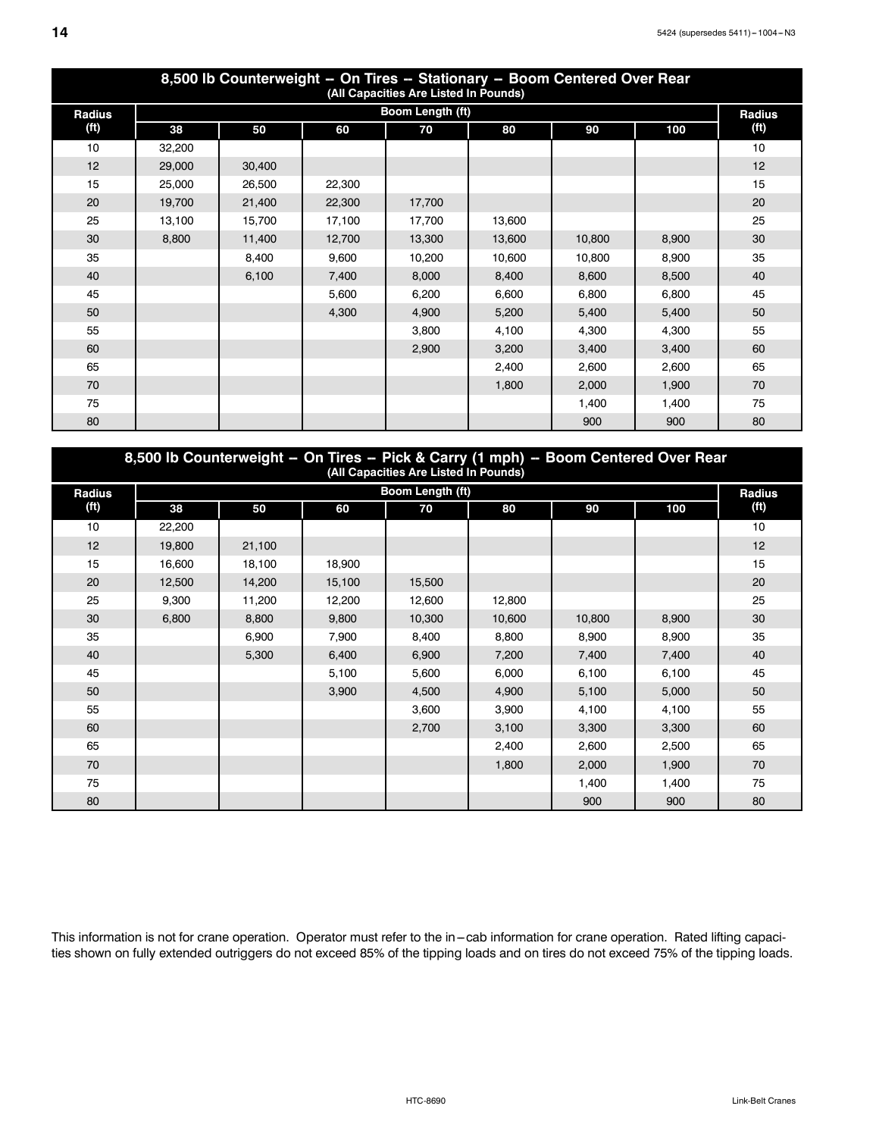| 8,500 lb Counterweight - On Tires - Stationary - Boom Centered Over Rear<br>(All Capacities Are Listed In Pounds) |        |        |        |        |        |        |       |                   |  |  |  |  |  |  |  |
|-------------------------------------------------------------------------------------------------------------------|--------|--------|--------|--------|--------|--------|-------|-------------------|--|--|--|--|--|--|--|
| Boom Length (ft)<br>Radius                                                                                        |        |        |        |        |        |        |       |                   |  |  |  |  |  |  |  |
| (f <sup>t</sup> )                                                                                                 | 38     | 50     | 60     | 70     | 80     | 90     | 100   | (f <sup>t</sup> ) |  |  |  |  |  |  |  |
| 10                                                                                                                | 32,200 |        |        |        |        |        |       | 10                |  |  |  |  |  |  |  |
| 12                                                                                                                | 29,000 | 30,400 |        |        |        |        |       | 12                |  |  |  |  |  |  |  |
| 15                                                                                                                | 25,000 | 26,500 | 22,300 |        |        |        |       | 15                |  |  |  |  |  |  |  |
| 20                                                                                                                | 19,700 | 21,400 | 22,300 | 17,700 |        |        |       | 20                |  |  |  |  |  |  |  |
| 25                                                                                                                | 13,100 | 15,700 | 17,100 | 17,700 | 13,600 |        |       | 25                |  |  |  |  |  |  |  |
| 30                                                                                                                | 8,800  | 11,400 | 12,700 | 13,300 | 13,600 | 10,800 | 8,900 | 30                |  |  |  |  |  |  |  |
| 35                                                                                                                |        | 8,400  | 9,600  | 10,200 | 10,600 | 10,800 | 8,900 | 35                |  |  |  |  |  |  |  |
| 40                                                                                                                |        | 6,100  | 7,400  | 8,000  | 8,400  | 8,600  | 8,500 | 40                |  |  |  |  |  |  |  |
| 45                                                                                                                |        |        | 5,600  | 6,200  | 6,600  | 6,800  | 6,800 | 45                |  |  |  |  |  |  |  |
| 50                                                                                                                |        |        | 4,300  | 4,900  | 5,200  | 5,400  | 5,400 | 50                |  |  |  |  |  |  |  |
| 55                                                                                                                |        |        |        | 3,800  | 4,100  | 4,300  | 4,300 | 55                |  |  |  |  |  |  |  |
| 60                                                                                                                |        |        |        | 2,900  | 3,200  | 3,400  | 3,400 | 60                |  |  |  |  |  |  |  |
| 65                                                                                                                |        |        |        |        | 2,400  | 2,600  | 2,600 | 65                |  |  |  |  |  |  |  |
| 70                                                                                                                |        |        |        |        | 1,800  | 2,000  | 1,900 | 70                |  |  |  |  |  |  |  |
| 75                                                                                                                |        |        |        |        |        | 1,400  | 1,400 | 75                |  |  |  |  |  |  |  |
| 80                                                                                                                |        |        |        |        |        | 900    | 900   | 80                |  |  |  |  |  |  |  |

| 8,500 lb Counterweight - On Tires -- Pick & Carry (1 mph) -- Boom Centered Over Rear<br>(All Capacities Are Listed In Pounds) |                  |        |        |        |        |        |       |                   |  |  |  |  |  |  |  |
|-------------------------------------------------------------------------------------------------------------------------------|------------------|--------|--------|--------|--------|--------|-------|-------------------|--|--|--|--|--|--|--|
| Radius                                                                                                                        | Boom Length (ft) |        |        |        |        |        |       |                   |  |  |  |  |  |  |  |
| (f <sup>t</sup> )                                                                                                             | 38               | 50     | 60     | 70     | 80     | 90     | 100   | (f <sup>t</sup> ) |  |  |  |  |  |  |  |
| 10                                                                                                                            | 22,200           |        |        |        |        |        |       | 10                |  |  |  |  |  |  |  |
| 12                                                                                                                            | 19,800           | 21,100 |        |        |        |        |       | 12                |  |  |  |  |  |  |  |
| 15                                                                                                                            | 16,600           | 18,100 | 18,900 |        |        |        |       | 15                |  |  |  |  |  |  |  |
| 20                                                                                                                            | 12,500           | 14,200 | 15,100 | 15,500 |        |        |       | 20                |  |  |  |  |  |  |  |
| 25                                                                                                                            | 9,300            | 11,200 | 12,200 | 12,600 | 12,800 |        |       | 25                |  |  |  |  |  |  |  |
| 30                                                                                                                            | 6,800            | 8,800  | 9,800  | 10,300 | 10,600 | 10,800 | 8,900 | 30                |  |  |  |  |  |  |  |
| 35                                                                                                                            |                  | 6,900  | 7,900  | 8,400  | 8,800  | 8,900  | 8,900 | 35                |  |  |  |  |  |  |  |
| 40                                                                                                                            |                  | 5,300  | 6,400  | 6,900  | 7,200  | 7,400  | 7,400 | 40                |  |  |  |  |  |  |  |
| 45                                                                                                                            |                  |        | 5,100  | 5,600  | 6,000  | 6,100  | 6,100 | 45                |  |  |  |  |  |  |  |
| 50                                                                                                                            |                  |        | 3,900  | 4,500  | 4,900  | 5,100  | 5,000 | 50                |  |  |  |  |  |  |  |
| 55                                                                                                                            |                  |        |        | 3,600  | 3,900  | 4,100  | 4,100 | 55                |  |  |  |  |  |  |  |
| 60                                                                                                                            |                  |        |        | 2,700  | 3,100  | 3,300  | 3,300 | 60                |  |  |  |  |  |  |  |
| 65                                                                                                                            |                  |        |        |        | 2,400  | 2,600  | 2,500 | 65                |  |  |  |  |  |  |  |
| 70                                                                                                                            |                  |        |        |        | 1,800  | 2,000  | 1,900 | 70                |  |  |  |  |  |  |  |
| 75                                                                                                                            |                  |        |        |        |        | 1,400  | 1,400 | 75                |  |  |  |  |  |  |  |
| 80                                                                                                                            |                  |        |        |        |        | 900    | 900   | 80                |  |  |  |  |  |  |  |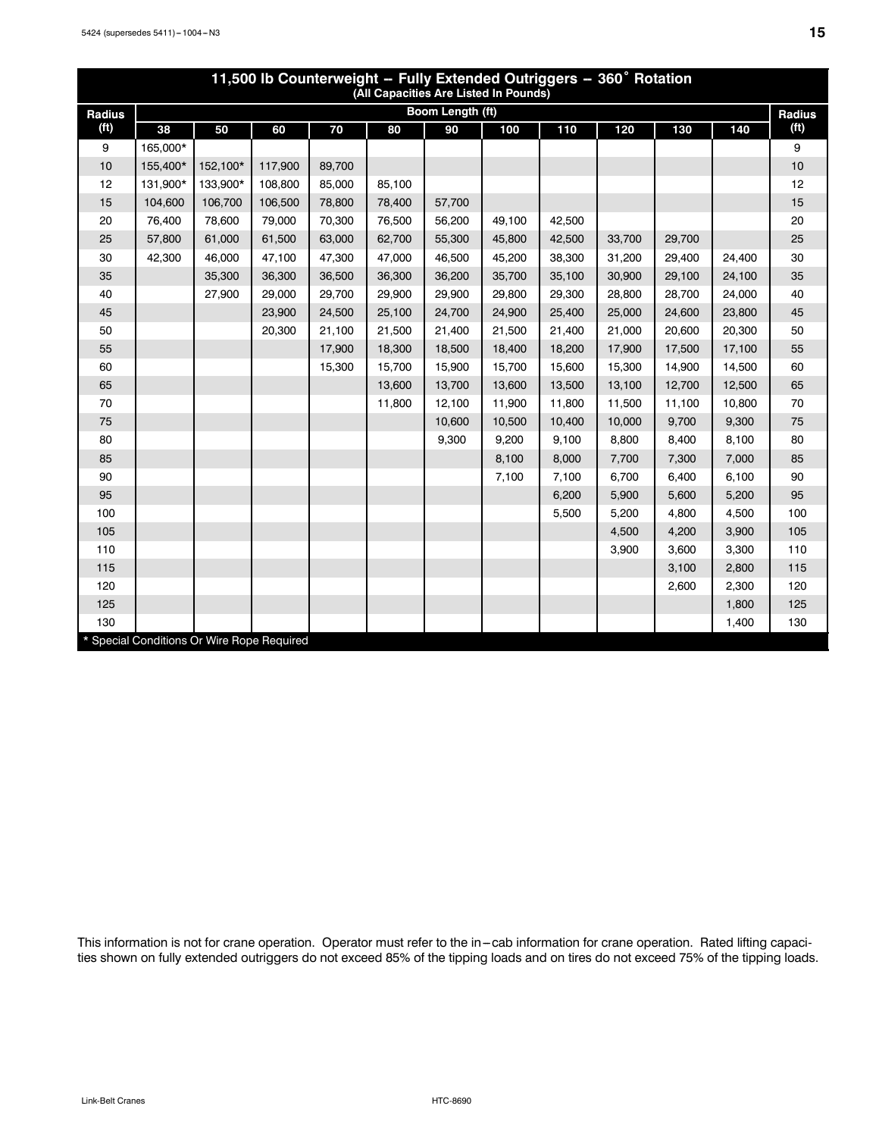| 11,500 lb Counterweight - Fully Extended Outriggers - 360° Rotation<br>(All Capacities Are Listed In Pounds) |                                            |          |         |        |        |                  |        |        |        |        |        |                   |
|--------------------------------------------------------------------------------------------------------------|--------------------------------------------|----------|---------|--------|--------|------------------|--------|--------|--------|--------|--------|-------------------|
| Radius                                                                                                       |                                            |          |         |        |        | Boom Length (ft) |        |        |        |        |        | Radius            |
| (f <sup>t</sup> )                                                                                            | 38                                         | 50       | 60      | 70     | 80     | 90               | 100    | 110    | 120    | 130    | 140    | (f <sup>t</sup> ) |
| 9                                                                                                            | 165.000*                                   |          |         |        |        |                  |        |        |        |        |        | 9                 |
| 10                                                                                                           | 155,400*                                   | 152,100* | 117,900 | 89,700 |        |                  |        |        |        |        |        | 10                |
| 12                                                                                                           | 131,900*                                   | 133,900* | 108,800 | 85,000 | 85,100 |                  |        |        |        |        |        | 12                |
| 15                                                                                                           | 104,600                                    | 106,700  | 106,500 | 78,800 | 78,400 | 57,700           |        |        |        |        |        | 15                |
| 20                                                                                                           | 76,400                                     | 78,600   | 79,000  | 70,300 | 76,500 | 56,200           | 49,100 | 42,500 |        |        |        | 20                |
| 25                                                                                                           | 57,800                                     | 61,000   | 61,500  | 63,000 | 62,700 | 55,300           | 45,800 | 42,500 | 33,700 | 29,700 |        | 25                |
| 30                                                                                                           | 42,300                                     | 46,000   | 47,100  | 47,300 | 47,000 | 46,500           | 45,200 | 38,300 | 31,200 | 29,400 | 24,400 | 30                |
| 35                                                                                                           |                                            | 35,300   | 36,300  | 36,500 | 36,300 | 36,200           | 35,700 | 35,100 | 30,900 | 29,100 | 24,100 | 35                |
| 40                                                                                                           |                                            | 27,900   | 29,000  | 29,700 | 29,900 | 29,900           | 29,800 | 29,300 | 28,800 | 28,700 | 24,000 | 40                |
| 45                                                                                                           |                                            |          | 23,900  | 24.500 | 25.100 | 24.700           | 24.900 | 25,400 | 25,000 | 24,600 | 23,800 | 45                |
| 50                                                                                                           |                                            |          | 20,300  | 21,100 | 21,500 | 21,400           | 21,500 | 21,400 | 21,000 | 20,600 | 20,300 | 50                |
| 55                                                                                                           |                                            |          |         | 17,900 | 18,300 | 18,500           | 18,400 | 18,200 | 17,900 | 17,500 | 17,100 | 55                |
| 60                                                                                                           |                                            |          |         | 15,300 | 15,700 | 15,900           | 15,700 | 15,600 | 15,300 | 14,900 | 14,500 | 60                |
| 65                                                                                                           |                                            |          |         |        | 13,600 | 13,700           | 13,600 | 13,500 | 13,100 | 12,700 | 12,500 | 65                |
| 70                                                                                                           |                                            |          |         |        | 11,800 | 12,100           | 11,900 | 11,800 | 11,500 | 11,100 | 10,800 | 70                |
| 75                                                                                                           |                                            |          |         |        |        | 10,600           | 10,500 | 10,400 | 10,000 | 9,700  | 9,300  | 75                |
| 80                                                                                                           |                                            |          |         |        |        | 9,300            | 9,200  | 9,100  | 8,800  | 8,400  | 8,100  | 80                |
| 85                                                                                                           |                                            |          |         |        |        |                  | 8,100  | 8,000  | 7,700  | 7,300  | 7,000  | 85                |
| 90                                                                                                           |                                            |          |         |        |        |                  | 7,100  | 7,100  | 6,700  | 6,400  | 6,100  | 90                |
| 95                                                                                                           |                                            |          |         |        |        |                  |        | 6,200  | 5,900  | 5,600  | 5,200  | 95                |
| 100                                                                                                          |                                            |          |         |        |        |                  |        | 5,500  | 5,200  | 4,800  | 4,500  | 100               |
| 105                                                                                                          |                                            |          |         |        |        |                  |        |        | 4,500  | 4,200  | 3,900  | 105               |
| 110                                                                                                          |                                            |          |         |        |        |                  |        |        | 3,900  | 3,600  | 3,300  | 110               |
| 115                                                                                                          |                                            |          |         |        |        |                  |        |        |        | 3,100  | 2,800  | 115               |
| 120                                                                                                          |                                            |          |         |        |        |                  |        |        |        | 2,600  | 2,300  | 120               |
| 125                                                                                                          |                                            |          |         |        |        |                  |        |        |        |        | 1,800  | 125               |
| 130                                                                                                          | * Special Conditions Or Wire Rope Required |          |         |        |        |                  |        |        |        |        | 1,400  | 130               |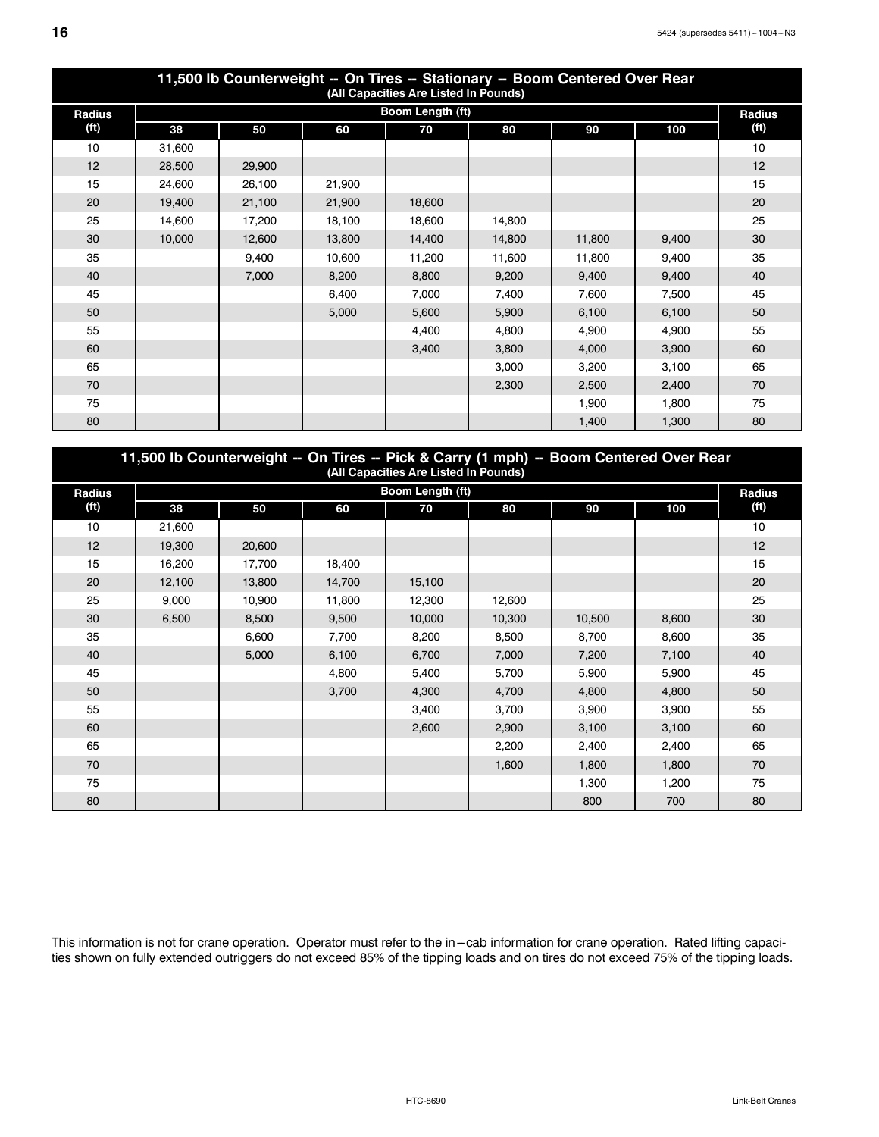| 11,500 lb Counterweight -- On Tires -- Stationary -- Boom Centered Over Rear<br>(All Capacities Are Listed In Pounds) |                                                |        |        |                  |        |        |       |                   |  |  |  |  |
|-----------------------------------------------------------------------------------------------------------------------|------------------------------------------------|--------|--------|------------------|--------|--------|-------|-------------------|--|--|--|--|
| Radius                                                                                                                |                                                |        |        | Boom Length (ft) |        |        |       | Radius            |  |  |  |  |
| (f <sup>t</sup> )                                                                                                     | 38                                             | 50     | 60     | 70               | 80     | 90     | 100   | (f <sup>t</sup> ) |  |  |  |  |
| 10                                                                                                                    | 31,600                                         |        |        |                  |        |        |       | 10                |  |  |  |  |
| 12                                                                                                                    | 28,500                                         | 29,900 |        |                  |        |        |       | 12                |  |  |  |  |
| 15                                                                                                                    | 24,600                                         | 26,100 | 21,900 |                  |        |        |       | 15                |  |  |  |  |
| 20                                                                                                                    | 19,400                                         | 21,100 | 21,900 | 18,600           |        |        |       | 20                |  |  |  |  |
| 25                                                                                                                    | 14,600<br>17,200<br>18,100<br>14,800<br>18,600 |        |        |                  |        |        |       |                   |  |  |  |  |
| 30                                                                                                                    | 10,000                                         | 12,600 | 13,800 | 14,400           | 14,800 | 11,800 | 9,400 | 30                |  |  |  |  |
| 35                                                                                                                    |                                                | 9,400  | 10,600 | 11,200           | 11,600 | 11,800 | 9,400 | 35                |  |  |  |  |
| 40                                                                                                                    |                                                | 7,000  | 8,200  | 8.800            | 9,200  | 9,400  | 9,400 | 40                |  |  |  |  |
| 45                                                                                                                    |                                                |        | 6,400  | 7,000            | 7,400  | 7,600  | 7.500 | 45                |  |  |  |  |
| 50                                                                                                                    |                                                |        | 5,000  | 5,600            | 5,900  | 6,100  | 6,100 | 50                |  |  |  |  |
| 55                                                                                                                    |                                                |        |        | 4,400            | 4,800  | 4,900  | 4,900 | 55                |  |  |  |  |
| 60                                                                                                                    |                                                |        |        | 3,400            | 3,800  | 4,000  | 3,900 | 60                |  |  |  |  |
| 65                                                                                                                    |                                                |        |        |                  | 3,000  | 3,200  | 3,100 | 65                |  |  |  |  |
| 70                                                                                                                    |                                                |        |        |                  | 2,300  | 2,500  | 2,400 | 70                |  |  |  |  |
| 75                                                                                                                    |                                                |        |        |                  |        | 1,900  | 1,800 | 75                |  |  |  |  |
| 80                                                                                                                    |                                                |        |        |                  |        | 1,400  | 1.300 | 80                |  |  |  |  |

|                   | 11,500 lb Counterweight -- On Tires -- Pick & Carry (1 mph) -- Boom Centered Over Rear<br>(All Capacities Are Listed In Pounds) |        |        |                  |        |        |       |                   |  |  |  |  |  |
|-------------------|---------------------------------------------------------------------------------------------------------------------------------|--------|--------|------------------|--------|--------|-------|-------------------|--|--|--|--|--|
| Radius            |                                                                                                                                 |        |        | Boom Length (ft) |        |        |       | <b>Radius</b>     |  |  |  |  |  |
| (f <sup>t</sup> ) | 38                                                                                                                              | 50     | 60     | 70               | 80     | 90     | 100   | (f <sup>t</sup> ) |  |  |  |  |  |
| 10                | 21,600                                                                                                                          |        |        |                  |        |        |       | 10                |  |  |  |  |  |
| 12                | 19,300                                                                                                                          | 20,600 |        |                  |        |        |       | 12                |  |  |  |  |  |
| 15                | 16,200                                                                                                                          | 17,700 | 18,400 |                  |        |        |       | 15                |  |  |  |  |  |
| 20                | 12,100                                                                                                                          | 13,800 | 14,700 | 15,100           |        |        |       | 20                |  |  |  |  |  |
| 25                | 9,000<br>10,900<br>11,800<br>12,300<br>12,600                                                                                   |        |        |                  |        |        |       |                   |  |  |  |  |  |
| 30                | 6,500                                                                                                                           | 8,500  | 9,500  | 10,000           | 10,300 | 10,500 | 8,600 | 30                |  |  |  |  |  |
| 35                |                                                                                                                                 | 6,600  | 7,700  | 8,200            | 8,500  | 8,700  | 8,600 | 35                |  |  |  |  |  |
| 40                |                                                                                                                                 | 5,000  | 6,100  | 6,700            | 7,000  | 7,200  | 7,100 | 40                |  |  |  |  |  |
| 45                |                                                                                                                                 |        | 4,800  | 5,400            | 5,700  | 5,900  | 5,900 | 45                |  |  |  |  |  |
| 50                |                                                                                                                                 |        | 3,700  | 4,300            | 4,700  | 4,800  | 4,800 | 50                |  |  |  |  |  |
| 55                |                                                                                                                                 |        |        | 3,400            | 3,700  | 3,900  | 3,900 | 55                |  |  |  |  |  |
| 60                |                                                                                                                                 |        |        | 2,600            | 2,900  | 3,100  | 3,100 | 60                |  |  |  |  |  |
| 65                |                                                                                                                                 |        |        |                  | 2,200  | 2,400  | 2,400 | 65                |  |  |  |  |  |
| 70                |                                                                                                                                 |        |        |                  | 1,600  | 1,800  | 1,800 | 70                |  |  |  |  |  |
| 75                |                                                                                                                                 |        |        |                  |        | 1,300  | 1,200 | 75                |  |  |  |  |  |
| 80                |                                                                                                                                 |        |        |                  |        | 800    | 700   | 80                |  |  |  |  |  |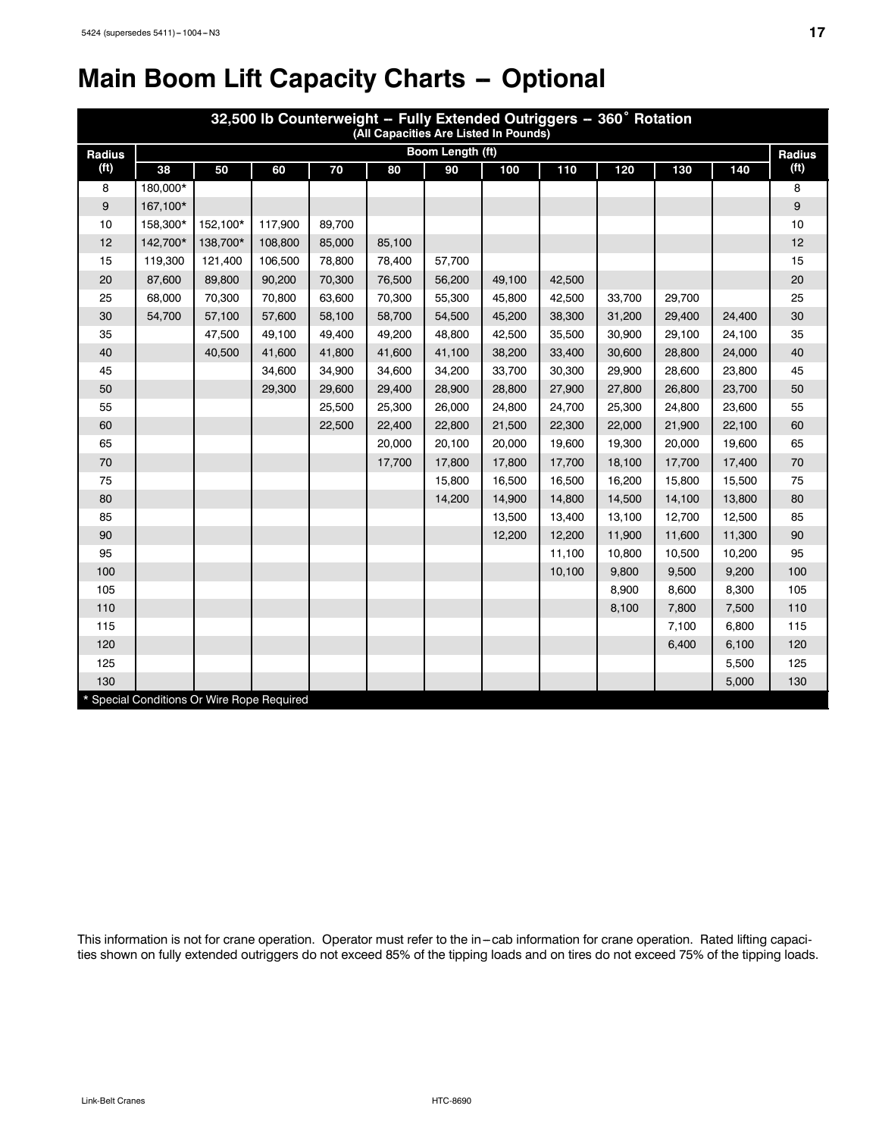# **Main Boom Lift Capacity Charts - Optional**

| 32,500 lb Counterweight -- Fully Extended Outriggers -- 360° Rotation<br>(All Capacities Are Listed In Pounds) |                                            |          |         |        |        |                  |        |        |        |        |        |                   |
|----------------------------------------------------------------------------------------------------------------|--------------------------------------------|----------|---------|--------|--------|------------------|--------|--------|--------|--------|--------|-------------------|
| Radius                                                                                                         |                                            |          |         |        |        | Boom Length (ft) |        |        |        |        |        | Radius            |
| (f <sup>t</sup> )                                                                                              | 38                                         | 50       | 60      | 70     | 80     | 90               | 100    | 110    | 120    | 130    | 140    | (f <sup>t</sup> ) |
| 8                                                                                                              | 180,000*                                   |          |         |        |        |                  |        |        |        |        |        | 8                 |
| 9                                                                                                              | 167,100*                                   |          |         |        |        |                  |        |        |        |        |        | 9                 |
| 10                                                                                                             | 158,300*                                   | 152,100* | 117,900 | 89,700 |        |                  |        |        |        |        |        | 10                |
| 12                                                                                                             | 142,700*                                   | 138,700* | 108,800 | 85,000 | 85,100 |                  |        |        |        |        |        | 12                |
| 15                                                                                                             | 119,300                                    | 121,400  | 106,500 | 78,800 | 78,400 | 57,700           |        |        |        |        |        | 15                |
| 20                                                                                                             | 87.600                                     | 89,800   | 90,200  | 70,300 | 76,500 | 56,200           | 49,100 | 42,500 |        |        |        | 20                |
| 25                                                                                                             | 68,000                                     | 70,300   | 70,800  | 63,600 | 70,300 | 55,300           | 45,800 | 42,500 | 33,700 | 29,700 |        | 25                |
| 30                                                                                                             | 54,700                                     | 57,100   | 57,600  | 58,100 | 58,700 | 54,500           | 45,200 | 38,300 | 31,200 | 29,400 | 24,400 | 30                |
| 35                                                                                                             |                                            | 47,500   | 49,100  | 49,400 | 49,200 | 48,800           | 42,500 | 35,500 | 30,900 | 29,100 | 24,100 | 35                |
| 40                                                                                                             |                                            | 40,500   | 41,600  | 41,800 | 41,600 | 41,100           | 38,200 | 33,400 | 30,600 | 28,800 | 24,000 | 40                |
| 45                                                                                                             |                                            |          | 34,600  | 34,900 | 34,600 | 34,200           | 33,700 | 30,300 | 29,900 | 28,600 | 23,800 | 45                |
| 50                                                                                                             |                                            |          | 29,300  | 29,600 | 29,400 | 28,900           | 28,800 | 27,900 | 27,800 | 26,800 | 23,700 | 50                |
| 55                                                                                                             |                                            |          |         | 25,500 | 25.300 | 26,000           | 24,800 | 24,700 | 25,300 | 24,800 | 23,600 | 55                |
| 60                                                                                                             |                                            |          |         | 22,500 | 22,400 | 22,800           | 21,500 | 22,300 | 22,000 | 21,900 | 22,100 | 60                |
| 65                                                                                                             |                                            |          |         |        | 20,000 | 20.100           | 20,000 | 19,600 | 19,300 | 20,000 | 19,600 | 65                |
| 70                                                                                                             |                                            |          |         |        | 17,700 | 17,800           | 17,800 | 17,700 | 18,100 | 17,700 | 17,400 | 70                |
| 75                                                                                                             |                                            |          |         |        |        | 15,800           | 16,500 | 16,500 | 16,200 | 15,800 | 15,500 | 75                |
| 80                                                                                                             |                                            |          |         |        |        | 14,200           | 14,900 | 14,800 | 14,500 | 14,100 | 13,800 | 80                |
| 85                                                                                                             |                                            |          |         |        |        |                  | 13,500 | 13,400 | 13,100 | 12,700 | 12,500 | 85                |
| 90                                                                                                             |                                            |          |         |        |        |                  | 12,200 | 12,200 | 11,900 | 11,600 | 11,300 | 90                |
| 95                                                                                                             |                                            |          |         |        |        |                  |        | 11,100 | 10,800 | 10,500 | 10,200 | 95                |
| 100                                                                                                            |                                            |          |         |        |        |                  |        | 10,100 | 9,800  | 9,500  | 9,200  | 100               |
| 105                                                                                                            |                                            |          |         |        |        |                  |        |        | 8,900  | 8,600  | 8,300  | 105               |
| 110                                                                                                            |                                            |          |         |        |        |                  |        |        | 8,100  | 7,800  | 7,500  | 110               |
| 115                                                                                                            |                                            |          |         |        |        |                  |        |        |        | 7,100  | 6,800  | 115               |
| 120                                                                                                            |                                            |          |         |        |        |                  |        |        |        | 6,400  | 6,100  | 120               |
| 125                                                                                                            |                                            |          |         |        |        |                  |        |        |        |        | 5,500  | 125               |
| 130                                                                                                            |                                            |          |         |        |        |                  |        |        |        |        | 5,000  | 130               |
|                                                                                                                | * Special Conditions Or Wire Rope Required |          |         |        |        |                  |        |        |        |        |        |                   |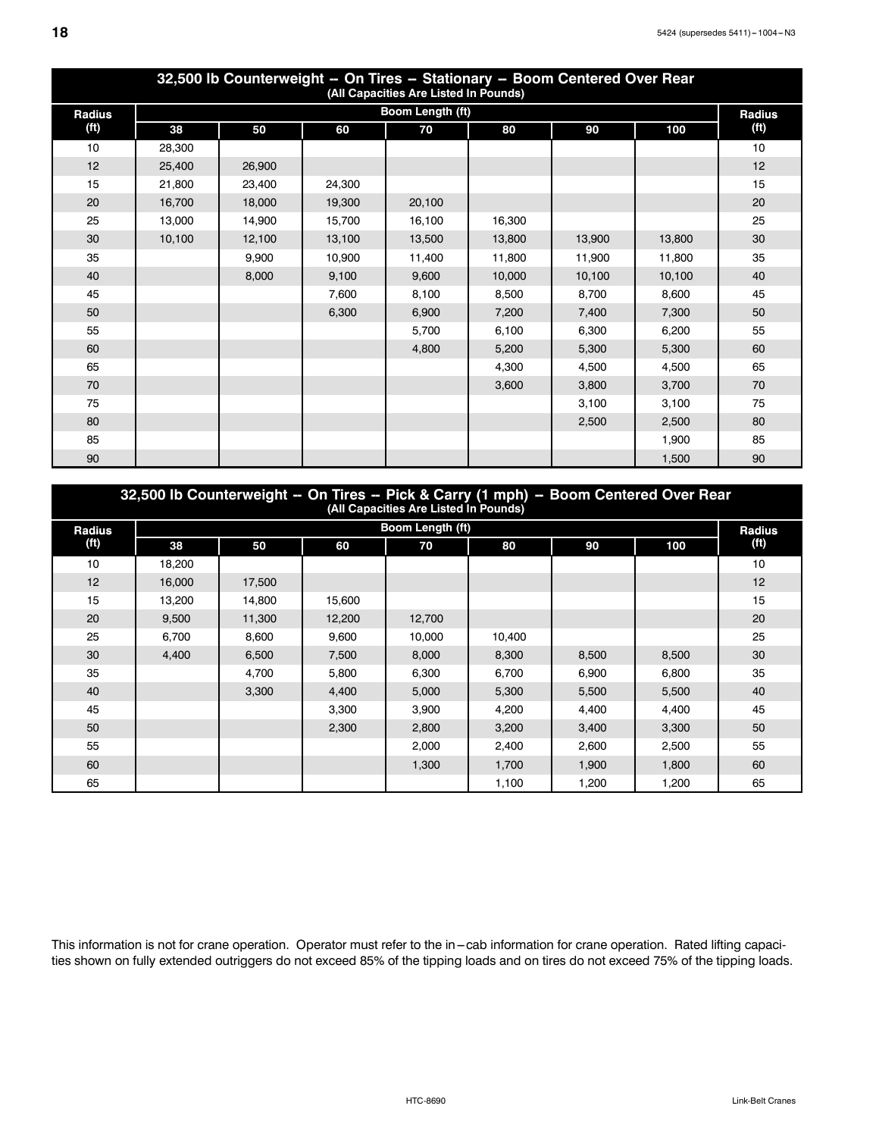| 32,500 lb Counterweight - On Tires - Stationary -- Boom Centered Over Rear<br>(All Capacities Are Listed In Pounds) |        |        |        |                  |        |        |        |                   |  |  |  |  |
|---------------------------------------------------------------------------------------------------------------------|--------|--------|--------|------------------|--------|--------|--------|-------------------|--|--|--|--|
| Radius                                                                                                              |        |        |        | Boom Length (ft) |        |        |        | Radius            |  |  |  |  |
| (f <sup>t</sup> )                                                                                                   | 38     | 50     | 60     | 70               | 80     | 90     | 100    | (f <sup>t</sup> ) |  |  |  |  |
| 10                                                                                                                  | 28,300 |        |        |                  |        |        |        | 10                |  |  |  |  |
| 12                                                                                                                  | 25,400 | 26,900 |        |                  |        |        |        | 12                |  |  |  |  |
| 15                                                                                                                  | 21,800 | 23,400 | 24,300 |                  |        |        |        | 15                |  |  |  |  |
| 20                                                                                                                  | 16,700 | 18,000 | 19,300 | 20,100           |        |        |        | 20                |  |  |  |  |
| 25                                                                                                                  | 13,000 | 14,900 | 15,700 | 16,100           | 16,300 |        |        | 25                |  |  |  |  |
| 30                                                                                                                  | 10,100 | 12,100 | 13,100 | 13,500           | 13,800 | 13,900 | 13,800 | 30                |  |  |  |  |
| 35                                                                                                                  |        | 9.900  | 10,900 | 11,400           | 11,800 | 11,900 | 11,800 | 35                |  |  |  |  |
| 40                                                                                                                  |        | 8,000  | 9,100  | 9,600            | 10,000 | 10,100 | 10,100 | 40                |  |  |  |  |
| 45                                                                                                                  |        |        | 7,600  | 8,100            | 8,500  | 8,700  | 8,600  | 45                |  |  |  |  |
| 50                                                                                                                  |        |        | 6,300  | 6,900            | 7,200  | 7,400  | 7,300  | 50                |  |  |  |  |
| 55                                                                                                                  |        |        |        | 5,700            | 6,100  | 6,300  | 6,200  | 55                |  |  |  |  |
| 60                                                                                                                  |        |        |        | 4,800            | 5,200  | 5,300  | 5,300  | 60                |  |  |  |  |
| 65                                                                                                                  |        |        |        |                  | 4,300  | 4,500  | 4,500  | 65                |  |  |  |  |
| 70                                                                                                                  |        |        |        |                  | 3,600  | 3,800  | 3,700  | 70                |  |  |  |  |
| 75                                                                                                                  |        |        |        |                  |        | 3,100  | 3,100  | 75                |  |  |  |  |
| 80                                                                                                                  |        |        |        |                  |        | 2,500  | 2,500  | 80                |  |  |  |  |
| 85                                                                                                                  |        |        |        |                  |        |        | 1,900  | 85                |  |  |  |  |
| 90                                                                                                                  |        |        |        |                  |        |        | 1,500  | 90                |  |  |  |  |

|               | 32,500 lb Counterweight - On Tires -- Pick & Carry (1 mph) -- Boom Centered Over Rear<br>(All Capacities Are Listed In Pounds) |        |        |                         |        |       |       |                   |  |  |  |  |  |
|---------------|--------------------------------------------------------------------------------------------------------------------------------|--------|--------|-------------------------|--------|-------|-------|-------------------|--|--|--|--|--|
| <b>Radius</b> |                                                                                                                                |        |        | <b>Boom Length (ft)</b> |        |       |       | Radius            |  |  |  |  |  |
| (ft)          | 38                                                                                                                             | 50     | 60     | 70                      | 80     | 90    | 100   | (f <sup>t</sup> ) |  |  |  |  |  |
| 10            | 18,200                                                                                                                         |        |        |                         |        |       |       | 10                |  |  |  |  |  |
| 12            | 16,000                                                                                                                         | 17,500 |        |                         |        |       |       | 12                |  |  |  |  |  |
| 15            | 13,200                                                                                                                         | 14,800 | 15,600 |                         |        |       |       | 15                |  |  |  |  |  |
| 20            | 9,500                                                                                                                          | 11,300 | 12,200 | 12.700                  |        |       |       | 20                |  |  |  |  |  |
| 25            | 6.700                                                                                                                          | 8.600  | 9,600  | 10,000                  | 10,400 |       |       | 25                |  |  |  |  |  |
| 30            | 4,400                                                                                                                          | 6,500  | 7,500  | 8,000                   | 8,300  | 8,500 | 8,500 | 30                |  |  |  |  |  |
| 35            |                                                                                                                                | 4.700  | 5.800  | 6.300                   | 6.700  | 6.900 | 6.800 | 35                |  |  |  |  |  |
| 40            |                                                                                                                                | 3,300  | 4,400  | 5,000                   | 5,300  | 5,500 | 5,500 | 40                |  |  |  |  |  |
| 45            |                                                                                                                                |        | 3,300  | 3.900                   | 4.200  | 4,400 | 4,400 | 45                |  |  |  |  |  |
| 50            |                                                                                                                                |        | 2.300  | 2,800                   | 3,200  | 3,400 | 3,300 | 50                |  |  |  |  |  |
| 55            |                                                                                                                                |        |        | 2.000                   | 2,400  | 2,600 | 2,500 | 55                |  |  |  |  |  |
| 60            |                                                                                                                                |        |        | 1,300                   | 1,700  | 1,900 | 1,800 | 60                |  |  |  |  |  |
| 65            |                                                                                                                                |        |        |                         | 1.100  | 1,200 | 1.200 | 65                |  |  |  |  |  |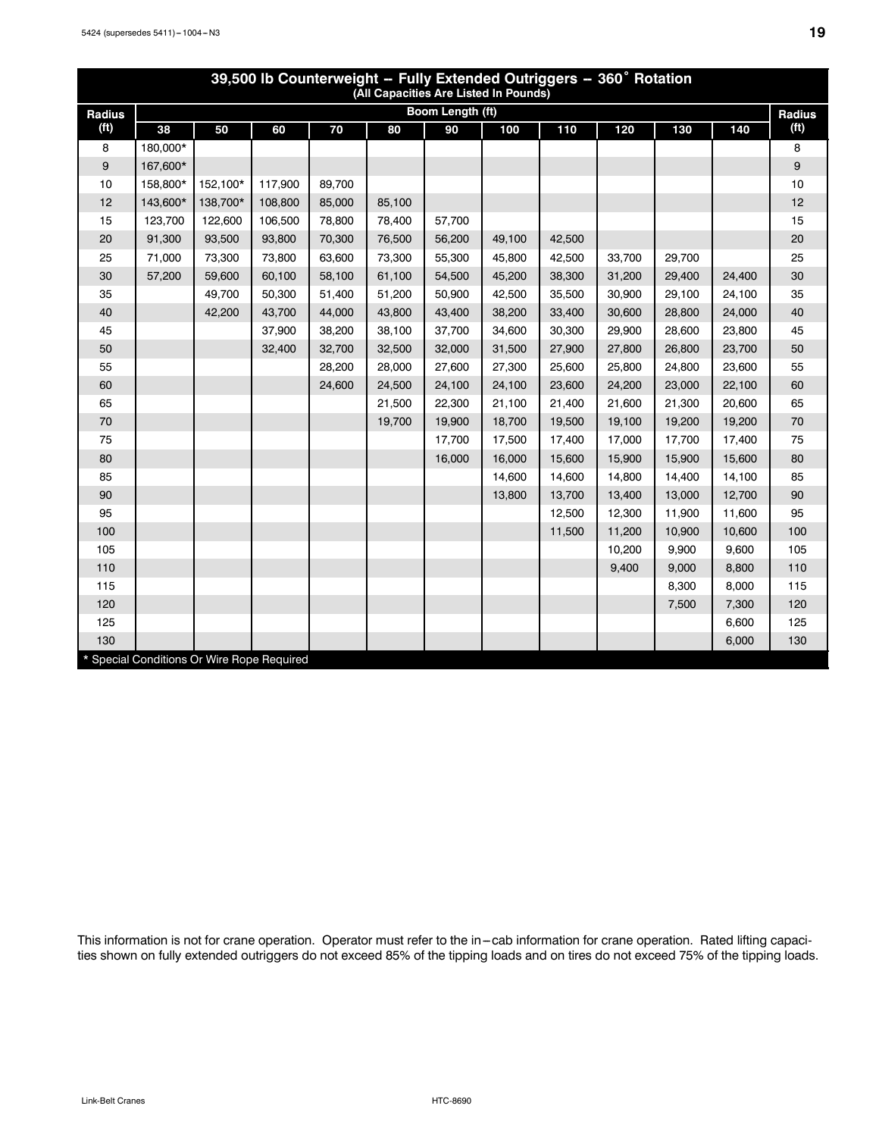| 39,500 lb Counterweight -- Fully Extended Outriggers -- 360° Rotation<br>(All Capacities Are Listed In Pounds) |          |                                            |         |        |        |                  |        |        |        |        |        |                   |
|----------------------------------------------------------------------------------------------------------------|----------|--------------------------------------------|---------|--------|--------|------------------|--------|--------|--------|--------|--------|-------------------|
| Radius                                                                                                         |          |                                            |         |        |        | Boom Length (ft) |        |        |        |        |        | Radius            |
| (f <sup>t</sup> )                                                                                              | 38       | 50                                         | 60      | 70     | 80     | 90               | 100    | 110    | 120    | 130    | 140    | (f <sup>t</sup> ) |
| 8                                                                                                              | 180,000* |                                            |         |        |        |                  |        |        |        |        |        | 8                 |
| 9                                                                                                              | 167,600* |                                            |         |        |        |                  |        |        |        |        |        | 9                 |
| 10                                                                                                             | 158,800* | 152,100*                                   | 117,900 | 89,700 |        |                  |        |        |        |        |        | 10                |
| 12                                                                                                             | 143,600* | 138,700*                                   | 108,800 | 85,000 | 85,100 |                  |        |        |        |        |        | 12                |
| 15                                                                                                             | 123,700  | 122,600                                    | 106,500 | 78,800 | 78,400 | 57,700           |        |        |        |        |        | 15                |
| 20                                                                                                             | 91,300   | 93,500                                     | 93,800  | 70,300 | 76,500 | 56,200           | 49,100 | 42,500 |        |        |        | 20                |
| 25                                                                                                             | 71,000   | 73,300                                     | 73,800  | 63,600 | 73,300 | 55,300           | 45,800 | 42,500 | 33,700 | 29,700 |        | 25                |
| 30                                                                                                             | 57,200   | 59,600                                     | 60,100  | 58,100 | 61,100 | 54,500           | 45,200 | 38,300 | 31,200 | 29,400 | 24,400 | 30                |
| 35                                                                                                             |          | 49,700                                     | 50,300  | 51,400 | 51,200 | 50,900           | 42,500 | 35,500 | 30,900 | 29,100 | 24,100 | 35                |
| 40                                                                                                             |          | 42,200                                     | 43,700  | 44,000 | 43,800 | 43,400           | 38,200 | 33,400 | 30,600 | 28,800 | 24,000 | 40                |
| 45                                                                                                             |          |                                            | 37,900  | 38,200 | 38,100 | 37,700           | 34,600 | 30,300 | 29,900 | 28,600 | 23,800 | 45                |
| 50                                                                                                             |          |                                            | 32,400  | 32,700 | 32,500 | 32,000           | 31,500 | 27,900 | 27,800 | 26,800 | 23,700 | 50                |
| 55                                                                                                             |          |                                            |         | 28,200 | 28,000 | 27,600           | 27,300 | 25,600 | 25,800 | 24,800 | 23,600 | 55                |
| 60                                                                                                             |          |                                            |         | 24,600 | 24,500 | 24,100           | 24,100 | 23,600 | 24,200 | 23,000 | 22,100 | 60                |
| 65                                                                                                             |          |                                            |         |        | 21,500 | 22,300           | 21,100 | 21,400 | 21,600 | 21,300 | 20,600 | 65                |
| 70                                                                                                             |          |                                            |         |        | 19,700 | 19,900           | 18,700 | 19,500 | 19,100 | 19,200 | 19,200 | 70                |
| 75                                                                                                             |          |                                            |         |        |        | 17,700           | 17,500 | 17,400 | 17,000 | 17,700 | 17,400 | 75                |
| 80                                                                                                             |          |                                            |         |        |        | 16,000           | 16,000 | 15,600 | 15,900 | 15,900 | 15,600 | 80                |
| 85                                                                                                             |          |                                            |         |        |        |                  | 14,600 | 14,600 | 14,800 | 14,400 | 14,100 | 85                |
| 90                                                                                                             |          |                                            |         |        |        |                  | 13,800 | 13,700 | 13,400 | 13,000 | 12,700 | 90                |
| 95                                                                                                             |          |                                            |         |        |        |                  |        | 12,500 | 12,300 | 11,900 | 11,600 | 95                |
| 100                                                                                                            |          |                                            |         |        |        |                  |        | 11,500 | 11,200 | 10,900 | 10,600 | 100               |
| 105                                                                                                            |          |                                            |         |        |        |                  |        |        | 10,200 | 9,900  | 9,600  | 105               |
| 110                                                                                                            |          |                                            |         |        |        |                  |        |        | 9,400  | 9,000  | 8,800  | 110               |
| 115                                                                                                            |          |                                            |         |        |        |                  |        |        |        | 8,300  | 8,000  | 115               |
| 120                                                                                                            |          |                                            |         |        |        |                  |        |        |        | 7,500  | 7,300  | 120               |
| 125                                                                                                            |          |                                            |         |        |        |                  |        |        |        |        | 6,600  | 125               |
| 130                                                                                                            |          | * Special Conditions Or Wire Bone Bequired |         |        |        |                  |        |        |        |        | 6,000  | 130               |

\* Special Conditions Or Wire Rope Required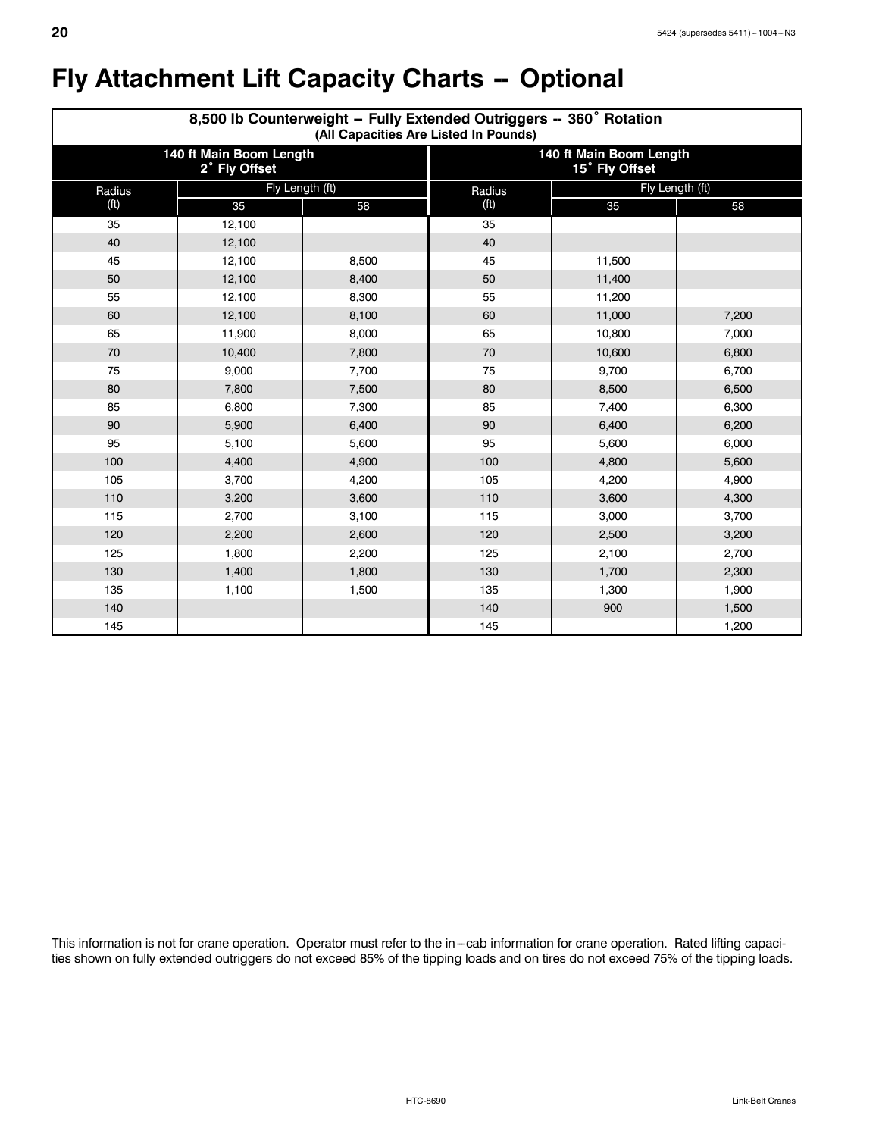| 8,500 lb Counterweight -- Fully Extended Outriggers -- 360° Rotation<br>(All Capacities Are Listed In Pounds) |                                          |       |                                           |                 |       |  |  |  |  |  |  |  |
|---------------------------------------------------------------------------------------------------------------|------------------------------------------|-------|-------------------------------------------|-----------------|-------|--|--|--|--|--|--|--|
|                                                                                                               | 140 ft Main Boom Length<br>2° Fly Offset |       | 140 ft Main Boom Length<br>15° Fly Offset |                 |       |  |  |  |  |  |  |  |
| Radius                                                                                                        | Fly Length (ft)                          |       | Radius                                    | Fly Length (ft) |       |  |  |  |  |  |  |  |
| (f <sup>t</sup> )                                                                                             | 35                                       | 58    | (f <sup>t</sup> )                         | 35              | 58    |  |  |  |  |  |  |  |
| 35                                                                                                            | 12,100                                   |       | 35                                        |                 |       |  |  |  |  |  |  |  |
| 40                                                                                                            | 12,100                                   |       | 40                                        |                 |       |  |  |  |  |  |  |  |
| 45                                                                                                            | 12,100                                   | 8,500 | 45                                        | 11,500          |       |  |  |  |  |  |  |  |
| 50                                                                                                            | 12,100                                   | 8,400 | 50                                        | 11,400          |       |  |  |  |  |  |  |  |
| 55                                                                                                            | 12,100                                   | 8,300 | 55                                        | 11,200          |       |  |  |  |  |  |  |  |
| 60                                                                                                            | 12,100                                   | 8,100 | 60                                        | 11,000          | 7,200 |  |  |  |  |  |  |  |
| 65                                                                                                            | 11,900                                   | 8,000 | 65                                        | 10,800          | 7,000 |  |  |  |  |  |  |  |
| 70                                                                                                            | 10,400                                   | 7,800 | 70                                        | 10,600          | 6,800 |  |  |  |  |  |  |  |
| 75                                                                                                            | 9,000                                    | 7,700 | 75                                        | 9,700           | 6,700 |  |  |  |  |  |  |  |
| 80                                                                                                            | 7,800                                    | 7,500 | 80                                        | 8,500           | 6,500 |  |  |  |  |  |  |  |
| 85                                                                                                            | 6,800                                    | 7,300 | 85                                        | 7,400           | 6,300 |  |  |  |  |  |  |  |
| 90                                                                                                            | 5,900                                    | 6,400 | 90                                        | 6,400           | 6,200 |  |  |  |  |  |  |  |
| 95                                                                                                            | 5,100                                    | 5,600 | 95                                        | 5,600           | 6,000 |  |  |  |  |  |  |  |
| 100                                                                                                           | 4,400                                    | 4,900 | 100                                       | 4,800           | 5,600 |  |  |  |  |  |  |  |
| 105                                                                                                           | 3,700                                    | 4,200 | 105                                       | 4,200           | 4,900 |  |  |  |  |  |  |  |
| 110                                                                                                           | 3,200                                    | 3,600 | 110                                       | 3,600           | 4,300 |  |  |  |  |  |  |  |
| 115                                                                                                           | 2,700                                    | 3,100 | 115                                       | 3,000           | 3,700 |  |  |  |  |  |  |  |
| 120                                                                                                           | 2,200                                    | 2,600 | 120                                       | 2,500           | 3,200 |  |  |  |  |  |  |  |
| 125                                                                                                           | 1,800                                    | 2,200 | 125                                       | 2,100           | 2,700 |  |  |  |  |  |  |  |
| 130                                                                                                           | 1,400                                    | 1,800 | 130                                       | 1,700           | 2,300 |  |  |  |  |  |  |  |
| 135                                                                                                           | 1,100                                    | 1,500 | 135                                       | 1,300           | 1,900 |  |  |  |  |  |  |  |
| 140                                                                                                           |                                          |       | 140                                       | 900             | 1,500 |  |  |  |  |  |  |  |
| 145                                                                                                           |                                          |       | 145                                       |                 | 1,200 |  |  |  |  |  |  |  |

# **Fly Attachment Lift Capacity Charts - Optional**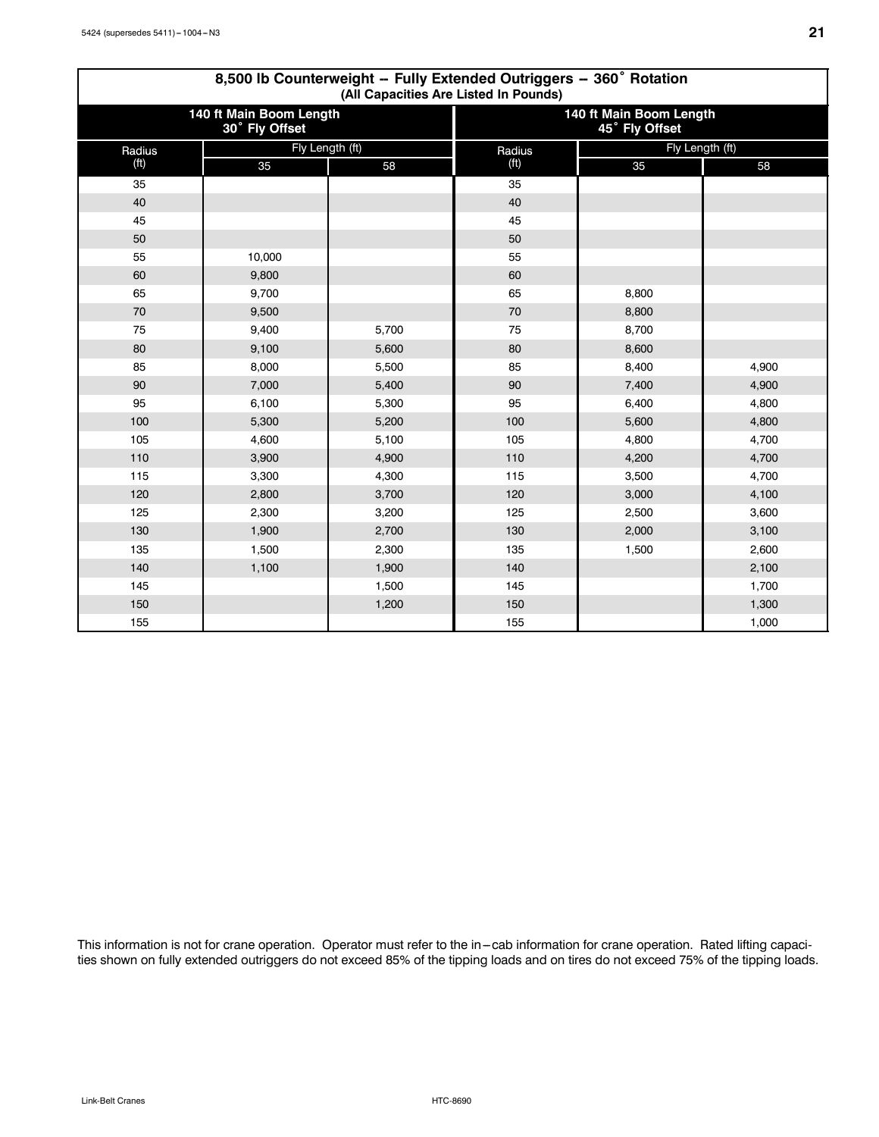| 8,500 lb Counterweight - Fully Extended Outriggers - 360° Rotation<br>(All Capacities Are Listed In Pounds) |                                           |       |                                           |                 |       |  |  |  |  |  |  |  |
|-------------------------------------------------------------------------------------------------------------|-------------------------------------------|-------|-------------------------------------------|-----------------|-------|--|--|--|--|--|--|--|
|                                                                                                             | 140 ft Main Boom Length<br>30° Fly Offset |       | 140 ft Main Boom Length<br>45° Fly Offset |                 |       |  |  |  |  |  |  |  |
| Radius                                                                                                      | Fly Length (ft)                           |       | Radius                                    | Fly Length (ft) |       |  |  |  |  |  |  |  |
| (f <sup>t</sup> )                                                                                           | 35                                        | 58    | (f <sup>t</sup> )                         | 35              | 58    |  |  |  |  |  |  |  |
| 35                                                                                                          |                                           |       | 35                                        |                 |       |  |  |  |  |  |  |  |
| 40                                                                                                          |                                           |       | 40                                        |                 |       |  |  |  |  |  |  |  |
| 45                                                                                                          |                                           |       | 45                                        |                 |       |  |  |  |  |  |  |  |
| 50                                                                                                          |                                           |       | 50                                        |                 |       |  |  |  |  |  |  |  |
| 55                                                                                                          | 10,000                                    |       | 55                                        |                 |       |  |  |  |  |  |  |  |
| 60                                                                                                          | 9,800                                     |       | 60                                        |                 |       |  |  |  |  |  |  |  |
| 65                                                                                                          | 9,700                                     |       | 65                                        | 8,800           |       |  |  |  |  |  |  |  |
| 70                                                                                                          | 9,500                                     |       | $70\,$                                    | 8,800           |       |  |  |  |  |  |  |  |
| 75                                                                                                          | 9,400                                     | 5,700 | 75                                        | 8,700           |       |  |  |  |  |  |  |  |
| 80                                                                                                          | 9,100                                     | 5,600 | 80                                        | 8,600           |       |  |  |  |  |  |  |  |
| 85                                                                                                          | 8,000                                     | 5,500 | 85                                        | 8,400           | 4,900 |  |  |  |  |  |  |  |
| 90                                                                                                          | 7,000                                     | 5,400 | 90                                        | 7,400           | 4,900 |  |  |  |  |  |  |  |
| 95                                                                                                          | 6,100                                     | 5,300 | 95                                        | 6,400           | 4,800 |  |  |  |  |  |  |  |
| 100                                                                                                         | 5,300                                     | 5,200 | 100                                       | 5,600           | 4,800 |  |  |  |  |  |  |  |
| 105                                                                                                         | 4,600                                     | 5,100 | 105                                       | 4,800           | 4,700 |  |  |  |  |  |  |  |
| 110                                                                                                         | 3,900                                     | 4,900 | 110                                       | 4,200           | 4,700 |  |  |  |  |  |  |  |
| 115                                                                                                         | 3,300                                     | 4,300 | 115                                       | 3,500           | 4,700 |  |  |  |  |  |  |  |
| 120                                                                                                         | 2,800                                     | 3,700 | 120                                       | 3,000           | 4,100 |  |  |  |  |  |  |  |
| 125                                                                                                         | 2,300                                     | 3,200 | 125                                       | 2,500           | 3,600 |  |  |  |  |  |  |  |
| 130                                                                                                         | 1,900                                     | 2,700 | 130                                       | 2,000           | 3,100 |  |  |  |  |  |  |  |
| 135                                                                                                         | 1,500                                     | 2,300 | 135                                       | 1,500           | 2,600 |  |  |  |  |  |  |  |
| 140                                                                                                         | 1,100                                     | 1,900 | 140                                       |                 | 2,100 |  |  |  |  |  |  |  |
| 145                                                                                                         |                                           | 1,500 | 145                                       |                 | 1,700 |  |  |  |  |  |  |  |
| 150                                                                                                         |                                           | 1,200 | 150                                       |                 | 1,300 |  |  |  |  |  |  |  |
| 155                                                                                                         |                                           |       | 155                                       |                 | 1,000 |  |  |  |  |  |  |  |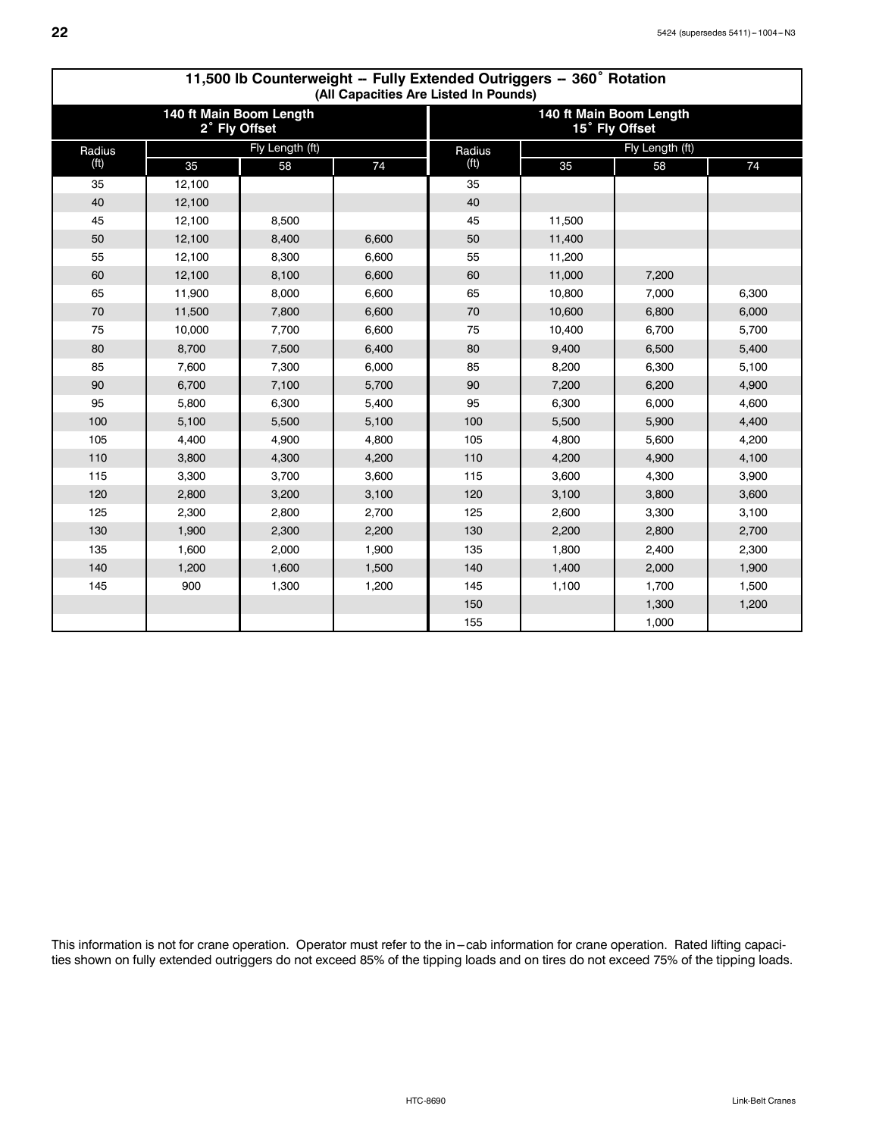|                   | 11,500 lb Counterweight -- Fully Extended Outriggers -- 360° Rotation<br>(All Capacities Are Listed In Pounds) |                                          |       |                                           |        |                 |       |  |  |  |  |  |  |  |
|-------------------|----------------------------------------------------------------------------------------------------------------|------------------------------------------|-------|-------------------------------------------|--------|-----------------|-------|--|--|--|--|--|--|--|
|                   |                                                                                                                | 140 ft Main Boom Length<br>2° Fly Offset |       | 140 ft Main Boom Length<br>15° Fly Offset |        |                 |       |  |  |  |  |  |  |  |
| Radius            |                                                                                                                | Fly Length (ft)                          |       | Radius                                    |        | Fly Length (ft) |       |  |  |  |  |  |  |  |
| (f <sup>t</sup> ) | 35                                                                                                             | 58                                       | 74    | (f <sup>t</sup> )                         | 35     | 58              | 74    |  |  |  |  |  |  |  |
| 35                | 12,100                                                                                                         |                                          |       | 35                                        |        |                 |       |  |  |  |  |  |  |  |
| 40                | 12,100                                                                                                         |                                          |       | 40                                        |        |                 |       |  |  |  |  |  |  |  |
| 45                | 12,100                                                                                                         | 8,500                                    |       | 45                                        | 11,500 |                 |       |  |  |  |  |  |  |  |
| 50                | 12,100                                                                                                         | 8,400                                    | 6,600 | 50                                        | 11,400 |                 |       |  |  |  |  |  |  |  |
| 55                | 12,100                                                                                                         | 8,300                                    | 6,600 | 55                                        | 11,200 |                 |       |  |  |  |  |  |  |  |
| 60                | 12,100                                                                                                         | 8,100                                    | 6,600 | 60                                        | 11,000 | 7,200           |       |  |  |  |  |  |  |  |
| 65                | 11,900                                                                                                         | 8,000                                    | 6,600 | 65                                        | 10,800 | 7,000           | 6,300 |  |  |  |  |  |  |  |
| 70                | 11,500                                                                                                         | 7,800                                    | 6,600 | 70                                        | 10,600 | 6,800           | 6,000 |  |  |  |  |  |  |  |
| 75                | 10,000                                                                                                         | 7,700                                    | 6,600 | 75                                        | 10,400 | 6,700           | 5,700 |  |  |  |  |  |  |  |
| 80                | 8,700                                                                                                          | 7,500                                    | 6,400 | 80                                        | 9,400  | 6,500           | 5,400 |  |  |  |  |  |  |  |
| 85                | 7,600                                                                                                          | 7,300                                    | 6,000 | 85                                        | 8,200  | 6,300           | 5,100 |  |  |  |  |  |  |  |
| 90                | 6,700                                                                                                          | 7,100                                    | 5,700 | 90                                        | 7,200  | 6,200           | 4,900 |  |  |  |  |  |  |  |
| 95                | 5,800                                                                                                          | 6,300                                    | 5,400 | 95                                        | 6,300  | 6,000           | 4,600 |  |  |  |  |  |  |  |
| 100               | 5,100                                                                                                          | 5,500                                    | 5,100 | 100                                       | 5,500  | 5,900           | 4,400 |  |  |  |  |  |  |  |
| 105               | 4,400                                                                                                          | 4,900                                    | 4,800 | 105                                       | 4,800  | 5,600           | 4,200 |  |  |  |  |  |  |  |
| 110               | 3,800                                                                                                          | 4,300                                    | 4,200 | 110                                       | 4,200  | 4,900           | 4,100 |  |  |  |  |  |  |  |
| 115               | 3,300                                                                                                          | 3,700                                    | 3,600 | 115                                       | 3,600  | 4,300           | 3,900 |  |  |  |  |  |  |  |
| 120               | 2,800                                                                                                          | 3,200                                    | 3,100 | 120                                       | 3,100  | 3,800           | 3,600 |  |  |  |  |  |  |  |
| 125               | 2,300                                                                                                          | 2,800                                    | 2,700 | 125                                       | 2,600  | 3,300           | 3,100 |  |  |  |  |  |  |  |
| 130               | 1,900                                                                                                          | 2,300                                    | 2,200 | 130                                       | 2,200  | 2,800           | 2,700 |  |  |  |  |  |  |  |
| 135               | 1,600                                                                                                          | 2,000                                    | 1,900 | 135                                       | 1,800  | 2,400           | 2,300 |  |  |  |  |  |  |  |
| 140               | 1,200                                                                                                          | 1,600                                    | 1,500 | 140                                       | 1,400  | 2,000           | 1,900 |  |  |  |  |  |  |  |
| 145               | 900                                                                                                            | 1,300                                    | 1,200 | 145                                       | 1,100  | 1,700           | 1,500 |  |  |  |  |  |  |  |
|                   |                                                                                                                |                                          |       | 150                                       |        | 1,300           | 1,200 |  |  |  |  |  |  |  |
|                   |                                                                                                                |                                          |       | 155                                       |        | 1,000           |       |  |  |  |  |  |  |  |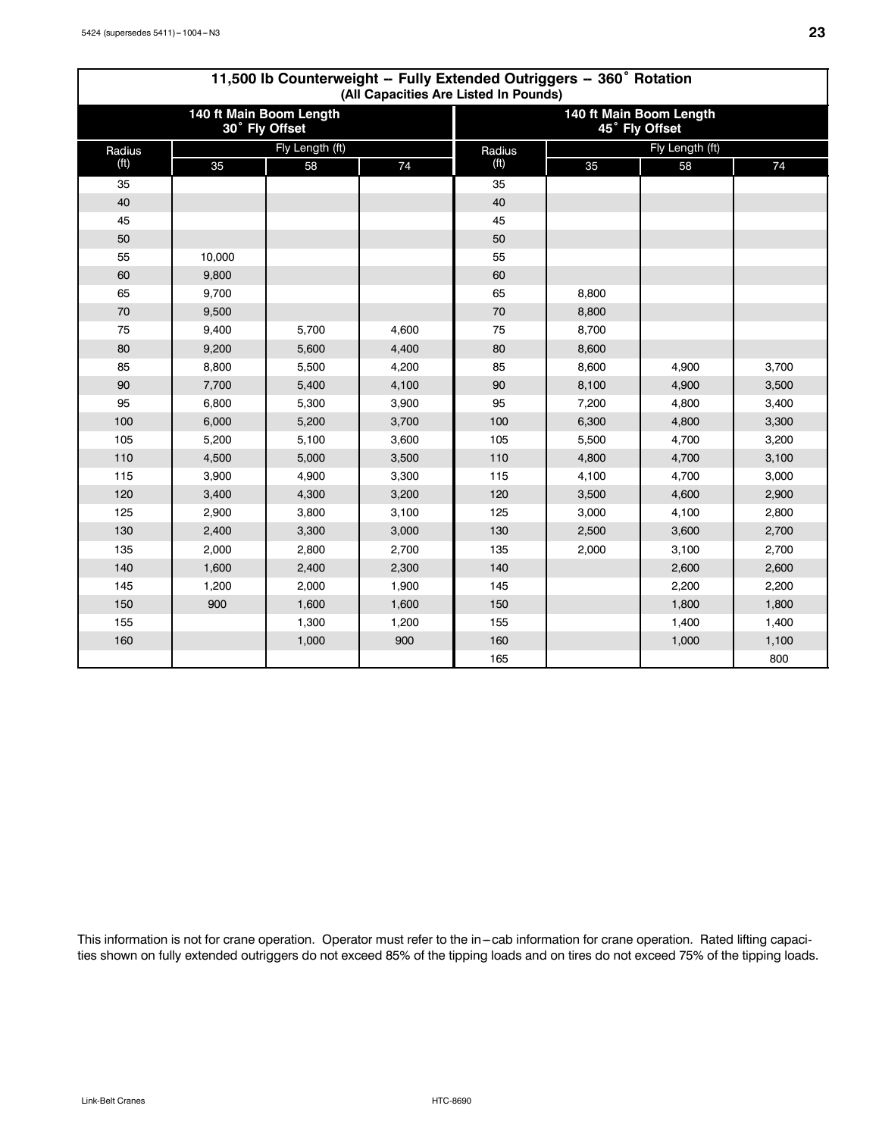|                   | 11,500 lb Counterweight -- Fully Extended Outriggers -- 360° Rotation<br>(All Capacities Are Listed In Pounds) |                         |       |                                           |       |                 |       |  |  |  |  |  |  |
|-------------------|----------------------------------------------------------------------------------------------------------------|-------------------------|-------|-------------------------------------------|-------|-----------------|-------|--|--|--|--|--|--|
|                   | 30° Fly Offset                                                                                                 | 140 ft Main Boom Length |       | 140 ft Main Boom Length<br>45° Fly Offset |       |                 |       |  |  |  |  |  |  |
| Radius            |                                                                                                                | Fly Length (ft)         |       | Radius                                    |       | Fly Length (ft) |       |  |  |  |  |  |  |
| (f <sup>t</sup> ) | 35                                                                                                             | 58                      | 74    | (f <sup>t</sup> )                         | 35    | 58              | 74    |  |  |  |  |  |  |
| 35                |                                                                                                                |                         |       | 35                                        |       |                 |       |  |  |  |  |  |  |
| 40                |                                                                                                                |                         |       | 40                                        |       |                 |       |  |  |  |  |  |  |
| 45                |                                                                                                                |                         |       | 45                                        |       |                 |       |  |  |  |  |  |  |
| 50                |                                                                                                                |                         |       | 50                                        |       |                 |       |  |  |  |  |  |  |
| 55                | 10,000                                                                                                         |                         |       | 55                                        |       |                 |       |  |  |  |  |  |  |
| 60                | 9,800                                                                                                          |                         |       | 60                                        |       |                 |       |  |  |  |  |  |  |
| 65                | 9,700                                                                                                          |                         |       | 65                                        | 8,800 |                 |       |  |  |  |  |  |  |
| 70                | 9,500                                                                                                          |                         |       | 70                                        | 8,800 |                 |       |  |  |  |  |  |  |
| 75                | 9,400                                                                                                          | 5,700                   | 4,600 | 75                                        | 8,700 |                 |       |  |  |  |  |  |  |
| 80                | 9,200                                                                                                          | 5,600                   | 4,400 | 80                                        | 8,600 |                 |       |  |  |  |  |  |  |
| 85                | 8,800                                                                                                          | 5,500                   | 4,200 | 85                                        | 8,600 | 4,900           | 3,700 |  |  |  |  |  |  |
| 90                | 7,700                                                                                                          | 5,400                   | 4,100 | 90                                        | 8,100 | 4,900           | 3,500 |  |  |  |  |  |  |
| 95                | 6,800                                                                                                          | 5,300                   | 3,900 | 95                                        | 7,200 | 4,800           | 3,400 |  |  |  |  |  |  |
| 100               | 6,000                                                                                                          | 5,200                   | 3,700 | 100                                       | 6,300 | 4,800           | 3,300 |  |  |  |  |  |  |
| 105               | 5,200                                                                                                          | 5,100                   | 3,600 | 105                                       | 5,500 | 4,700           | 3,200 |  |  |  |  |  |  |
| 110               | 4,500                                                                                                          | 5,000                   | 3,500 | 110                                       | 4,800 | 4,700           | 3,100 |  |  |  |  |  |  |
| 115               | 3,900                                                                                                          | 4,900                   | 3,300 | 115                                       | 4,100 | 4,700           | 3,000 |  |  |  |  |  |  |
| 120               | 3,400                                                                                                          | 4,300                   | 3,200 | 120                                       | 3,500 | 4,600           | 2,900 |  |  |  |  |  |  |
| 125               | 2,900                                                                                                          | 3,800                   | 3,100 | 125                                       | 3,000 | 4,100           | 2,800 |  |  |  |  |  |  |
| 130               | 2,400                                                                                                          | 3,300                   | 3,000 | 130                                       | 2,500 | 3,600           | 2,700 |  |  |  |  |  |  |
| 135               | 2,000                                                                                                          | 2,800                   | 2,700 | 135                                       | 2,000 | 3,100           | 2,700 |  |  |  |  |  |  |
| 140               | 1,600                                                                                                          | 2,400                   | 2,300 | 140                                       |       | 2,600           | 2,600 |  |  |  |  |  |  |
| 145               | 1,200                                                                                                          | 2,000                   | 1,900 | 145                                       |       | 2,200           | 2,200 |  |  |  |  |  |  |
| 150               | 900                                                                                                            | 1,600                   | 1,600 | 150                                       |       | 1,800           | 1,800 |  |  |  |  |  |  |
| 155               |                                                                                                                | 1,300                   | 1,200 | 155                                       |       | 1,400           | 1,400 |  |  |  |  |  |  |
| 160               |                                                                                                                | 1,000                   | 900   | 160                                       |       | 1,000           | 1,100 |  |  |  |  |  |  |
|                   |                                                                                                                |                         |       | 165                                       |       |                 | 800   |  |  |  |  |  |  |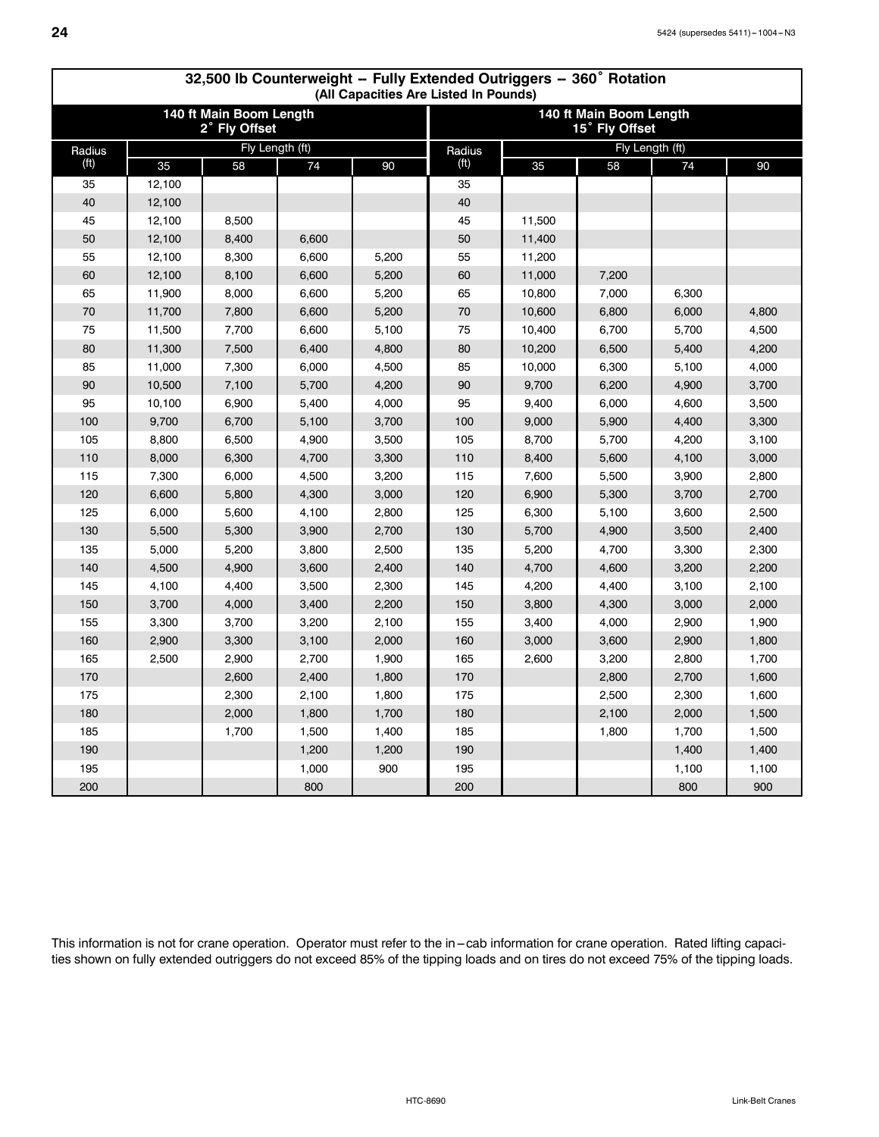| 32,500 ID Counterweight -- Fully Extended Outriggers -- 360 Hotation<br>(All Capacities Are Listed In Pounds) |        |                                          |       |       |                   |        |                                           |                 |       |  |  |  |
|---------------------------------------------------------------------------------------------------------------|--------|------------------------------------------|-------|-------|-------------------|--------|-------------------------------------------|-----------------|-------|--|--|--|
|                                                                                                               |        | 140 ft Main Boom Length<br>2° Fly Offset |       |       |                   |        | 140 ft Main Boom Length<br>15° Fly Offset |                 |       |  |  |  |
| Radius                                                                                                        |        | Fly Length (ft)                          |       |       | Radius            |        |                                           | Fly Length (ft) |       |  |  |  |
| (f <sup>t</sup> )                                                                                             | 35     | 58                                       | 74    | 90    | (f <sup>t</sup> ) | 35     | 58                                        | 74              | 90    |  |  |  |
| 35                                                                                                            | 12,100 |                                          |       |       | 35                |        |                                           |                 |       |  |  |  |
| 40                                                                                                            | 12,100 |                                          |       |       | 40                |        |                                           |                 |       |  |  |  |
| 45                                                                                                            | 12,100 | 8,500                                    |       |       | 45                | 11,500 |                                           |                 |       |  |  |  |
| 50                                                                                                            | 12,100 | 8,400                                    | 6,600 |       | 50                | 11,400 |                                           |                 |       |  |  |  |
| 55                                                                                                            | 12,100 | 8,300                                    | 6,600 | 5,200 | 55                | 11,200 |                                           |                 |       |  |  |  |
| 60                                                                                                            | 12,100 | 8,100                                    | 6,600 | 5,200 | 60                | 11,000 | 7,200                                     |                 |       |  |  |  |
| 65                                                                                                            | 11,900 | 8,000                                    | 6,600 | 5,200 | 65                | 10,800 | 7,000                                     | 6,300           |       |  |  |  |
| 70                                                                                                            | 11,700 | 7,800                                    | 6,600 | 5,200 | 70                | 10,600 | 6,800                                     | 6,000           | 4,800 |  |  |  |
| 75                                                                                                            | 11,500 | 7,700                                    | 6,600 | 5,100 | 75                | 10,400 | 6,700                                     | 5,700           | 4,500 |  |  |  |
| 80                                                                                                            | 11,300 | 7,500                                    | 6,400 | 4,800 | 80                | 10,200 | 6,500                                     | 5,400           | 4,200 |  |  |  |
| 85                                                                                                            | 11,000 | 7,300                                    | 6,000 | 4,500 | 85                | 10,000 | 6,300                                     | 5,100           | 4,000 |  |  |  |
| 90                                                                                                            | 10,500 | 7,100                                    | 5,700 | 4,200 | 90                | 9,700  | 6,200                                     | 4,900           | 3,700 |  |  |  |
| 95                                                                                                            | 10,100 | 6,900                                    | 5,400 | 4,000 | 95                | 9,400  | 6,000                                     | 4,600           | 3,500 |  |  |  |
| 100                                                                                                           | 9,700  | 6,700                                    | 5,100 | 3,700 | 100               | 9,000  | 5,900                                     | 4,400           | 3,300 |  |  |  |
| 105                                                                                                           | 8,800  | 6,500                                    | 4,900 | 3,500 | 105               | 8,700  | 5,700                                     | 4,200           | 3,100 |  |  |  |
| 110                                                                                                           | 8,000  | 6,300                                    | 4,700 | 3,300 | 110               | 8,400  | 5,600                                     | 4,100           | 3,000 |  |  |  |
| 115                                                                                                           | 7,300  | 6,000                                    | 4,500 | 3,200 | 115               | 7,600  | 5,500                                     | 3,900           | 2,800 |  |  |  |
| 120                                                                                                           | 6,600  | 5,800                                    | 4,300 | 3,000 | 120               | 6,900  | 5,300                                     | 3,700           | 2,700 |  |  |  |
| 125                                                                                                           | 6,000  | 5,600                                    | 4,100 | 2,800 | 125               | 6,300  | 5,100                                     | 3,600           | 2,500 |  |  |  |
| 130                                                                                                           | 5,500  | 5,300                                    | 3,900 | 2,700 | 130               | 5,700  | 4,900                                     | 3,500           | 2,400 |  |  |  |
| 135                                                                                                           | 5,000  | 5,200                                    | 3,800 | 2,500 | 135               | 5,200  | 4,700                                     | 3,300           | 2,300 |  |  |  |
| 140                                                                                                           | 4,500  | 4,900                                    | 3,600 | 2,400 | 140               | 4,700  | 4,600                                     | 3,200           | 2,200 |  |  |  |
| 145                                                                                                           | 4,100  | 4,400                                    | 3,500 | 2,300 | 145               | 4,200  | 4,400                                     | 3,100           | 2,100 |  |  |  |
| 150                                                                                                           | 3,700  | 4,000                                    | 3,400 | 2,200 | 150               | 3,800  | 4,300                                     | 3,000           | 2,000 |  |  |  |
| 155                                                                                                           | 3,300  | 3,700                                    | 3,200 | 2,100 | 155               | 3,400  | 4,000                                     | 2,900           | 1,900 |  |  |  |
| 160                                                                                                           | 2,900  | 3,300                                    | 3,100 | 2,000 | 160               | 3,000  | 3,600                                     | 2,900           | 1,800 |  |  |  |
| 165                                                                                                           | 2,500  | 2,900                                    | 2,700 | 1,900 | 165               | 2,600  | 3,200                                     | 2,800           | 1,700 |  |  |  |
| 170                                                                                                           |        | 2,600                                    | 2,400 | 1,800 | 170               |        | 2,800                                     | 2,700           | 1,600 |  |  |  |
| 175                                                                                                           |        | 2,300                                    | 2,100 | 1,800 | 175               |        | 2,500                                     | 2,300           | 1,600 |  |  |  |
| 180                                                                                                           |        | 2,000                                    | 1,800 | 1,700 | 180               |        | 2,100                                     | 2,000           | 1,500 |  |  |  |
| 185                                                                                                           |        | 1,700                                    | 1,500 | 1,400 | 185               |        | 1,800                                     | 1,700           | 1,500 |  |  |  |
| 190                                                                                                           |        |                                          | 1,200 | 1,200 | 190               |        |                                           | 1,400           | 1,400 |  |  |  |
| 195                                                                                                           |        |                                          | 1,000 | 900   | 195               |        |                                           | 1,100           | 1,100 |  |  |  |
| 200                                                                                                           |        |                                          | 800   |       | 200               |        |                                           | 800             | 900   |  |  |  |

**32,500 lb Counterweight -- Fully Extended Outriggers -- 360˚ Rotation**

This information is not for crane operation. Operator must refer to the in-cab information for crane operation. Rated lifting capacities shown on fully extended outriggers do not exceed 85% of the tipping loads and on tires do not exceed 75% of the tipping loads.

 $\mathsf{r}$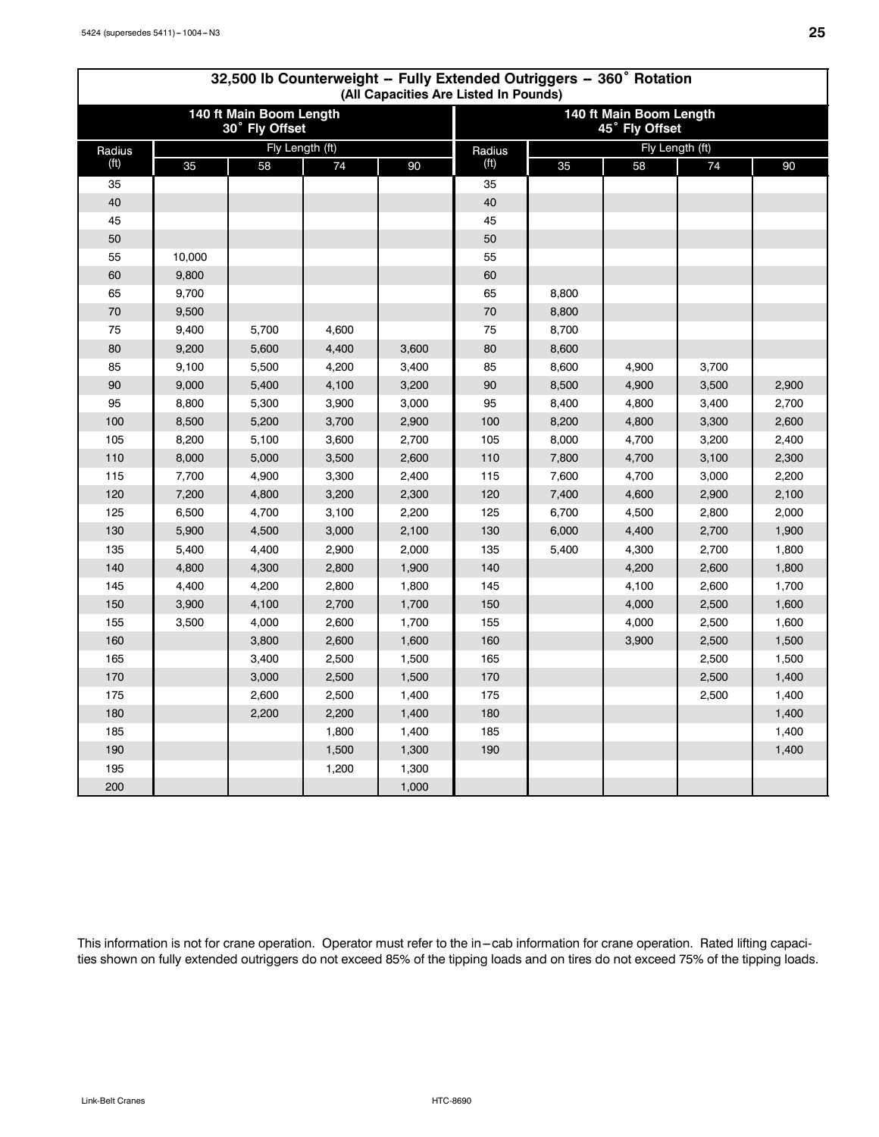|                   | 32,500 lb Counterweight -- Fully Extended Outriggers -- 360˚ Rotation<br>(All Capacities Are Listed In Pounds) |                                           |                 |       |                   |       |                                           |                 |       |  |  |  |  |  |
|-------------------|----------------------------------------------------------------------------------------------------------------|-------------------------------------------|-----------------|-------|-------------------|-------|-------------------------------------------|-----------------|-------|--|--|--|--|--|
|                   |                                                                                                                | 140 ft Main Boom Length<br>30° Fly Offset |                 |       |                   |       | 140 ft Main Boom Length<br>45° Fly Offset |                 |       |  |  |  |  |  |
| Radius            |                                                                                                                |                                           | Fly Length (ft) |       | Radius            |       |                                           | Fly Length (ft) |       |  |  |  |  |  |
| (f <sup>t</sup> ) | 35                                                                                                             | 58                                        | 74              | 90    | (f <sup>t</sup> ) | 35    | 58                                        | 74              | 90    |  |  |  |  |  |
| 35                |                                                                                                                |                                           |                 |       | 35                |       |                                           |                 |       |  |  |  |  |  |
| 40                |                                                                                                                |                                           |                 |       | 40                |       |                                           |                 |       |  |  |  |  |  |
| 45                |                                                                                                                |                                           |                 |       | 45                |       |                                           |                 |       |  |  |  |  |  |
| 50                |                                                                                                                |                                           |                 |       | 50                |       |                                           |                 |       |  |  |  |  |  |
| 55                | 10,000                                                                                                         |                                           |                 |       | 55                |       |                                           |                 |       |  |  |  |  |  |
| 60                | 9,800                                                                                                          |                                           |                 |       | 60                |       |                                           |                 |       |  |  |  |  |  |
| 65                | 9,700                                                                                                          |                                           |                 |       | 65                | 8,800 |                                           |                 |       |  |  |  |  |  |
| 70                | 9,500                                                                                                          |                                           |                 |       | 70                | 8,800 |                                           |                 |       |  |  |  |  |  |
| 75                | 9,400                                                                                                          | 5,700                                     | 4,600           |       | 75                | 8,700 |                                           |                 |       |  |  |  |  |  |
| 80                | 9,200                                                                                                          | 5,600                                     | 4,400           | 3,600 | 80                | 8,600 |                                           |                 |       |  |  |  |  |  |
| 85                | 9,100                                                                                                          | 5,500                                     | 4,200           | 3,400 | 85                | 8,600 | 4,900                                     | 3,700           |       |  |  |  |  |  |
| 90                | 9,000                                                                                                          | 5,400                                     | 4,100           | 3,200 | 90                | 8,500 | 4,900                                     | 3,500           | 2,900 |  |  |  |  |  |
| 95                | 8,800                                                                                                          | 5,300                                     | 3,900           | 3,000 | 95                | 8,400 | 4,800                                     | 3,400           | 2,700 |  |  |  |  |  |
| 100               | 8,500                                                                                                          | 5,200                                     | 3,700           | 2,900 | 100               | 8,200 | 4,800                                     | 3,300           | 2,600 |  |  |  |  |  |
| 105               | 8,200                                                                                                          | 5,100                                     | 3,600           | 2,700 | 105               | 8,000 | 4,700                                     | 3,200           | 2,400 |  |  |  |  |  |
| 110               | 8,000                                                                                                          | 5,000                                     | 3,500           | 2,600 | 110               | 7,800 | 4,700                                     | 3,100           | 2,300 |  |  |  |  |  |
| 115               | 7,700                                                                                                          | 4,900                                     | 3,300           | 2,400 | 115               | 7,600 | 4,700                                     | 3,000           | 2,200 |  |  |  |  |  |
| 120               | 7,200                                                                                                          | 4,800                                     | 3,200           | 2,300 | 120               | 7,400 | 4,600                                     | 2,900           | 2,100 |  |  |  |  |  |
| 125               | 6,500                                                                                                          | 4,700                                     | 3,100           | 2,200 | 125               | 6,700 | 4,500                                     | 2,800           | 2,000 |  |  |  |  |  |
| 130               | 5,900                                                                                                          | 4,500                                     | 3,000           | 2,100 | 130               | 6,000 | 4,400                                     | 2,700           | 1,900 |  |  |  |  |  |
| 135               | 5,400                                                                                                          | 4,400                                     | 2,900           | 2,000 | 135               | 5,400 | 4,300                                     | 2,700           | 1,800 |  |  |  |  |  |
| 140               | 4,800                                                                                                          | 4,300                                     | 2,800           | 1,900 | 140               |       | 4,200                                     | 2,600           | 1,800 |  |  |  |  |  |
| 145               | 4,400                                                                                                          | 4,200                                     | 2,800           | 1,800 | 145               |       | 4,100                                     | 2,600           | 1,700 |  |  |  |  |  |
| 150               | 3,900                                                                                                          | 4,100                                     | 2,700           | 1,700 | 150               |       | 4,000                                     | 2,500           | 1,600 |  |  |  |  |  |
| 155               | 3,500                                                                                                          | 4,000                                     | 2,600           | 1,700 | 155               |       | 4,000                                     | 2,500           | 1,600 |  |  |  |  |  |
| 160               |                                                                                                                | 3,800                                     | 2,600           | 1,600 | 160               |       | 3,900                                     | 2,500           | 1,500 |  |  |  |  |  |
| 165               |                                                                                                                | 3,400                                     | 2,500           | 1,500 | 165               |       |                                           | 2,500           | 1,500 |  |  |  |  |  |
| 170               |                                                                                                                | 3,000                                     | 2,500           | 1,500 | 170               |       |                                           | 2,500           | 1,400 |  |  |  |  |  |
| 175               |                                                                                                                | 2,600                                     | 2,500           | 1,400 | 175               |       |                                           | 2,500           | 1,400 |  |  |  |  |  |
| 180               |                                                                                                                | 2,200                                     | 2,200           | 1,400 | 180               |       |                                           |                 | 1,400 |  |  |  |  |  |
| 185               |                                                                                                                |                                           | 1,800           | 1,400 | 185               |       |                                           |                 | 1,400 |  |  |  |  |  |
| 190               |                                                                                                                |                                           | 1,500           | 1,300 | 190               |       |                                           |                 | 1,400 |  |  |  |  |  |
| 195               |                                                                                                                |                                           | 1,200           | 1,300 |                   |       |                                           |                 |       |  |  |  |  |  |
| 200               |                                                                                                                |                                           |                 | 1,000 |                   |       |                                           |                 |       |  |  |  |  |  |

### **32,500 lb Counterweight -- Fully Extended Outriggers -- 360˚ Rotation**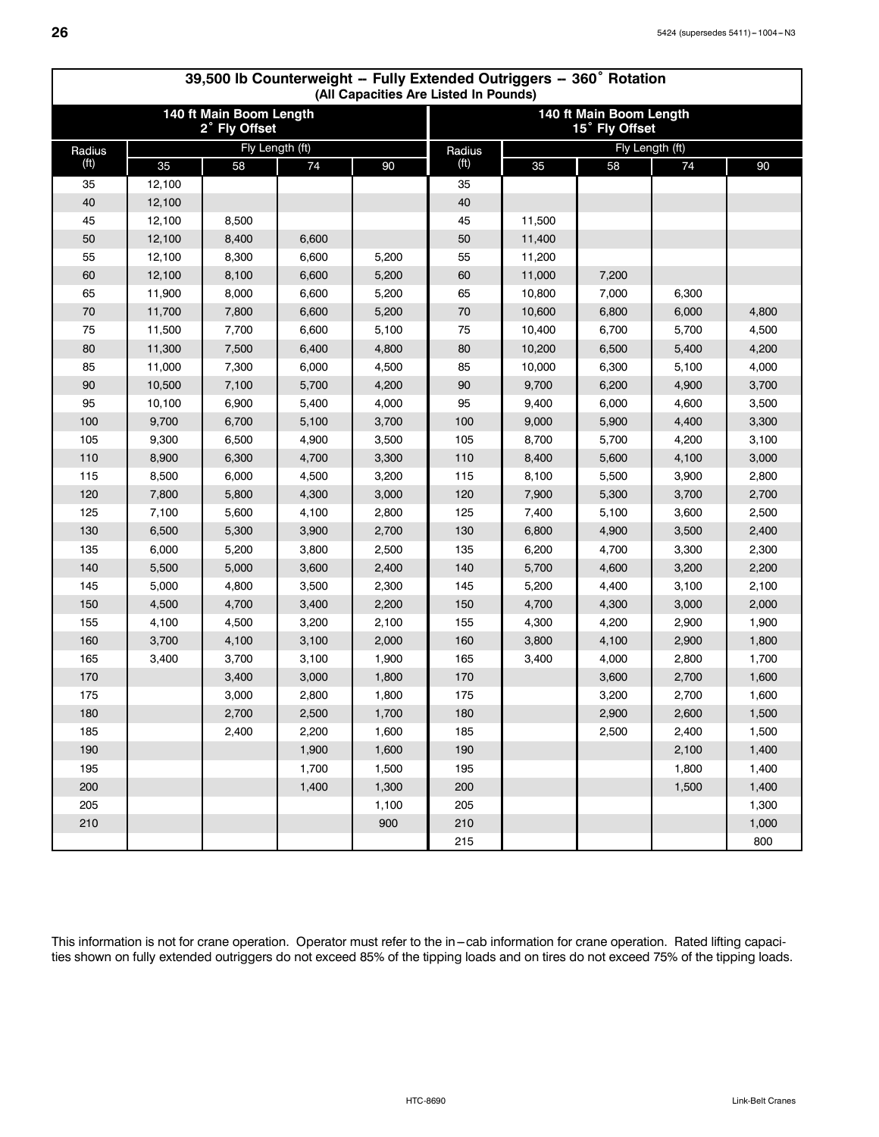|                   | 39,500 lb Counterweight - Fully Extended Outriggers - 360° Rotation<br>(All Capacities Are Listed In Pounds) |                                          |       |       |                   |        |                                           |                 |       |  |  |  |  |  |
|-------------------|--------------------------------------------------------------------------------------------------------------|------------------------------------------|-------|-------|-------------------|--------|-------------------------------------------|-----------------|-------|--|--|--|--|--|
|                   |                                                                                                              | 140 ft Main Boom Length<br>2° Fly Offset |       |       |                   |        | 140 ft Main Boom Length<br>15° Fly Offset |                 |       |  |  |  |  |  |
| Radius            |                                                                                                              | Fly Length (ft)                          |       |       | Radius            |        |                                           | Fly Length (ft) |       |  |  |  |  |  |
| (f <sup>t</sup> ) | 35                                                                                                           | 58                                       | 74    | 90    | (f <sup>t</sup> ) | 35     | 58                                        | 74              | 90    |  |  |  |  |  |
| 35                | 12,100                                                                                                       |                                          |       |       | 35                |        |                                           |                 |       |  |  |  |  |  |
| 40                | 12,100                                                                                                       |                                          |       |       | 40                |        |                                           |                 |       |  |  |  |  |  |
| 45                | 12,100                                                                                                       | 8,500                                    |       |       | 45                | 11,500 |                                           |                 |       |  |  |  |  |  |
| 50                | 12,100                                                                                                       | 8,400                                    | 6,600 |       | 50                | 11,400 |                                           |                 |       |  |  |  |  |  |
| 55                | 12,100                                                                                                       | 8,300                                    | 6,600 | 5,200 | 55                | 11,200 |                                           |                 |       |  |  |  |  |  |
| 60                | 12,100                                                                                                       | 8,100                                    | 6,600 | 5,200 | 60                | 11,000 | 7,200                                     |                 |       |  |  |  |  |  |
| 65                | 11,900                                                                                                       | 8,000                                    | 6,600 | 5,200 | 65                | 10,800 | 7,000                                     | 6,300           |       |  |  |  |  |  |
| $70\,$            | 11,700                                                                                                       | 7,800                                    | 6,600 | 5,200 | 70                | 10,600 | 6,800                                     | 6,000           | 4,800 |  |  |  |  |  |
| 75                | 11,500                                                                                                       | 7,700                                    | 6,600 | 5,100 | 75                | 10,400 | 6,700                                     | 5,700           | 4,500 |  |  |  |  |  |
| 80                | 11,300                                                                                                       | 7,500                                    | 6,400 | 4,800 | 80                | 10,200 | 6,500                                     | 5,400           | 4,200 |  |  |  |  |  |
| 85                | 11,000                                                                                                       | 7,300                                    | 6,000 | 4,500 | 85                | 10,000 | 6,300                                     | 5,100           | 4,000 |  |  |  |  |  |
| 90                | 10,500                                                                                                       | 7,100                                    | 5,700 | 4,200 | 90                | 9,700  | 6,200                                     | 4,900           | 3,700 |  |  |  |  |  |
| 95                | 10,100                                                                                                       | 6,900                                    | 5,400 | 4,000 | 95                | 9,400  | 6,000                                     | 4,600           | 3,500 |  |  |  |  |  |
| 100               | 9,700                                                                                                        | 6,700                                    | 5,100 | 3,700 | 100               | 9,000  | 5,900                                     | 4,400           | 3,300 |  |  |  |  |  |
| 105               | 9,300                                                                                                        | 6,500                                    | 4,900 | 3,500 | 105               | 8,700  | 5,700                                     | 4,200           | 3,100 |  |  |  |  |  |
| 110               | 8,900                                                                                                        | 6,300                                    | 4,700 | 3,300 | 110               | 8,400  | 5,600                                     | 4,100           | 3,000 |  |  |  |  |  |
| 115               | 8,500                                                                                                        | 6,000                                    | 4,500 | 3,200 | 115               | 8,100  | 5,500                                     | 3,900           | 2,800 |  |  |  |  |  |
| 120               | 7,800                                                                                                        | 5,800                                    | 4,300 | 3,000 | 120               | 7,900  | 5,300                                     | 3,700           | 2,700 |  |  |  |  |  |
| 125               | 7,100                                                                                                        | 5,600                                    | 4,100 | 2,800 | 125               | 7,400  | 5,100                                     | 3,600           | 2,500 |  |  |  |  |  |
| 130               | 6,500                                                                                                        | 5,300                                    | 3,900 | 2,700 | 130               | 6,800  | 4,900                                     | 3,500           | 2,400 |  |  |  |  |  |
| 135               | 6,000                                                                                                        | 5,200                                    | 3,800 | 2,500 | 135               | 6,200  | 4,700                                     | 3,300           | 2,300 |  |  |  |  |  |
| 140               | 5,500                                                                                                        | 5,000                                    | 3,600 | 2,400 | 140               | 5,700  | 4,600                                     | 3,200           | 2,200 |  |  |  |  |  |
| 145               | 5,000                                                                                                        | 4,800                                    | 3,500 | 2,300 | 145               | 5,200  | 4,400                                     | 3,100           | 2,100 |  |  |  |  |  |
| 150               | 4,500                                                                                                        | 4,700                                    | 3,400 | 2,200 | 150               | 4,700  | 4,300                                     | 3,000           | 2,000 |  |  |  |  |  |
| 155               | 4,100                                                                                                        | 4,500                                    | 3,200 | 2,100 | 155               | 4,300  | 4,200                                     | 2,900           | 1,900 |  |  |  |  |  |
| 160               | 3,700                                                                                                        | 4,100                                    | 3,100 | 2,000 | 160               | 3,800  | 4,100                                     | 2,900           | 1,800 |  |  |  |  |  |
| 165               | 3,400                                                                                                        | 3,700                                    | 3,100 | 1,900 | 165               | 3,400  | 4,000                                     | 2,800           | 1,700 |  |  |  |  |  |
| 170               |                                                                                                              | 3,400                                    | 3,000 | 1,800 | 170               |        | 3,600                                     | 2,700           | 1,600 |  |  |  |  |  |
| 175               |                                                                                                              | 3,000                                    | 2,800 | 1,800 | 175               |        | 3,200                                     | 2,700           | 1,600 |  |  |  |  |  |
| 180               |                                                                                                              | 2,700                                    | 2,500 | 1,700 | 180               |        | 2,900                                     | 2,600           | 1,500 |  |  |  |  |  |
| 185               |                                                                                                              | 2,400                                    | 2,200 | 1,600 | 185               |        | 2,500                                     | 2,400           | 1,500 |  |  |  |  |  |
| 190               |                                                                                                              |                                          | 1,900 | 1,600 | 190               |        |                                           | 2,100           | 1,400 |  |  |  |  |  |
| 195               |                                                                                                              |                                          | 1,700 | 1,500 | 195               |        |                                           | 1,800           | 1,400 |  |  |  |  |  |
| 200               |                                                                                                              |                                          | 1,400 | 1,300 | 200               |        |                                           | 1,500           | 1,400 |  |  |  |  |  |
| 205               |                                                                                                              |                                          |       | 1,100 | 205               |        |                                           |                 | 1,300 |  |  |  |  |  |
| 210               |                                                                                                              |                                          |       | 900   | 210               |        |                                           |                 | 1,000 |  |  |  |  |  |
|                   |                                                                                                              |                                          |       |       | 215               |        |                                           |                 | 800   |  |  |  |  |  |

This information is not for crane operation. Operator must refer to the in-cab information for crane operation. Rated lifting capacities shown on fully extended outriggers do not exceed 85% of the tipping loads and on tires do not exceed 75% of the tipping loads.

 $\Gamma$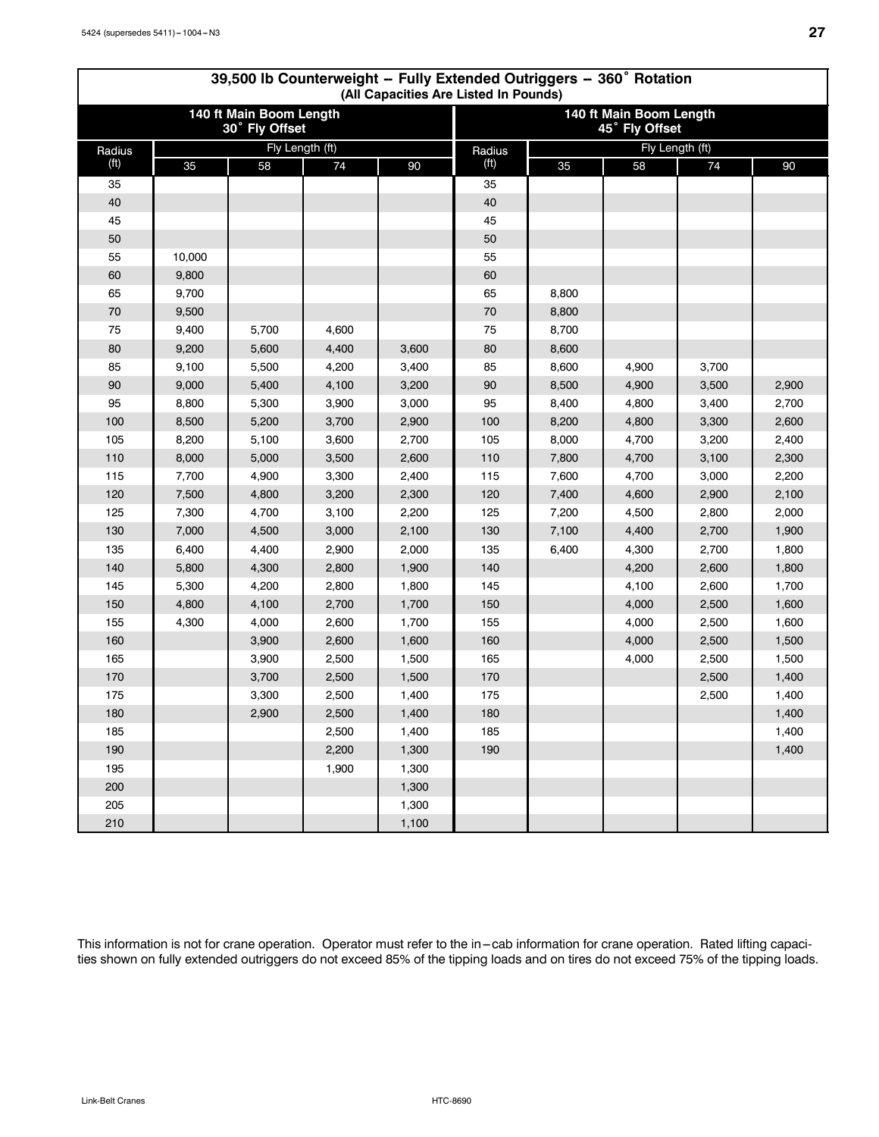|                   | 39,500 lb Counterweight – Fully Extended Outriggers – 360˚ Rotation<br>(All Capacities Are Listed In Pounds) |                                           |       |       |                   |       |                                           |                 |       |  |  |  |  |  |
|-------------------|--------------------------------------------------------------------------------------------------------------|-------------------------------------------|-------|-------|-------------------|-------|-------------------------------------------|-----------------|-------|--|--|--|--|--|
|                   |                                                                                                              | 140 ft Main Boom Length<br>30° Fly Offset |       |       |                   |       | 140 ft Main Boom Length<br>45° Fly Offset |                 |       |  |  |  |  |  |
| Radius            |                                                                                                              | Fly Length (ft)                           |       |       | Radius            |       |                                           | Fly Length (ft) |       |  |  |  |  |  |
| (f <sup>t</sup> ) | 35                                                                                                           | 58                                        | 74    | 90    | (f <sup>t</sup> ) | 35    | 58                                        | 74              | 90    |  |  |  |  |  |
| 35                |                                                                                                              |                                           |       |       | 35                |       |                                           |                 |       |  |  |  |  |  |
| 40                |                                                                                                              |                                           |       |       | 40                |       |                                           |                 |       |  |  |  |  |  |
| 45                |                                                                                                              |                                           |       |       | 45                |       |                                           |                 |       |  |  |  |  |  |
| 50                |                                                                                                              |                                           |       |       | 50                |       |                                           |                 |       |  |  |  |  |  |
| 55                | 10,000                                                                                                       |                                           |       |       | 55                |       |                                           |                 |       |  |  |  |  |  |
| 60                | 9,800                                                                                                        |                                           |       |       | 60                |       |                                           |                 |       |  |  |  |  |  |
| 65                | 9,700                                                                                                        |                                           |       |       | 65                | 8,800 |                                           |                 |       |  |  |  |  |  |
| $70\,$            | 9,500                                                                                                        |                                           |       |       | 70                | 8,800 |                                           |                 |       |  |  |  |  |  |
| 75                | 9,400                                                                                                        | 5,700                                     | 4,600 |       | 75                | 8,700 |                                           |                 |       |  |  |  |  |  |
| 80                | 9,200                                                                                                        | 5,600                                     | 4,400 | 3,600 | 80                | 8,600 |                                           |                 |       |  |  |  |  |  |
| 85                | 9,100                                                                                                        | 5,500                                     | 4,200 | 3,400 | 85                | 8,600 | 4,900                                     | 3,700           |       |  |  |  |  |  |
| 90                | 9,000                                                                                                        | 5,400                                     | 4,100 | 3,200 | 90                | 8,500 | 4,900                                     | 3,500           | 2,900 |  |  |  |  |  |
| 95                | 8,800                                                                                                        | 5,300                                     | 3,900 | 3,000 | 95                | 8,400 | 4,800                                     | 3,400           | 2,700 |  |  |  |  |  |
| 100               | 8,500                                                                                                        | 5,200                                     | 3,700 | 2,900 | 100               | 8,200 | 4,800                                     | 3,300           | 2,600 |  |  |  |  |  |
| 105               | 8,200                                                                                                        | 5,100                                     | 3,600 | 2,700 | 105               | 8,000 | 4,700                                     | 3,200           | 2,400 |  |  |  |  |  |
| 110               | 8,000                                                                                                        | 5,000                                     | 3,500 | 2,600 | 110               | 7,800 | 4,700                                     | 3,100           | 2,300 |  |  |  |  |  |
| 115               | 7,700                                                                                                        | 4,900                                     | 3,300 | 2,400 | 115               | 7,600 | 4,700                                     | 3,000           | 2,200 |  |  |  |  |  |
| 120               | 7,500                                                                                                        | 4,800                                     | 3,200 | 2,300 | 120               | 7,400 | 4,600                                     | 2,900           | 2,100 |  |  |  |  |  |
| 125               | 7,300                                                                                                        | 4,700                                     | 3,100 | 2,200 | 125               | 7,200 | 4,500                                     | 2,800           | 2,000 |  |  |  |  |  |
| 130               | 7,000                                                                                                        | 4,500                                     | 3,000 | 2,100 | 130               | 7,100 | 4,400                                     | 2,700           | 1,900 |  |  |  |  |  |
| 135               | 6,400                                                                                                        | 4,400                                     | 2,900 | 2,000 | 135               | 6,400 | 4,300                                     | 2,700           | 1,800 |  |  |  |  |  |
| 140               | 5,800                                                                                                        | 4,300                                     | 2,800 | 1,900 | 140               |       | 4,200                                     | 2,600           | 1,800 |  |  |  |  |  |
| 145               | 5,300                                                                                                        | 4,200                                     | 2,800 | 1,800 | 145               |       | 4,100                                     | 2,600           | 1,700 |  |  |  |  |  |
| 150               | 4,800                                                                                                        | 4,100                                     | 2,700 | 1,700 | 150               |       | 4,000                                     | 2,500           | 1,600 |  |  |  |  |  |
| 155               | 4,300                                                                                                        | 4,000                                     | 2,600 | 1,700 | 155               |       | 4,000                                     | 2,500           | 1,600 |  |  |  |  |  |
| 160               |                                                                                                              | 3,900                                     | 2,600 | 1,600 | 160               |       | 4,000                                     | 2,500           | 1,500 |  |  |  |  |  |
| 165               |                                                                                                              | 3,900                                     | 2,500 | 1,500 | 165               |       | 4,000                                     | 2,500           | 1,500 |  |  |  |  |  |
| 170               |                                                                                                              | 3,700                                     | 2,500 | 1,500 | 170               |       |                                           | 2,500           | 1,400 |  |  |  |  |  |
| 175               |                                                                                                              | 3,300                                     | 2,500 | 1,400 | 175               |       |                                           | 2,500           | 1,400 |  |  |  |  |  |
| 180               |                                                                                                              | 2,900                                     | 2,500 | 1,400 | 180               |       |                                           |                 | 1,400 |  |  |  |  |  |
| 185               |                                                                                                              |                                           | 2,500 | 1,400 | 185               |       |                                           |                 | 1,400 |  |  |  |  |  |
| 190               |                                                                                                              |                                           | 2,200 | 1,300 | 190               |       |                                           |                 | 1,400 |  |  |  |  |  |
| 195               |                                                                                                              |                                           | 1,900 | 1,300 |                   |       |                                           |                 |       |  |  |  |  |  |
| 200               |                                                                                                              |                                           |       | 1,300 |                   |       |                                           |                 |       |  |  |  |  |  |
| 205               |                                                                                                              |                                           |       | 1,300 |                   |       |                                           |                 |       |  |  |  |  |  |
| 210               |                                                                                                              |                                           |       | 1,100 |                   |       |                                           |                 |       |  |  |  |  |  |

### **39,500 lb Counterweight -- Fully Extended Outriggers -- 360˚ Rotation**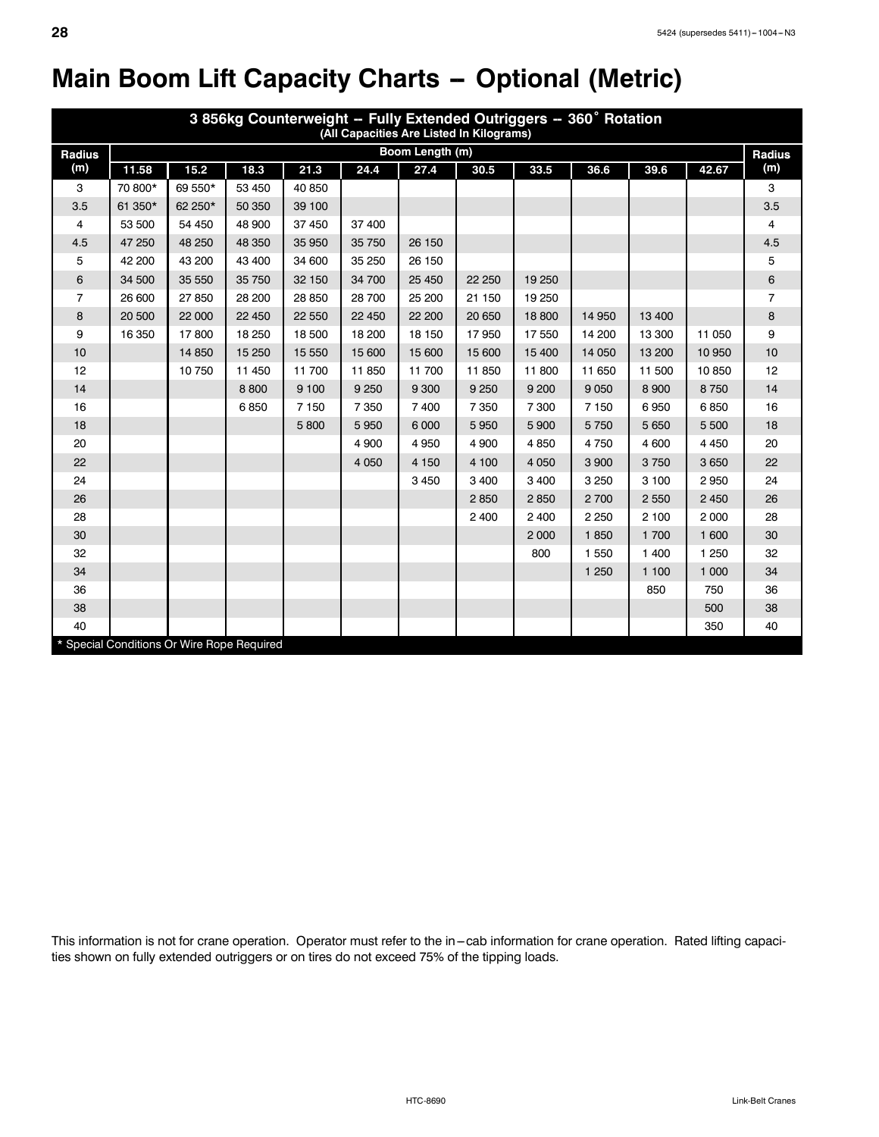# **Main Boom Lift Capacity Charts - Optional (Metric)**

| 3 856kg Counterweight -- Fully Extended Outriggers -- 360° Rotation<br>(All Capacities Are Listed In Kilograms) |                                            |         |        |         |         |                 |         |         |         |         |         |                |  |
|-----------------------------------------------------------------------------------------------------------------|--------------------------------------------|---------|--------|---------|---------|-----------------|---------|---------|---------|---------|---------|----------------|--|
| Radius                                                                                                          |                                            |         |        |         |         | Boom Length (m) |         |         |         |         |         | Radius         |  |
| (m)                                                                                                             | 11.58                                      | 15.2    | 18.3   | 21.3    | 24.4    | 27.4            | 30.5    | 33.5    | 36.6    | 39.6    | 42.67   | (m)            |  |
| 3                                                                                                               | 70 800*                                    | 69 550* | 53 450 | 40 850  |         |                 |         |         |         |         |         | 3              |  |
| 3.5                                                                                                             | 61 350*                                    | 62 250* | 50 350 | 39 100  |         |                 |         |         |         |         |         | 3.5            |  |
| 4                                                                                                               | 53 500                                     | 54 450  | 48 900 | 37 450  | 37 400  |                 |         |         |         |         |         | $\overline{4}$ |  |
| 4.5                                                                                                             | 47 250                                     | 48 250  | 48 350 | 35 950  | 35 750  | 26 150          |         |         |         |         |         | 4.5            |  |
| 5                                                                                                               | 42 200                                     | 43 200  | 43 400 | 34 600  | 35 250  | 26 150          |         |         |         |         |         | 5              |  |
| 6                                                                                                               | 34 500                                     | 35 550  | 35 750 | 32 150  | 34 700  | 25 450          | 22 250  | 19 250  |         |         |         | 6              |  |
| $\overline{7}$                                                                                                  | 26 600                                     | 27 850  | 28 200 | 28 850  | 28 700  | 25 200          | 21 150  | 19 250  |         |         |         | $\overline{7}$ |  |
| 8                                                                                                               | 20 500                                     | 22 000  | 22 450 | 22 550  | 22 450  | 22 200          | 20 650  | 18 800  | 14 950  | 13 400  |         | 8              |  |
| 9                                                                                                               | 16 350                                     | 17800   | 18 250 | 18 500  | 18 200  | 18 150          | 17950   | 17 550  | 14 200  | 13 300  | 11 050  | 9              |  |
| 10                                                                                                              |                                            | 14 850  | 15 250 | 15 550  | 15 600  | 15 600          | 15 600  | 15 400  | 14 050  | 13 200  | 10 950  | 10             |  |
| 12                                                                                                              |                                            | 10750   | 11 450 | 11 700  | 11 850  | 11 700          | 11850   | 11 800  | 11 650  | 11 500  | 10850   | 12             |  |
| 14                                                                                                              |                                            |         | 8800   | 9 1 0 0 | 9 2 5 0 | 9 3 0 0         | 9 2 5 0 | 9 2 0 0 | 9 0 5 0 | 8 9 0 0 | 8750    | 14             |  |
| 16                                                                                                              |                                            |         | 6850   | 7 1 5 0 | 7 3 5 0 | 7 400           | 7 3 5 0 | 7 300   | 7 1 5 0 | 6950    | 6850    | 16             |  |
| 18                                                                                                              |                                            |         |        | 5800    | 5950    | 6 0 0 0         | 5950    | 5 9 0 0 | 5750    | 5 6 5 0 | 5 500   | 18             |  |
| 20                                                                                                              |                                            |         |        |         | 4 9 0 0 | 4 9 5 0         | 4 9 0 0 | 4 8 5 0 | 4750    | 4 600   | 4 4 5 0 | 20             |  |
| 22                                                                                                              |                                            |         |        |         | 4 0 5 0 | 4 1 5 0         | 4 100   | 4 0 5 0 | 3 9 0 0 | 3750    | 3 6 5 0 | 22             |  |
| 24                                                                                                              |                                            |         |        |         |         | 3 4 5 0         | 3 4 0 0 | 3 4 0 0 | 3 2 5 0 | 3 100   | 2950    | 24             |  |
| 26                                                                                                              |                                            |         |        |         |         |                 | 2850    | 2850    | 2700    | 2 5 5 0 | 2 4 5 0 | 26             |  |
| 28                                                                                                              |                                            |         |        |         |         |                 | 2 4 0 0 | 2 4 0 0 | 2 2 5 0 | 2 100   | 2 0 0 0 | 28             |  |
| 30                                                                                                              |                                            |         |        |         |         |                 |         | 2 0 0 0 | 1850    | 1 700   | 1 600   | 30             |  |
| 32                                                                                                              |                                            |         |        |         |         |                 |         | 800     | 1 550   | 1 400   | 1 2 5 0 | 32             |  |
| 34                                                                                                              |                                            |         |        |         |         |                 |         |         | 1 2 5 0 | 1 100   | 1 000   | 34             |  |
| 36                                                                                                              |                                            |         |        |         |         |                 |         |         |         | 850     | 750     | 36             |  |
| 38                                                                                                              |                                            |         |        |         |         |                 |         |         |         |         | 500     | 38             |  |
| 40                                                                                                              |                                            |         |        |         |         |                 |         |         |         |         | 350     | 40             |  |
|                                                                                                                 | * Special Conditions Or Wire Rope Required |         |        |         |         |                 |         |         |         |         |         |                |  |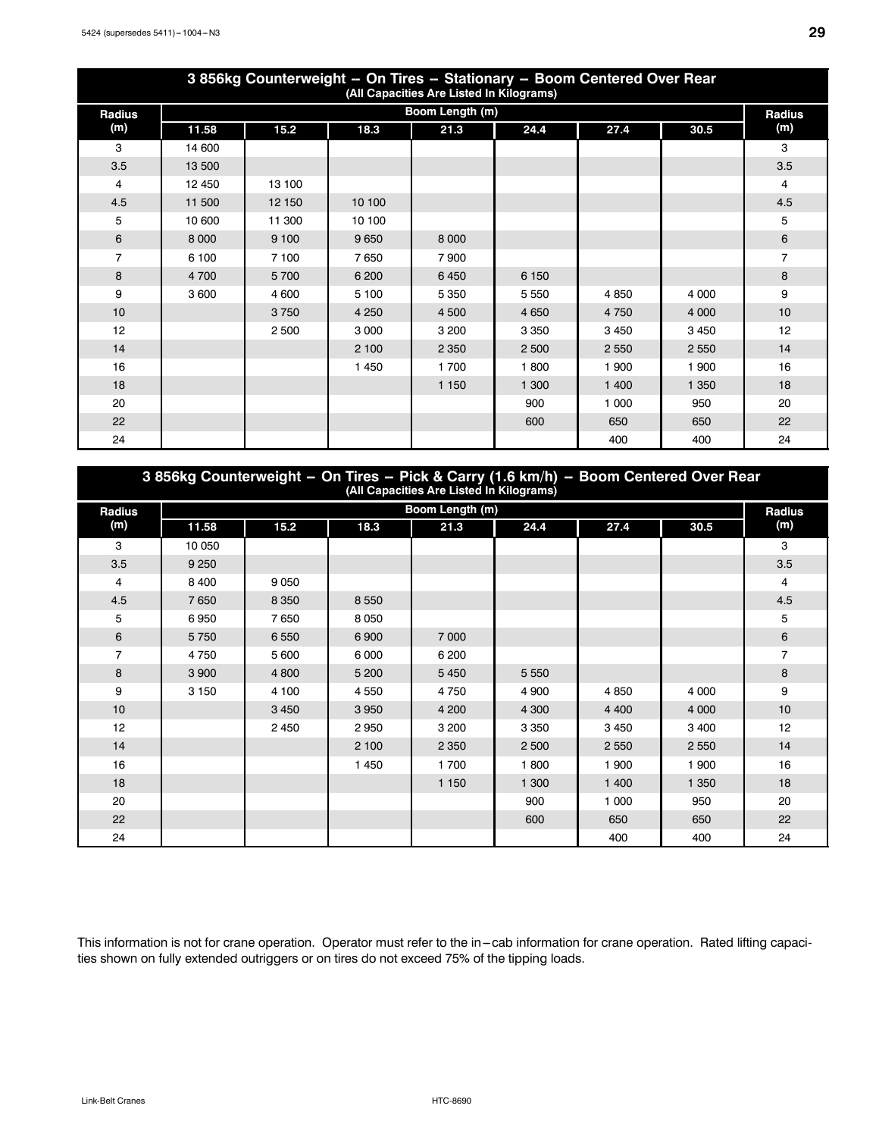| 3 856kg Counterweight -- On Tires -- Stationary -- Boom Centered Over Rear<br>(All Capacities Are Listed In Kilograms) |         |        |         |                 |         |         |         |                |  |  |  |  |  |
|------------------------------------------------------------------------------------------------------------------------|---------|--------|---------|-----------------|---------|---------|---------|----------------|--|--|--|--|--|
| Radius                                                                                                                 |         |        |         | Boom Length (m) |         |         |         | <b>Radius</b>  |  |  |  |  |  |
| (m)                                                                                                                    | 11.58   | 15.2   | 18.3    | 21.3            | 24.4    | 27.4    | 30.5    | (m)            |  |  |  |  |  |
| 3                                                                                                                      | 14 600  |        |         |                 |         |         |         | 3              |  |  |  |  |  |
| 3.5                                                                                                                    | 13 500  |        |         |                 |         |         |         | 3.5            |  |  |  |  |  |
| 4                                                                                                                      | 12 450  | 13 100 |         |                 |         |         |         | 4              |  |  |  |  |  |
| 4.5                                                                                                                    | 11 500  | 12 150 | 10 100  |                 |         |         |         | 4.5            |  |  |  |  |  |
| 5                                                                                                                      | 10 600  | 11 300 | 10 100  |                 |         |         |         | 5              |  |  |  |  |  |
| 6                                                                                                                      | 8 0 0 0 | 9 100  | 9650    | 8 0 0 0         |         |         |         | 6              |  |  |  |  |  |
| $\overline{7}$                                                                                                         | 6 100   | 7 100  | 7650    | 7900            |         |         |         | $\overline{7}$ |  |  |  |  |  |
| 8                                                                                                                      | 4700    | 5700   | 6 200   | 6450            | 6 150   |         |         | 8              |  |  |  |  |  |
| 9                                                                                                                      | 3 600   | 4 600  | 5 100   | 5 3 5 0         | 5 5 5 0 | 4 8 5 0 | 4 0 0 0 | 9              |  |  |  |  |  |
| 10                                                                                                                     |         | 3750   | 4 2 5 0 | 4 500           | 4 6 5 0 | 4 7 5 0 | 4 0 0 0 | 10             |  |  |  |  |  |
| 12                                                                                                                     |         | 2 500  | 3 0 0 0 | 3 200           | 3 3 5 0 | 3 4 5 0 | 3 4 5 0 | 12             |  |  |  |  |  |
| 14                                                                                                                     |         |        | 2 100   | 2 3 5 0         | 2 500   | 2 5 5 0 | 2 5 5 0 | 14             |  |  |  |  |  |
| 16                                                                                                                     |         |        | 1 450   | 1700            | 1800    | 1 900   | 1 900   | 16             |  |  |  |  |  |
| 18                                                                                                                     |         |        |         | 1 1 5 0         | 1 300   | 1 400   | 1 3 5 0 | 18             |  |  |  |  |  |
| 20                                                                                                                     |         |        |         |                 | 900     | 1 000   | 950     | 20             |  |  |  |  |  |
| 22                                                                                                                     |         |        |         |                 | 600     | 650     | 650     | 22             |  |  |  |  |  |
| 24                                                                                                                     |         |        |         |                 |         | 400     | 400     | 24             |  |  |  |  |  |

#### **3 856kg Counterweight -- On Tires -- Pick & Carry (1.6 km/h) -- Boom Centered Over Rear (All Capacities Are Listed In Kilograms)**

| Radius         | Boom Length (m) |         |         |         |         |         |         |                |  |  |  |  |
|----------------|-----------------|---------|---------|---------|---------|---------|---------|----------------|--|--|--|--|
| (m)            | 11.58           | 15.2    | 18.3    | 21.3    | 24.4    | 27.4    | 30.5    | (m)            |  |  |  |  |
| 3              | 10 050          |         |         |         |         |         |         | 3              |  |  |  |  |
| 3.5            | 9 2 5 0         |         |         |         |         |         |         | 3.5            |  |  |  |  |
| 4              | 8 4 0 0         | 9 0 5 0 |         |         |         |         |         | $\overline{4}$ |  |  |  |  |
| 4.5            | 7650            | 8 3 5 0 | 8 5 5 0 |         |         |         |         | 4.5            |  |  |  |  |
| 5              | 6950            | 7650    | 8 0 5 0 |         |         |         |         | 5              |  |  |  |  |
| 6              | 5750            | 6 5 5 0 | 6900    | 7 000   |         |         |         | 6              |  |  |  |  |
| $\overline{7}$ | 4750            | 5 600   | 6 0 0 0 | 6 200   |         |         |         | $\overline{7}$ |  |  |  |  |
| 8              | 3 9 0 0         | 4 800   | 5 200   | 5 4 5 0 | 5 5 5 0 |         |         | 8              |  |  |  |  |
| 9              | 3 1 5 0         | 4 100   | 4 5 5 0 | 4 7 5 0 | 4 900   | 4 8 5 0 | 4 0 0 0 | 9              |  |  |  |  |
| 10             |                 | 3 4 5 0 | 3 9 5 0 | 4 200   | 4 300   | 4 4 0 0 | 4 0 0 0 | 10             |  |  |  |  |
| 12             |                 | 2 4 5 0 | 2950    | 3 200   | 3 3 5 0 | 3 4 5 0 | 3 4 0 0 | 12             |  |  |  |  |
| 14             |                 |         | 2 100   | 2 3 5 0 | 2 500   | 2 5 5 0 | 2 5 5 0 | 14             |  |  |  |  |
| 16             |                 |         | 1 4 5 0 | 1700    | 1800    | 1 900   | 1 900   | 16             |  |  |  |  |
| 18             |                 |         |         | 1 1 5 0 | 1 300   | 1 400   | 1 3 5 0 | 18             |  |  |  |  |
| 20             |                 |         |         |         | 900     | 1 0 0 0 | 950     | 20             |  |  |  |  |
| 22             |                 |         |         |         | 600     | 650     | 650     | 22             |  |  |  |  |
| 24             |                 |         |         |         |         | 400     | 400     | 24             |  |  |  |  |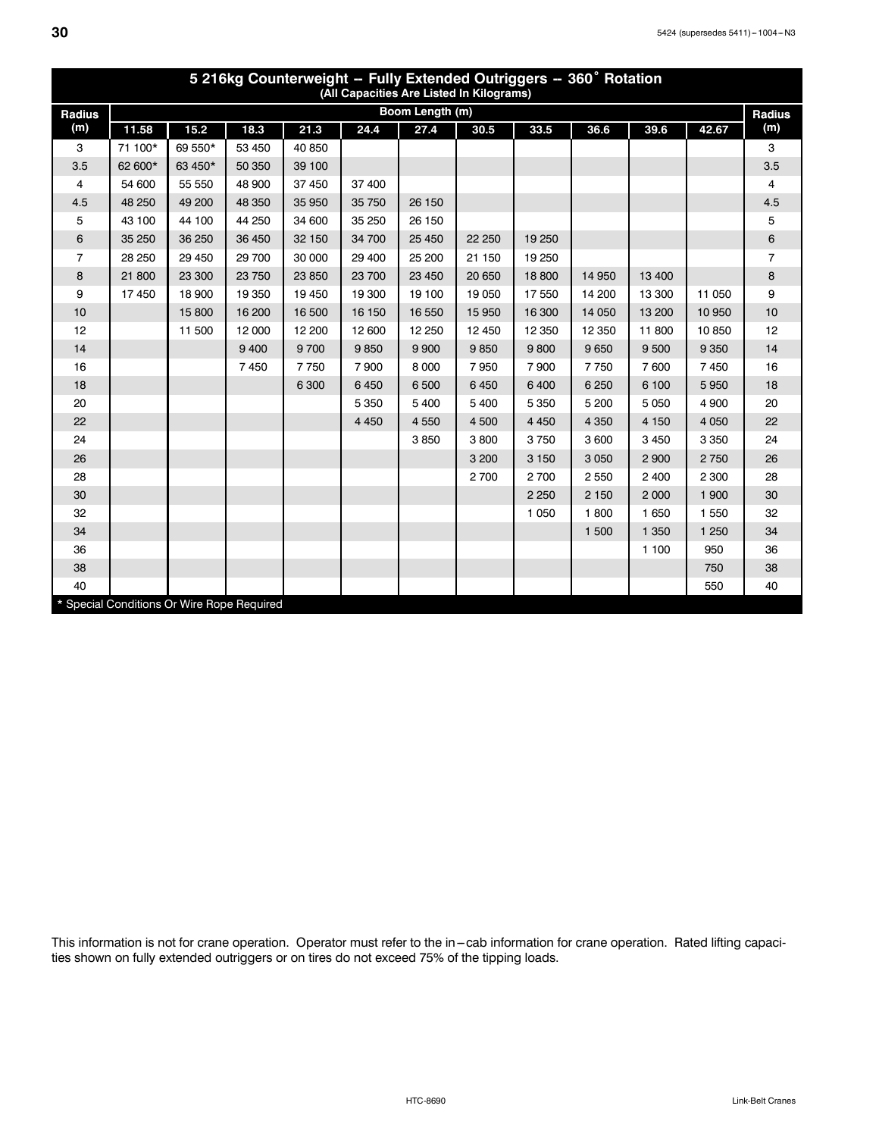| 5 216kg Counterweight -- Fully Extended Outriggers -- 360° Rotation<br>(All Capacities Are Listed In Kilograms) |         |                                            |         |         |         |                 |        |         |         |         |         |                |
|-----------------------------------------------------------------------------------------------------------------|---------|--------------------------------------------|---------|---------|---------|-----------------|--------|---------|---------|---------|---------|----------------|
| Radius                                                                                                          |         |                                            |         |         |         | Boom Length (m) |        |         |         |         |         | Radius         |
| (m)                                                                                                             | 11.58   | 15.2                                       | 18.3    | 21.3    | 24.4    | 27.4            | 30.5   | 33.5    | 36.6    | 39.6    | 42.67   | (m)            |
| 3                                                                                                               | 71 100* | 69 550*                                    | 53 450  | 40 850  |         |                 |        |         |         |         |         | 3              |
| 3.5                                                                                                             | 62 600* | 63 450*                                    | 50 350  | 39 100  |         |                 |        |         |         |         |         | 3.5            |
| 4                                                                                                               | 54 600  | 55 550                                     | 48 900  | 37 450  | 37 400  |                 |        |         |         |         |         | 4              |
| 4.5                                                                                                             | 48 250  | 49 200                                     | 48 350  | 35 950  | 35 750  | 26 150          |        |         |         |         |         | 4.5            |
| 5                                                                                                               | 43 100  | 44 100                                     | 44 250  | 34 600  | 35 250  | 26 150          |        |         |         |         |         | 5              |
| 6                                                                                                               | 35 250  | 36 250                                     | 36 450  | 32 150  | 34 700  | 25 450          | 22 250 | 19 250  |         |         |         | 6              |
| 7                                                                                                               | 28 250  | 29 450                                     | 29 700  | 30 000  | 29 400  | 25 200          | 21 150 | 19 250  |         |         |         | $\overline{7}$ |
| 8                                                                                                               | 21 800  | 23 300                                     | 23 750  | 23 850  | 23 700  | 23 450          | 20 650 | 18 800  | 14 950  | 13 400  |         | 8              |
| 9                                                                                                               | 17 450  | 18 900                                     | 19 350  | 19 450  | 19 300  | 19 100          | 19 050 | 17 550  | 14 200  | 13 300  | 11 050  | 9              |
| 10                                                                                                              |         | 15 800                                     | 16 200  | 16 500  | 16 150  | 16 550          | 15 950 | 16 300  | 14 050  | 13 200  | 10 950  | 10             |
| 12                                                                                                              |         | 11 500                                     | 12 000  | 12 200  | 12 600  | 12 250          | 12 450 | 12 3 50 | 12 3 50 | 11 800  | 10850   | 12             |
| 14                                                                                                              |         |                                            | 9 4 0 0 | 9700    | 9850    | 9 9 0 0         | 9850   | 9800    | 9650    | 9 500   | 9 3 5 0 | 14             |
| 16                                                                                                              |         |                                            | 7450    | 7750    | 7900    | 8 0 0 0         | 7950   | 7900    | 7750    | 7 600   | 7450    | 16             |
| 18                                                                                                              |         |                                            |         | 6 3 0 0 | 6450    | 6 500           | 6450   | 6 4 0 0 | 6 2 5 0 | 6 100   | 5950    | 18             |
| 20                                                                                                              |         |                                            |         |         | 5 3 5 0 | 5 4 0 0         | 5 400  | 5 3 5 0 | 5 200   | 5 0 5 0 | 4 9 0 0 | 20             |
| 22                                                                                                              |         |                                            |         |         | 4 4 5 0 | 4 5 5 0         | 4 500  | 4 4 5 0 | 4 3 5 0 | 4 1 5 0 | 4 0 5 0 | 22             |
| 24                                                                                                              |         |                                            |         |         |         | 3850            | 3800   | 3750    | 3 600   | 3 4 5 0 | 3 3 5 0 | 24             |
| 26                                                                                                              |         |                                            |         |         |         |                 | 3 200  | 3 1 5 0 | 3 0 5 0 | 2 9 0 0 | 2750    | 26             |
| 28                                                                                                              |         |                                            |         |         |         |                 | 2700   | 2700    | 2 5 5 0 | 2 4 0 0 | 2 3 0 0 | 28             |
| 30                                                                                                              |         |                                            |         |         |         |                 |        | 2 2 5 0 | 2 1 5 0 | 2 0 0 0 | 1 900   | 30             |
| 32                                                                                                              |         |                                            |         |         |         |                 |        | 1 0 5 0 | 1800    | 1 650   | 1 5 5 0 | 32             |
| 34                                                                                                              |         |                                            |         |         |         |                 |        |         | 1 500   | 1 3 5 0 | 1 2 5 0 | 34             |
| 36                                                                                                              |         |                                            |         |         |         |                 |        |         |         | 1 100   | 950     | 36             |
| 38                                                                                                              |         |                                            |         |         |         |                 |        |         |         |         | 750     | 38             |
| 40                                                                                                              |         |                                            |         |         |         |                 |        |         |         |         | 550     | 40             |
|                                                                                                                 |         | * Special Conditions Or Wire Rope Required |         |         |         |                 |        |         |         |         |         |                |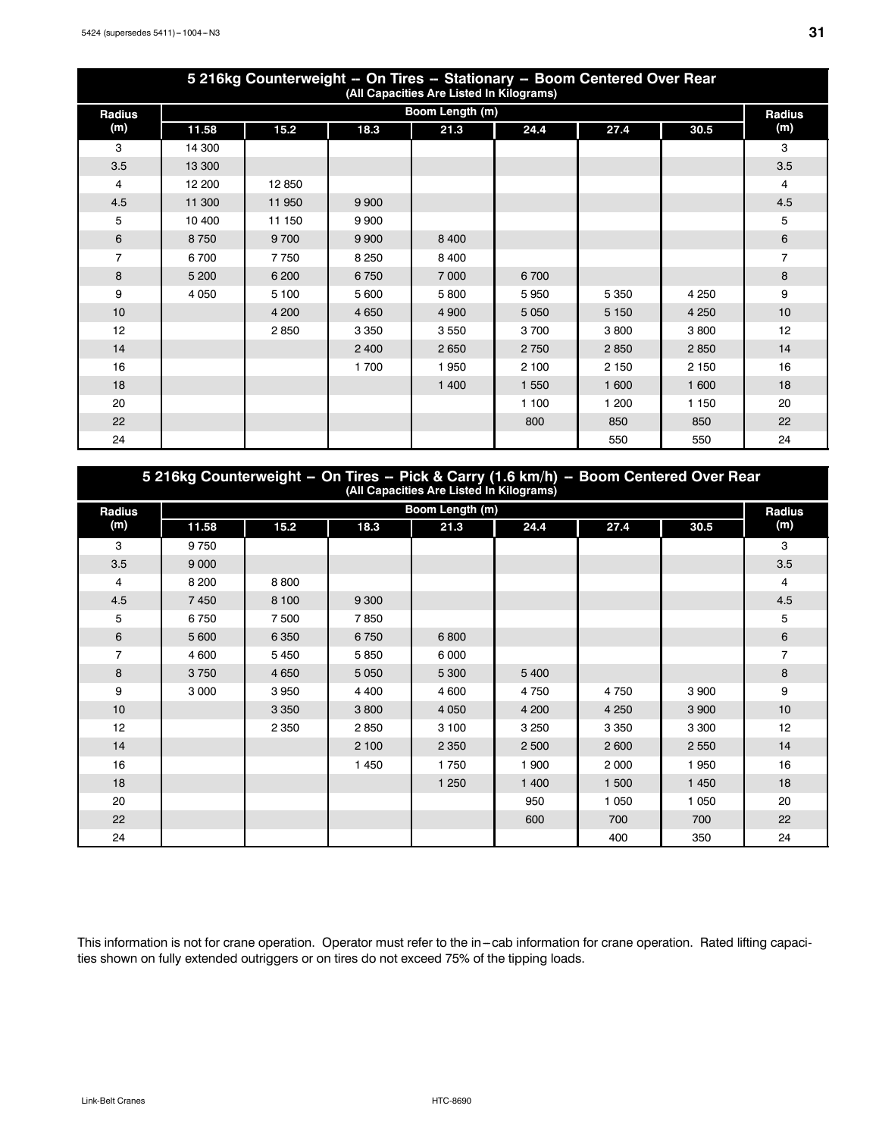| 5 216kg Counterweight - On Tires - Stationary -- Boom Centered Over Rear<br>(All Capacities Are Listed In Kilograms) |         |        |         |                 |         |         |         |                |  |  |  |  |  |
|----------------------------------------------------------------------------------------------------------------------|---------|--------|---------|-----------------|---------|---------|---------|----------------|--|--|--|--|--|
| Radius                                                                                                               |         |        |         | Boom Length (m) |         |         |         | Radius         |  |  |  |  |  |
| (m)                                                                                                                  | 11.58   | 15.2   | 18.3    | 21.3            | 24.4    | 27.4    | 30.5    | (m)            |  |  |  |  |  |
| 3                                                                                                                    | 14 300  |        |         |                 |         |         |         | 3              |  |  |  |  |  |
| 3.5                                                                                                                  | 13 300  |        |         |                 |         |         |         | 3.5            |  |  |  |  |  |
| 4                                                                                                                    | 12 200  | 12 850 |         |                 |         |         |         | 4              |  |  |  |  |  |
| 4.5                                                                                                                  | 11 300  | 11 950 | 9 9 0 0 |                 |         |         |         | 4.5            |  |  |  |  |  |
| 5                                                                                                                    | 10 400  | 11 150 | 9900    |                 |         |         |         | 5              |  |  |  |  |  |
| 6                                                                                                                    | 8750    | 9 700  | 9 9 0 0 | 8 4 0 0         |         |         |         | 6              |  |  |  |  |  |
| $\overline{7}$                                                                                                       | 6700    | 7750   | 8 2 5 0 | 8 4 0 0         |         |         |         | $\overline{7}$ |  |  |  |  |  |
| 8                                                                                                                    | 5 200   | 6 200  | 6750    | 7 0 0 0         | 6700    |         |         | 8              |  |  |  |  |  |
| 9                                                                                                                    | 4 0 5 0 | 5 100  | 5 600   | 5800            | 5950    | 5 3 5 0 | 4 2 5 0 | 9              |  |  |  |  |  |
| 10                                                                                                                   |         | 4 200  | 4 6 5 0 | 4 9 0 0         | 5 0 5 0 | 5 1 5 0 | 4 2 5 0 | 10             |  |  |  |  |  |
| 12                                                                                                                   |         | 2850   | 3 3 5 0 | 3550            | 3700    | 3800    | 3800    | 12             |  |  |  |  |  |
| 14                                                                                                                   |         |        | 2 4 0 0 | 2 6 5 0         | 2750    | 2850    | 2850    | 14             |  |  |  |  |  |
| 16                                                                                                                   |         |        | 1700    | 1950            | 2 100   | 2 1 5 0 | 2 1 5 0 | 16             |  |  |  |  |  |
| 18                                                                                                                   |         |        |         | 1 400           | 1 550   | 1 600   | 1 600   | 18             |  |  |  |  |  |
| 20                                                                                                                   |         |        |         |                 | 1 100   | 1 200   | 1 1 5 0 | 20             |  |  |  |  |  |
| 22                                                                                                                   |         |        |         |                 | 800     | 850     | 850     | 22             |  |  |  |  |  |
| 24                                                                                                                   |         |        |         |                 |         | 550     | 550     | 24             |  |  |  |  |  |

#### 5 216kg Counterweight -- On Tires -- Pick & Carry (1.6 km/h) -- Boom Centered Over Rear **(All Capacities Are Listed In Kilograms)**

| Radius         |         | Boom Length (m) |         |         |         |         |         |                |  |  |  |  |
|----------------|---------|-----------------|---------|---------|---------|---------|---------|----------------|--|--|--|--|
| (m)            | 11.58   | 15.2            | 18.3    | 21.3    | 24.4    | 27.4    | 30.5    | (m)            |  |  |  |  |
| 3              | 9750    |                 |         |         |         |         |         | 3              |  |  |  |  |
| 3.5            | 9 0 0 0 |                 |         |         |         |         |         | 3.5            |  |  |  |  |
| 4              | 8 2 0 0 | 8800            |         |         |         |         |         | 4              |  |  |  |  |
| 4.5            | 7450    | 8 100           | 9 3 0 0 |         |         |         |         | 4.5            |  |  |  |  |
| 5              | 6750    | 7500            | 7850    |         |         |         |         | 5              |  |  |  |  |
| 6              | 5 600   | 6 3 5 0         | 6750    | 6800    |         |         |         | 6              |  |  |  |  |
| $\overline{7}$ | 4 600   | 5 4 5 0         | 5 8 5 0 | 6 0 0 0 |         |         |         | $\overline{7}$ |  |  |  |  |
| 8              | 3750    | 4 6 5 0         | 5 0 5 0 | 5 3 0 0 | 5 4 0 0 |         |         | 8              |  |  |  |  |
| 9              | 3 0 0 0 | 3950            | 4 4 0 0 | 4 600   | 4 7 5 0 | 4750    | 3 9 0 0 | 9              |  |  |  |  |
| 10             |         | 3 3 5 0         | 3800    | 4 0 5 0 | 4 200   | 4 2 5 0 | 3 9 0 0 | 10             |  |  |  |  |
| 12             |         | 2 3 5 0         | 2850    | 3 100   | 3 2 5 0 | 3 3 5 0 | 3 3 0 0 | 12             |  |  |  |  |
| 14             |         |                 | 2 100   | 2 3 5 0 | 2 500   | 2 600   | 2 5 5 0 | 14             |  |  |  |  |
| 16             |         |                 | 1 4 5 0 | 1750    | 1 900   | 2 0 0 0 | 1950    | 16             |  |  |  |  |
| 18             |         |                 |         | 1 2 5 0 | 1 400   | 1 500   | 1 4 5 0 | 18             |  |  |  |  |
| 20             |         |                 |         |         | 950     | 1 0 5 0 | 1 0 5 0 | 20             |  |  |  |  |
| 22             |         |                 |         |         | 600     | 700     | 700     | 22             |  |  |  |  |
| 24             |         |                 |         |         |         | 400     | 350     | 24             |  |  |  |  |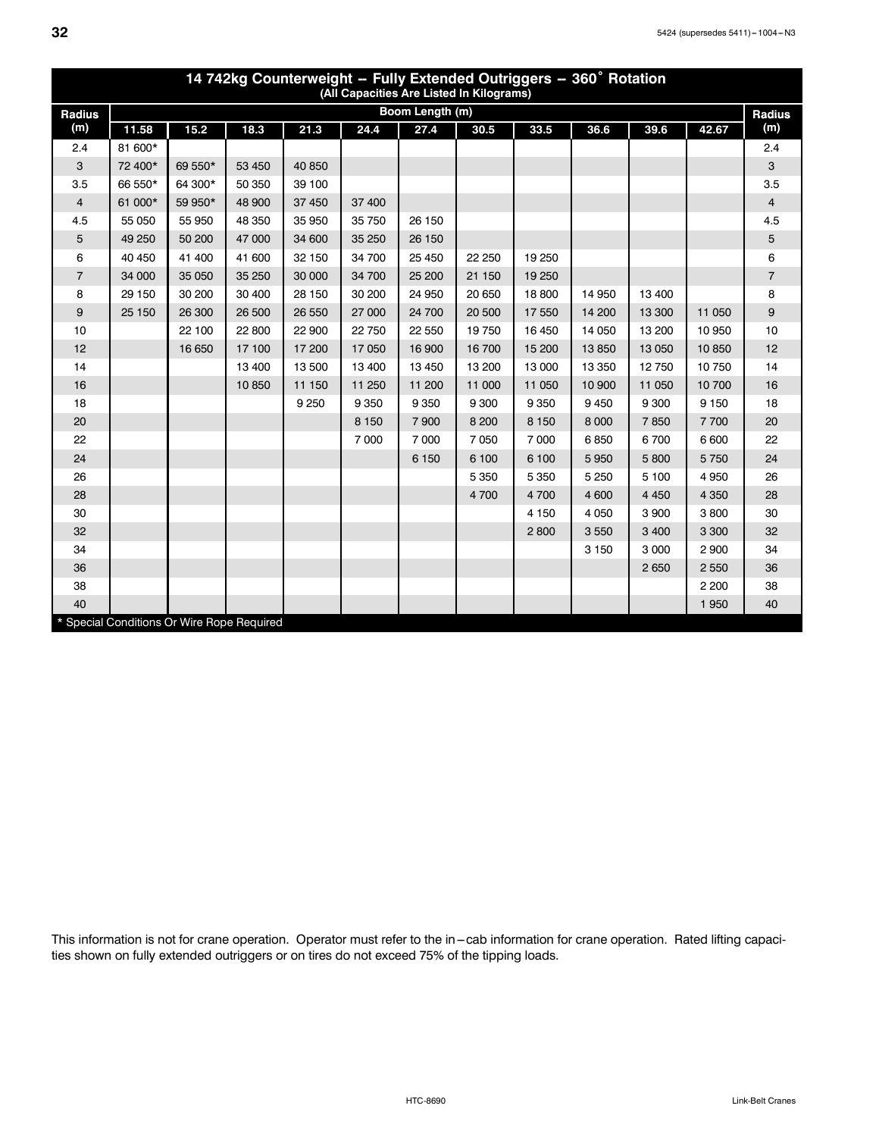| 14 742kg Counterweight - Fully Extended Outriggers - 360° Rotation<br>(All Capacities Are Listed In Kilograms) |         |         |        |         |         |                 |         |         |         |         |         |                |
|----------------------------------------------------------------------------------------------------------------|---------|---------|--------|---------|---------|-----------------|---------|---------|---------|---------|---------|----------------|
| Radius                                                                                                         |         |         |        |         |         | Boom Length (m) |         |         |         |         |         | <b>Radius</b>  |
| (m)                                                                                                            | 11.58   | 15.2    | 18.3   | 21.3    | 24.4    | 27.4            | 30.5    | 33.5    | 36.6    | 39.6    | 42.67   | (m)            |
| 2.4                                                                                                            | 81 600* |         |        |         |         |                 |         |         |         |         |         | 2.4            |
| 3                                                                                                              | 72 400* | 69 550* | 53 450 | 40 850  |         |                 |         |         |         |         |         | 3              |
| 3.5                                                                                                            | 66 550* | 64 300* | 50 350 | 39 100  |         |                 |         |         |         |         |         | 3.5            |
| $\overline{4}$                                                                                                 | 61 000* | 59 950* | 48 900 | 37 450  | 37 400  |                 |         |         |         |         |         | $\overline{4}$ |
| 4.5                                                                                                            | 55 050  | 55 950  | 48 350 | 35 950  | 35 750  | 26 150          |         |         |         |         |         | 4.5            |
| 5                                                                                                              | 49 250  | 50 200  | 47 000 | 34 600  | 35 250  | 26 150          |         |         |         |         |         | 5              |
| 6                                                                                                              | 40 450  | 41 400  | 41 600 | 32 150  | 34 700  | 25 450          | 22 250  | 19 250  |         |         |         | 6              |
| $\overline{7}$                                                                                                 | 34 000  | 35 050  | 35 250 | 30 000  | 34 700  | 25 200          | 21 150  | 19 250  |         |         |         | $\overline{7}$ |
| 8                                                                                                              | 29 150  | 30 200  | 30 400 | 28 150  | 30 200  | 24 950          | 20 650  | 18 800  | 14 950  | 13 400  |         | 8              |
| 9                                                                                                              | 25 150  | 26 300  | 26 500 | 26 550  | 27 000  | 24 700          | 20 500  | 17 550  | 14 200  | 13 300  | 11 050  | 9              |
| 10                                                                                                             |         | 22 100  | 22 800 | 22 900  | 22 750  | 22 550          | 19750   | 16 450  | 14 050  | 13 200  | 10 950  | 10             |
| 12                                                                                                             |         | 16 650  | 17 100 | 17 200  | 17 050  | 16 900          | 16 700  | 15 200  | 13850   | 13 0 50 | 10 850  | 12             |
| 14                                                                                                             |         |         | 13 400 | 13 500  | 13 400  | 13 450          | 13 200  | 13 000  | 13 350  | 12750   | 10750   | 14             |
| 16                                                                                                             |         |         | 10850  | 11 150  | 11 250  | 11 200          | 11 000  | 11 050  | 10 900  | 11 050  | 10 700  | 16             |
| 18                                                                                                             |         |         |        | 9 2 5 0 | 9 3 5 0 | 9 3 5 0         | 9 3 0 0 | 9 3 5 0 | 9450    | 9 3 0 0 | 9 1 5 0 | 18             |
| 20                                                                                                             |         |         |        |         | 8 1 5 0 | 7 9 0 0         | 8 2 0 0 | 8 1 5 0 | 8 0 0 0 | 7850    | 7700    | 20             |
| 22                                                                                                             |         |         |        |         | 7 000   | 7 000           | 7 0 5 0 | 7 000   | 6850    | 6700    | 6 600   | 22             |
| 24                                                                                                             |         |         |        |         |         | 6 150           | 6 100   | 6 100   | 5 9 5 0 | 5 800   | 5750    | 24             |
| 26                                                                                                             |         |         |        |         |         |                 | 5 3 5 0 | 5 3 5 0 | 5 2 5 0 | 5 100   | 4 9 5 0 | 26             |
| 28                                                                                                             |         |         |        |         |         |                 | 4700    | 4 700   | 4 600   | 4 4 5 0 | 4 3 5 0 | 28             |
| 30                                                                                                             |         |         |        |         |         |                 |         | 4 150   | 4 0 5 0 | 3 9 0 0 | 3800    | 30             |
| 32                                                                                                             |         |         |        |         |         |                 |         | 2800    | 3 5 5 0 | 3 4 0 0 | 3 3 0 0 | 32             |
| 34                                                                                                             |         |         |        |         |         |                 |         |         | 3 1 5 0 | 3 0 0 0 | 2 9 0 0 | 34             |
| 36                                                                                                             |         |         |        |         |         |                 |         |         |         | 2 6 5 0 | 2 5 5 0 | 36             |
| 38                                                                                                             |         |         |        |         |         |                 |         |         |         |         | 2 2 0 0 | 38             |
| 40                                                                                                             |         |         |        |         |         |                 |         |         |         |         | 1950    | 40             |
| * Special Conditions Or Wire Rope Required                                                                     |         |         |        |         |         |                 |         |         |         |         |         |                |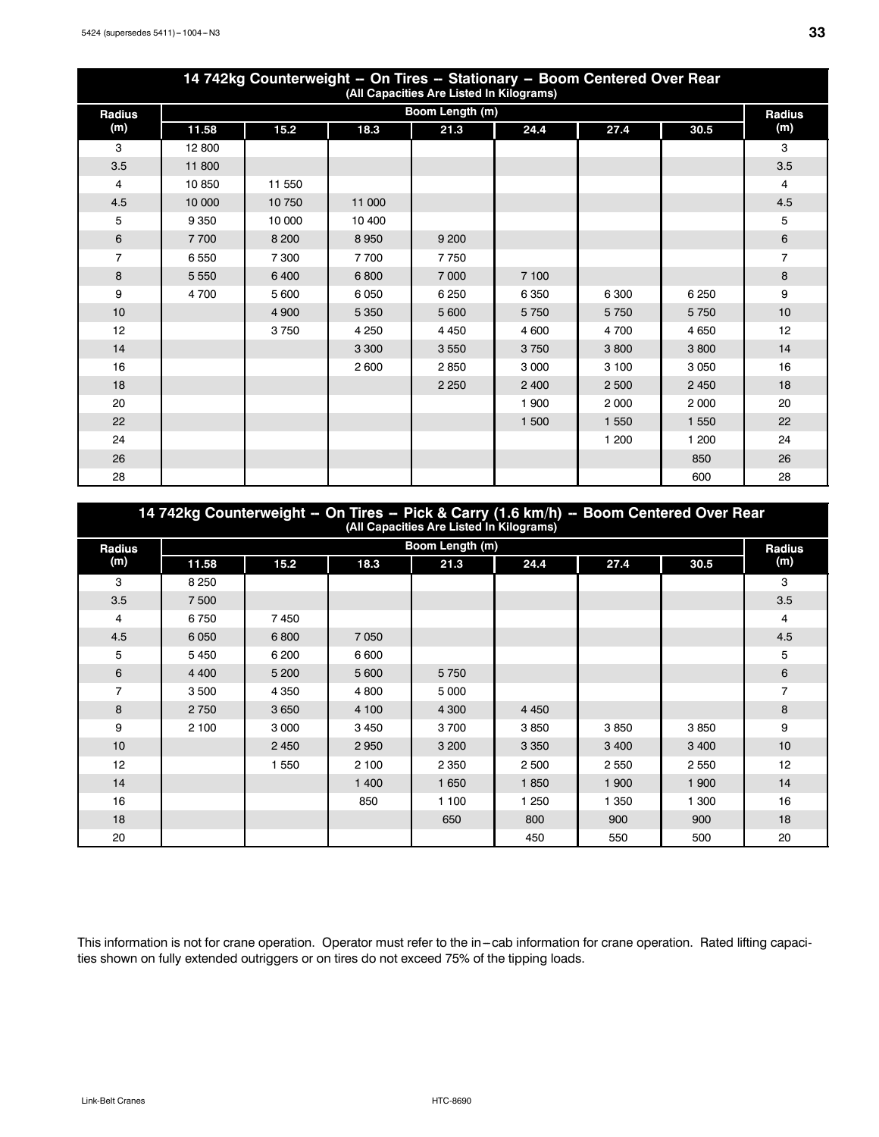| 14 742kg Counterweight -- On Tires -- Stationary -- Boom Centered Over Rear<br>(All Capacities Are Listed In Kilograms) |         |         |         |                 |         |         |         |               |  |  |  |  |  |
|-------------------------------------------------------------------------------------------------------------------------|---------|---------|---------|-----------------|---------|---------|---------|---------------|--|--|--|--|--|
| Radius                                                                                                                  |         |         |         | Boom Length (m) |         |         |         | <b>Radius</b> |  |  |  |  |  |
| (m)                                                                                                                     | 11.58   | 15.2    | 18.3    | 21.3            | 24.4    | 27.4    | 30.5    | (m)           |  |  |  |  |  |
| 3                                                                                                                       | 12 800  |         |         |                 |         |         |         | 3             |  |  |  |  |  |
| 3.5                                                                                                                     | 11 800  |         |         |                 |         |         |         | 3.5           |  |  |  |  |  |
| 4                                                                                                                       | 10850   | 11 550  |         |                 |         |         |         | 4             |  |  |  |  |  |
| 4.5                                                                                                                     | 10 000  | 10750   | 11 000  |                 |         |         |         | 4.5           |  |  |  |  |  |
| 5                                                                                                                       | 9 3 5 0 | 10 000  | 10 400  |                 |         |         |         | 5             |  |  |  |  |  |
| 6                                                                                                                       | 7700    | 8 200   | 8950    | 9 200           |         |         |         | 6             |  |  |  |  |  |
| $\overline{7}$                                                                                                          | 6550    | 7 300   | 7700    | 7750            |         |         |         | 7             |  |  |  |  |  |
| 8                                                                                                                       | 5 5 5 0 | 6400    | 6800    | 7 0 0 0         | 7 100   |         |         | 8             |  |  |  |  |  |
| 9                                                                                                                       | 4700    | 5 600   | 6050    | 6 2 5 0         | 6 3 5 0 | 6 300   | 6 2 5 0 | 9             |  |  |  |  |  |
| 10                                                                                                                      |         | 4 9 0 0 | 5 3 5 0 | 5 600           | 5750    | 5750    | 5750    | 10            |  |  |  |  |  |
| 12                                                                                                                      |         | 3750    | 4 2 5 0 | 4 4 5 0         | 4 600   | 4 700   | 4 6 5 0 | 12            |  |  |  |  |  |
| 14                                                                                                                      |         |         | 3 3 0 0 | 3550            | 3750    | 3800    | 3800    | 14            |  |  |  |  |  |
| 16                                                                                                                      |         |         | 2 600   | 2850            | 3 0 0 0 | 3 100   | 3 0 5 0 | 16            |  |  |  |  |  |
| 18                                                                                                                      |         |         |         | 2 2 5 0         | 2 400   | 2 500   | 2 4 5 0 | 18            |  |  |  |  |  |
| 20                                                                                                                      |         |         |         |                 | 1 900   | 2 0 0 0 | 2 0 0 0 | 20            |  |  |  |  |  |
| 22                                                                                                                      |         |         |         |                 | 1 500   | 1 5 5 0 | 1 550   | 22            |  |  |  |  |  |
| 24                                                                                                                      |         |         |         |                 |         | 1 200   | 1 200   | 24            |  |  |  |  |  |
| 26                                                                                                                      |         |         |         |                 |         |         | 850     | 26            |  |  |  |  |  |
| 28                                                                                                                      |         |         |         |                 |         |         | 600     | 28            |  |  |  |  |  |

| 14 742kg Counterweight -- On Tires -- Pick & Carry (1.6 km/h) -- Boom Centered Over Rear<br>(All Capacities Are Listed In Kilograms) |         |         |         |                 |         |         |         |                |  |  |  |  |
|--------------------------------------------------------------------------------------------------------------------------------------|---------|---------|---------|-----------------|---------|---------|---------|----------------|--|--|--|--|
| Radius                                                                                                                               |         |         |         | Boom Length (m) |         |         |         | Radius         |  |  |  |  |
| (m)                                                                                                                                  | 11.58   | 15.2    | 18.3    | 21.3            | 24.4    | 27.4    | 30.5    | (m)            |  |  |  |  |
| 3                                                                                                                                    | 8 2 5 0 |         |         |                 |         |         |         | 3              |  |  |  |  |
| 3.5                                                                                                                                  | 7 500   |         |         |                 |         |         |         | 3.5            |  |  |  |  |
| 4                                                                                                                                    | 6750    | 7450    |         |                 |         |         |         | 4              |  |  |  |  |
| 4.5                                                                                                                                  | 6 0 5 0 | 6800    | 7 0 5 0 |                 |         |         |         | 4.5            |  |  |  |  |
| 5                                                                                                                                    | 5 4 5 0 | 6 200   | 6 600   |                 |         |         |         | 5              |  |  |  |  |
| 6                                                                                                                                    | 4 4 0 0 | 5 200   | 5 600   | 5750            |         |         |         | 6              |  |  |  |  |
| $\overline{7}$                                                                                                                       | 3500    | 4 3 5 0 | 4 800   | 5 0 0 0         |         |         |         | $\overline{7}$ |  |  |  |  |
| 8                                                                                                                                    | 2750    | 3 6 5 0 | 4 100   | 4 3 0 0         | 4 4 5 0 |         |         | 8              |  |  |  |  |
| 9                                                                                                                                    | 2 100   | 3 0 0 0 | 3 4 5 0 | 3700            | 3850    | 3850    | 3850    | 9              |  |  |  |  |
| 10                                                                                                                                   |         | 2 4 5 0 | 2950    | 3 200           | 3 3 5 0 | 3 4 0 0 | 3 4 0 0 | 10             |  |  |  |  |
| 12                                                                                                                                   |         | 1 5 5 0 | 2 100   | 2 3 5 0         | 2500    | 2 5 5 0 | 2 5 5 0 | 12             |  |  |  |  |
| 14                                                                                                                                   |         |         | 1 400   | 1 6 5 0         | 1850    | 1 900   | 1 900   | 14             |  |  |  |  |
| 16                                                                                                                                   |         |         | 850     | 1 100           | 1 250   | 1 3 5 0 | 1 300   | 16             |  |  |  |  |
| 18                                                                                                                                   |         |         |         | 650             | 800     | 900     | 900     | 18             |  |  |  |  |
| 20                                                                                                                                   |         |         |         |                 | 450     | 550     | 500     | 20             |  |  |  |  |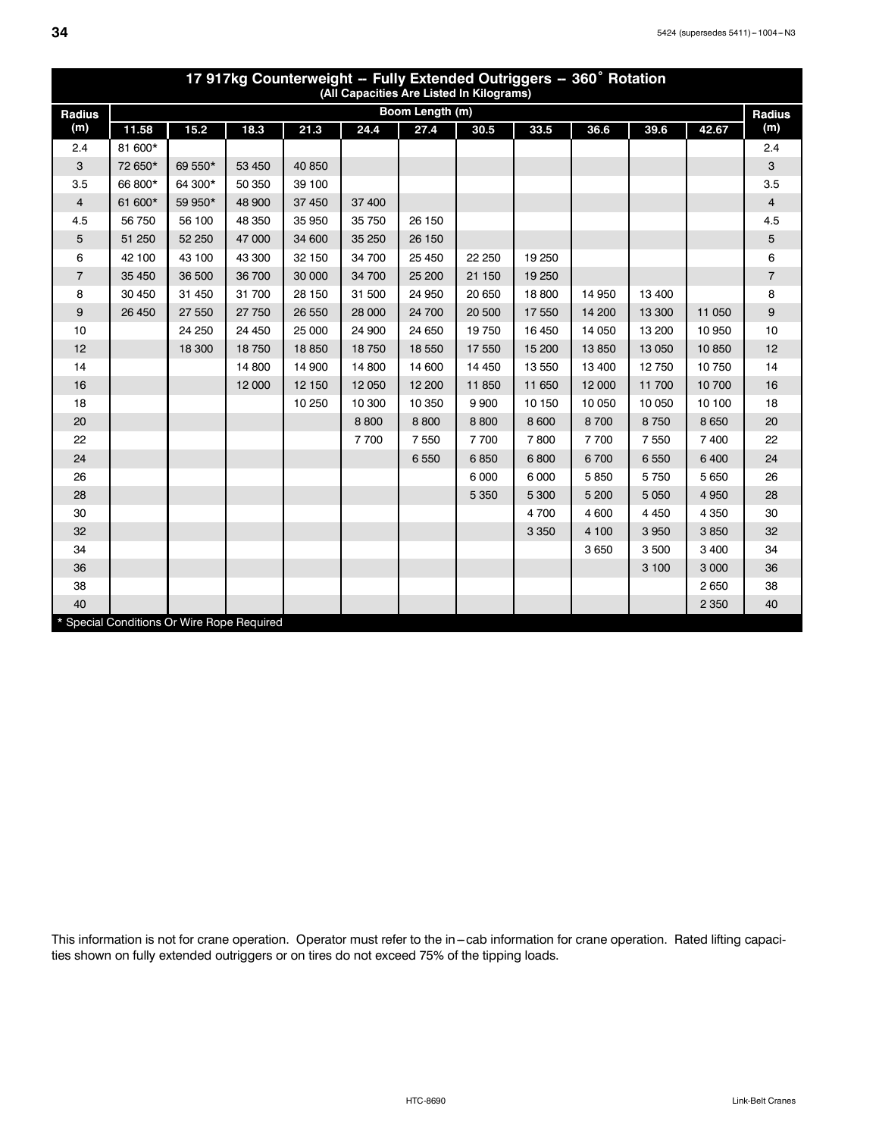| 17 917kg Counterweight -- Fully Extended Outriggers -- 360° Rotation<br>(All Capacities Are Listed In Kilograms) |         |         |        |        |        |                 |         |         |         |         |         |                |
|------------------------------------------------------------------------------------------------------------------|---------|---------|--------|--------|--------|-----------------|---------|---------|---------|---------|---------|----------------|
| Radius                                                                                                           |         |         |        |        |        | Boom Length (m) |         |         |         |         |         | Radius         |
| (m)                                                                                                              | 11.58   | 15.2    | 18.3   | 21.3   | 24.4   | 27.4            | 30.5    | 33.5    | 36.6    | 39.6    | 42.67   | (m)            |
| 2.4                                                                                                              | 81 600* |         |        |        |        |                 |         |         |         |         |         | 2.4            |
| 3                                                                                                                | 72 650* | 69 550* | 53 450 | 40 850 |        |                 |         |         |         |         |         | 3              |
| 3.5                                                                                                              | 66 800* | 64 300* | 50 350 | 39 100 |        |                 |         |         |         |         |         | 3.5            |
| $\overline{4}$                                                                                                   | 61 600* | 59 950* | 48 900 | 37 450 | 37 400 |                 |         |         |         |         |         | $\overline{4}$ |
| 4.5                                                                                                              | 56 750  | 56 100  | 48 350 | 35 950 | 35 750 | 26 150          |         |         |         |         |         | 4.5            |
| 5                                                                                                                | 51 250  | 52 250  | 47 000 | 34 600 | 35 250 | 26 150          |         |         |         |         |         | 5              |
| 6                                                                                                                | 42 100  | 43 100  | 43 300 | 32 150 | 34 700 | 25 450          | 22 250  | 19 250  |         |         |         | 6              |
| $\overline{7}$                                                                                                   | 35 450  | 36 500  | 36 700 | 30 000 | 34 700 | 25 200          | 21 150  | 19 250  |         |         |         | $\overline{7}$ |
| 8                                                                                                                | 30 450  | 31 450  | 31 700 | 28 150 | 31 500 | 24 950          | 20 650  | 18 800  | 14 950  | 13 400  |         | 8              |
| 9                                                                                                                | 26 450  | 27 550  | 27 750 | 26 550 | 28 000 | 24 700          | 20 500  | 17 550  | 14 200  | 13 300  | 11 050  | 9              |
| 10                                                                                                               |         | 24 250  | 24 450 | 25 000 | 24 900 | 24 650          | 19750   | 16 450  | 14 050  | 13 200  | 10 950  | 10             |
| 12                                                                                                               |         | 18 300  | 18750  | 18850  | 18750  | 18 550          | 17 550  | 15 200  | 13850   | 13 0 50 | 10 850  | 12             |
| 14                                                                                                               |         |         | 14 800 | 14 900 | 14 800 | 14 600          | 14 450  | 13 550  | 13 400  | 12750   | 10750   | 14             |
| 16                                                                                                               |         |         | 12 000 | 12 150 | 12 050 | 12 200          | 11850   | 11 650  | 12 000  | 11700   | 10 700  | 16             |
| 18                                                                                                               |         |         |        | 10 250 | 10 300 | 10 350          | 9 9 0 0 | 10 150  | 10 050  | 10 050  | 10 100  | 18             |
| 20                                                                                                               |         |         |        |        | 8800   | 8800            | 8 8 0 0 | 8 600   | 8700    | 8750    | 8 6 5 0 | 20             |
| 22                                                                                                               |         |         |        |        | 7700   | 7550            | 7700    | 7800    | 7700    | 7550    | 7 400   | 22             |
| 24                                                                                                               |         |         |        |        |        | 6 5 5 0         | 6850    | 6800    | 6700    | 6 5 5 0 | 6400    | 24             |
| 26                                                                                                               |         |         |        |        |        |                 | 6 0 0 0 | 6 0 0 0 | 5850    | 5750    | 5 6 5 0 | 26             |
| 28                                                                                                               |         |         |        |        |        |                 | 5 3 5 0 | 5 300   | 5 200   | 5 0 5 0 | 4 9 5 0 | 28             |
| 30                                                                                                               |         |         |        |        |        |                 |         | 4700    | 4 600   | 4 4 5 0 | 4 3 5 0 | 30             |
| 32                                                                                                               |         |         |        |        |        |                 |         | 3 3 5 0 | 4 100   | 3 9 5 0 | 3850    | 32             |
| 34                                                                                                               |         |         |        |        |        |                 |         |         | 3 6 5 0 | 3500    | 3 4 0 0 | 34             |
| 36                                                                                                               |         |         |        |        |        |                 |         |         |         | 3 100   | 3 0 0 0 | 36             |
| 38                                                                                                               |         |         |        |        |        |                 |         |         |         |         | 2650    | 38             |
| 40                                                                                                               |         |         |        |        |        |                 |         |         |         |         | 2 3 5 0 | 40             |
| * Special Conditions Or Wire Rope Required                                                                       |         |         |        |        |        |                 |         |         |         |         |         |                |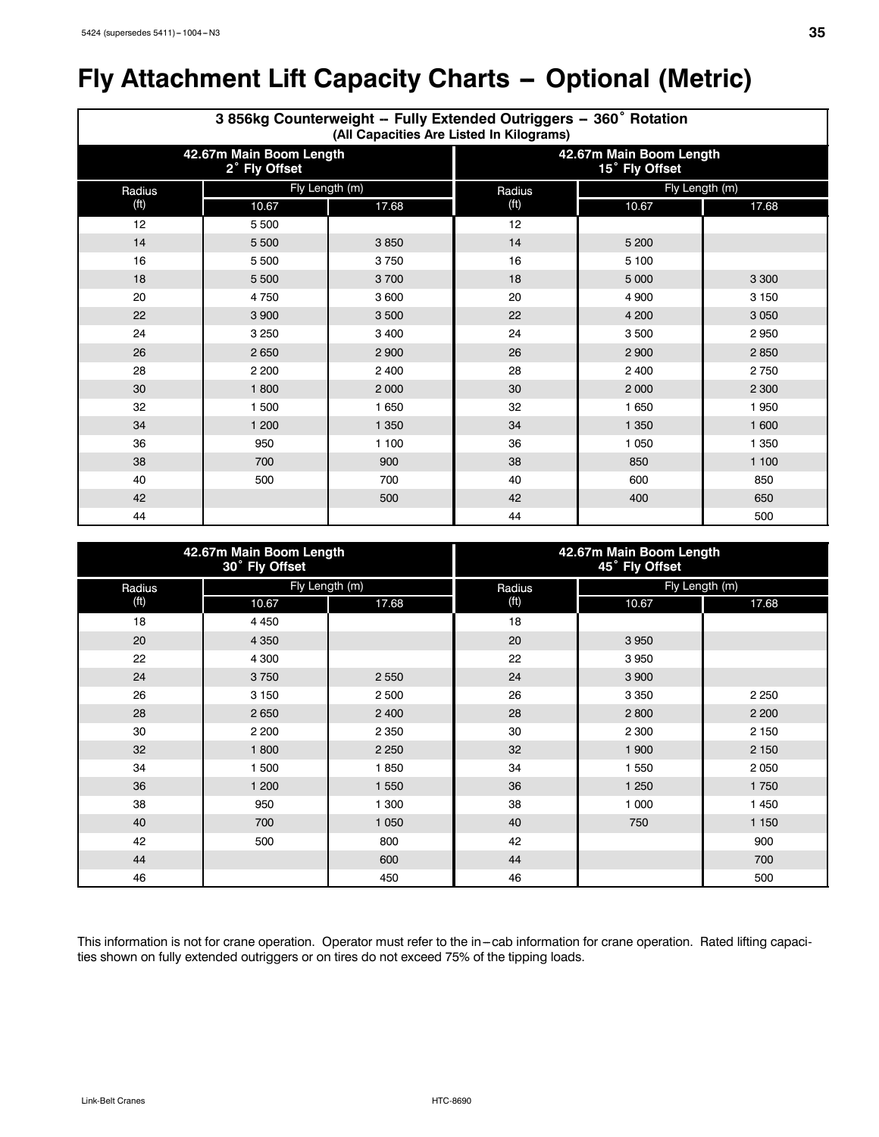# **Fly Attachment Lift Capacity Charts - Optional (Metric)**

| 3 856kg Counterweight -- Fully Extended Outriggers -- 360° Rotation<br>(All Capacities Are Listed In Kilograms) |                                          |         |                                           |                |         |  |  |  |  |  |
|-----------------------------------------------------------------------------------------------------------------|------------------------------------------|---------|-------------------------------------------|----------------|---------|--|--|--|--|--|
|                                                                                                                 | 42.67m Main Boom Length<br>2° Fly Offset |         | 42.67m Main Boom Length<br>15° Fly Offset |                |         |  |  |  |  |  |
| Radius                                                                                                          | Fly Length (m)                           |         | Radius                                    | Fly Length (m) |         |  |  |  |  |  |
| (f <sup>t</sup> )                                                                                               | 10.67                                    | 17.68   | (f <sup>t</sup> )                         | 10.67          | 17.68   |  |  |  |  |  |
| 12 <sup>2</sup>                                                                                                 | 5 500                                    |         | 12                                        |                |         |  |  |  |  |  |
| 14                                                                                                              | 5 500                                    | 3850    | 14                                        | 5 200          |         |  |  |  |  |  |
| 16                                                                                                              | 5 500                                    | 3750    | 16                                        | 5 100          |         |  |  |  |  |  |
| 18                                                                                                              | 5 500                                    | 3700    | 18                                        | 5 0 0 0        | 3 3 0 0 |  |  |  |  |  |
| 20                                                                                                              | 4750                                     | 3 600   | 20                                        | 4 9 0 0        | 3 1 5 0 |  |  |  |  |  |
| 22                                                                                                              | 3 900                                    | 3 500   | 22                                        | 4 200          | 3 0 5 0 |  |  |  |  |  |
| 24                                                                                                              | 3 2 5 0                                  | 3 4 0 0 | 24                                        | 3500           | 2950    |  |  |  |  |  |
| 26                                                                                                              | 2650                                     | 2900    | 26                                        | 2 9 0 0        | 2850    |  |  |  |  |  |
| 28                                                                                                              | 2 2 0 0                                  | 2 4 0 0 | 28                                        | 2 4 0 0        | 2750    |  |  |  |  |  |
| 30                                                                                                              | 1800                                     | 2 0 0 0 | 30                                        | 2 0 0 0        | 2 3 0 0 |  |  |  |  |  |
| 32                                                                                                              | 1 500                                    | 1 650   | 32                                        | 1 650          | 1950    |  |  |  |  |  |
| 34                                                                                                              | 1 200                                    | 1 3 5 0 | 34                                        | 1 3 5 0        | 1 600   |  |  |  |  |  |
| 36                                                                                                              | 950                                      | 1 100   | 36                                        | 1 0 5 0        | 1 350   |  |  |  |  |  |
| 38                                                                                                              | 700                                      | 900     | 38                                        | 850            | 1 100   |  |  |  |  |  |
| 40                                                                                                              | 500                                      | 700     | 40                                        | 600            | 850     |  |  |  |  |  |
| 42                                                                                                              |                                          | 500     | 42                                        | 400            | 650     |  |  |  |  |  |
| 44                                                                                                              |                                          |         | 44                                        |                | 500     |  |  |  |  |  |

|                   | 42.67m Main Boom Length<br>30° Fly Offset |         | 42.67m Main Boom Length<br>45° Fly Offset |                |         |  |  |
|-------------------|-------------------------------------------|---------|-------------------------------------------|----------------|---------|--|--|
| Radius            | Fly Length (m)                            |         | Radius                                    | Fly Length (m) |         |  |  |
| (f <sup>t</sup> ) | 10.67                                     | 17.68   | (f <sup>t</sup> )                         | 10.67          | 17.68   |  |  |
| 18                | 4 4 5 0                                   |         | 18                                        |                |         |  |  |
| 20                | 4 3 5 0                                   |         | 20                                        | 3 9 5 0        |         |  |  |
| 22                | 4 300                                     |         | 22                                        | 3950           |         |  |  |
| 24                | 3750                                      | 2 5 5 0 | 24                                        | 3 9 0 0        |         |  |  |
| 26                | 3 1 5 0                                   | 2 500   | 26                                        | 3 3 5 0        | 2 2 5 0 |  |  |
| 28                | 2 6 5 0                                   | 2 4 0 0 | 28                                        | 2800           | 2 2 0 0 |  |  |
| 30                | 2 2 0 0                                   | 2 3 5 0 | 30                                        | 2 3 0 0        | 2 1 5 0 |  |  |
| 32                | 1800                                      | 2 2 5 0 | 32                                        | 1 900          | 2 1 5 0 |  |  |
| 34                | 1 500                                     | 1850    | 34                                        | 1 550          | 2 0 5 0 |  |  |
| 36                | 1 200                                     | 1 550   | 36                                        | 1 2 5 0        | 1750    |  |  |
| 38                | 950                                       | 1 300   | 38                                        | 1 000          | 1 4 5 0 |  |  |
| 40                | 700                                       | 1 0 5 0 | 40                                        | 750            | 1 1 5 0 |  |  |
| 42                | 500                                       | 800     | 42                                        |                | 900     |  |  |
| 44                |                                           | 600     | 44                                        |                | 700     |  |  |
| 46                |                                           | 450     | 46                                        |                | 500     |  |  |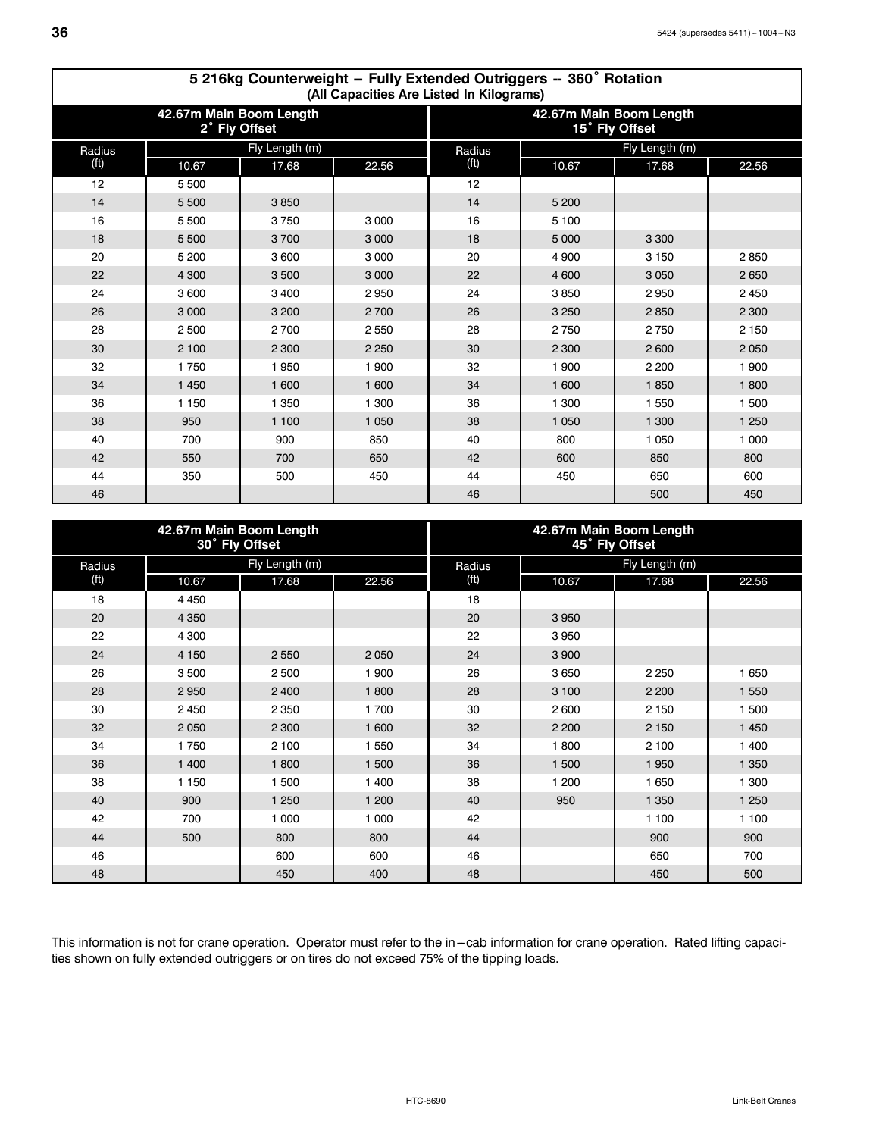| 5 216kg Counterweight -- Fully Extended Outriggers -- 360° Rotation<br>(All Capacities Are Listed In Kilograms) |                         |                |         |                                           |                |         |         |  |  |  |  |
|-----------------------------------------------------------------------------------------------------------------|-------------------------|----------------|---------|-------------------------------------------|----------------|---------|---------|--|--|--|--|
|                                                                                                                 | 42.67m Main Boom Length | 2° Fly Offset  |         | 42.67m Main Boom Length<br>15° Fly Offset |                |         |         |  |  |  |  |
| Radius                                                                                                          |                         | Fly Length (m) |         | Radius                                    | Fly Length (m) |         |         |  |  |  |  |
| (f <sup>t</sup> )                                                                                               | 10.67                   | 17.68          | 22.56   | (f <sup>t</sup> )                         | 10.67          | 17.68   | 22.56   |  |  |  |  |
| 12                                                                                                              | 5 500                   |                |         | 12                                        |                |         |         |  |  |  |  |
| 14                                                                                                              | 5 500                   | 3850           |         | 14                                        | 5 200          |         |         |  |  |  |  |
| 16                                                                                                              | 5 500                   | 3750           | 3 0 0 0 | 16                                        | 5 100          |         |         |  |  |  |  |
| 18                                                                                                              | 5 500                   | 3700           | 3 0 0 0 | 18                                        | 5 0 0 0        | 3 3 0 0 |         |  |  |  |  |
| 20                                                                                                              | 5 200                   | 3 600          | 3 0 0 0 | 20                                        | 4 900          | 3 1 5 0 | 2850    |  |  |  |  |
| 22                                                                                                              | 4 300                   | 3 500          | 3 0 0 0 | 22                                        | 4 600          | 3 0 5 0 | 2 6 5 0 |  |  |  |  |
| 24                                                                                                              | 3 600                   | 3 4 0 0        | 2950    | 24                                        | 3850           | 2950    | 2 4 5 0 |  |  |  |  |
| 26                                                                                                              | 3 0 0 0                 | 3 200          | 2 700   | 26                                        | 3 2 5 0        | 2850    | 2 3 0 0 |  |  |  |  |
| 28                                                                                                              | 2 500                   | 2700           | 2 5 5 0 | 28                                        | 2750           | 2750    | 2 1 5 0 |  |  |  |  |
| 30                                                                                                              | 2 100                   | 2 3 0 0        | 2 2 5 0 | 30                                        | 2 3 0 0        | 2 600   | 2 0 5 0 |  |  |  |  |
| 32                                                                                                              | 1750                    | 1950           | 1 900   | 32                                        | 1 900          | 2 2 0 0 | 1 900   |  |  |  |  |
| 34                                                                                                              | 1 4 5 0                 | 1 600          | 1 600   | 34                                        | 1 600          | 1850    | 1 800   |  |  |  |  |
| 36                                                                                                              | 1 150                   | 1 3 5 0        | 1 300   | 36                                        | 1 300          | 1 5 5 0 | 1 500   |  |  |  |  |
| 38                                                                                                              | 950                     | 1 100          | 1 0 5 0 | 38                                        | 1 0 5 0        | 1 300   | 1 2 5 0 |  |  |  |  |
| 40                                                                                                              | 700                     | 900            | 850     | 40                                        | 800            | 1 0 5 0 | 1 000   |  |  |  |  |
| 42                                                                                                              | 550                     | 700            | 650     | 42                                        | 600            | 850     | 800     |  |  |  |  |
| 44                                                                                                              | 350                     | 500            | 450     | 44                                        | 450            | 650     | 600     |  |  |  |  |
| 46                                                                                                              |                         |                |         | 46                                        |                | 500     | 450     |  |  |  |  |

|                   | 42.67m Main Boom Length<br>30° Fly Offset |                |         | 42.67m Main Boom Length<br>45° Fly Offset |         |         |         |  |  |
|-------------------|-------------------------------------------|----------------|---------|-------------------------------------------|---------|---------|---------|--|--|
| Radius            |                                           | Fly Length (m) |         | Fly Length (m)<br>Radius                  |         |         |         |  |  |
| (f <sup>t</sup> ) | 10.67                                     | 17.68          | 22.56   | (f <sup>t</sup> )                         | 10.67   | 17.68   | 22.56   |  |  |
| 18                | 4 4 5 0                                   |                |         | 18                                        |         |         |         |  |  |
| 20                | 4 3 5 0                                   |                |         | 20                                        | 3 9 5 0 |         |         |  |  |
| 22                | 4 300                                     |                |         | 22                                        | 3950    |         |         |  |  |
| 24                | 4 1 5 0                                   | 2 5 5 0        | 2 0 5 0 | 24                                        | 3 9 0 0 |         |         |  |  |
| 26                | 3500                                      | 2 500          | 1 900   | 26                                        | 3 6 5 0 | 2 2 5 0 | 1 650   |  |  |
| 28                | 2950                                      | 2 4 0 0        | 1800    | 28                                        | 3 100   | 2 2 0 0 | 1 550   |  |  |
| 30                | 2 4 5 0                                   | 2 3 5 0        | 1700    | 30                                        | 2 600   | 2 1 5 0 | 1 500   |  |  |
| 32                | 2 0 5 0                                   | 2 3 0 0        | 1 600   | 32                                        | 2 2 0 0 | 2 1 5 0 | 1 4 5 0 |  |  |
| 34                | 1750                                      | 2 100          | 1 550   | 34                                        | 1800    | 2 100   | 1 400   |  |  |
| 36                | 1 400                                     | 1800           | 1 500   | 36                                        | 1 500   | 1950    | 1 3 5 0 |  |  |
| 38                | 1 1 5 0                                   | 1 500          | 1 400   | 38                                        | 1 200   | 1 650   | 1 300   |  |  |
| 40                | 900                                       | 1 250          | 1 200   | 40                                        | 950     | 1 3 5 0 | 1 250   |  |  |
| 42                | 700                                       | 1 000          | 1 000   | 42                                        |         | 1 100   | 1 100   |  |  |
| 44                | 500                                       | 800            | 800     | 44                                        |         | 900     | 900     |  |  |
| 46                |                                           | 600            | 600     | 46                                        |         | 650     | 700     |  |  |
| 48                |                                           | 450            | 400     | 48                                        |         | 450     | 500     |  |  |

This information is not for crane operation. Operator must refer to the in–cab information for crane operation. Rated lifting capacities shown on fully extended outriggers or on tires do not exceed 75% of the tipping loads.

г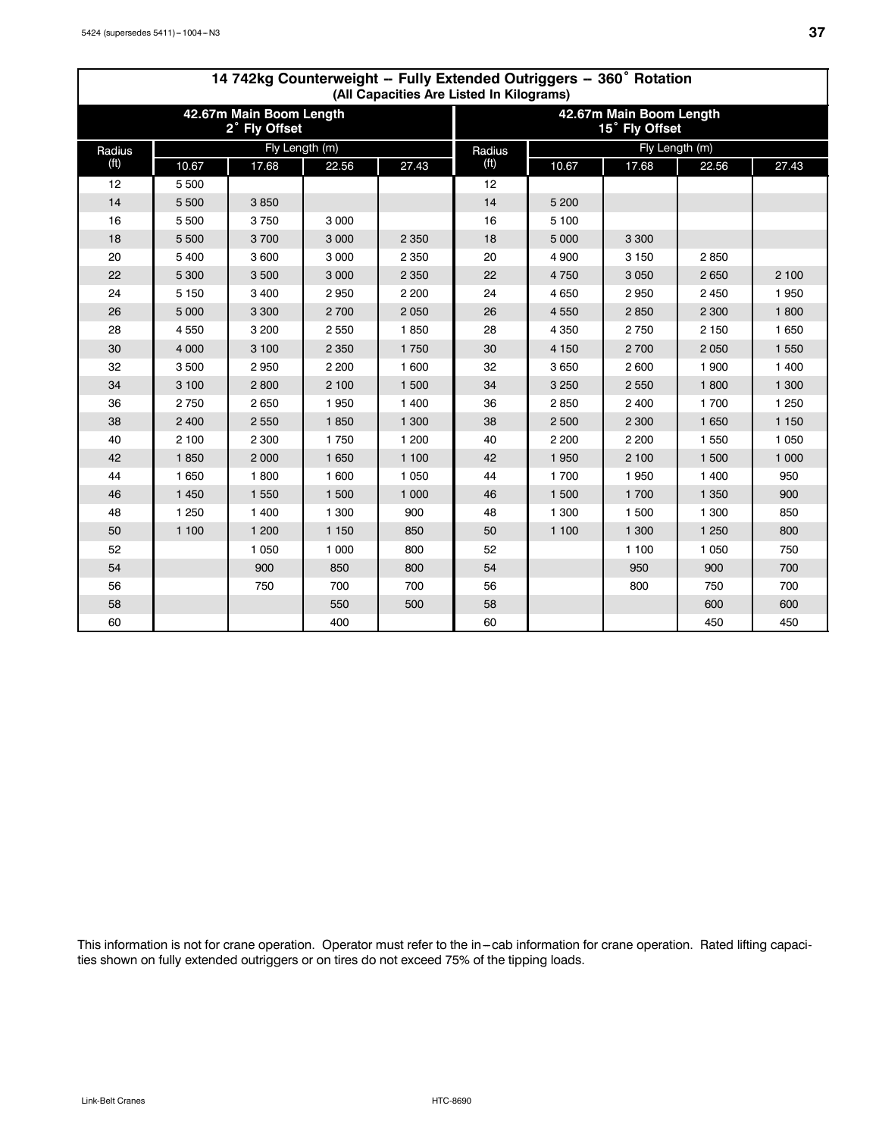| 14 742kg Counterweight -- Fully Extended Outriggers -- 360° Rotation<br>(All Capacities Are Listed In Kilograms) |         |                                          |         |         |                                           |         |                |         |         |  |  |
|------------------------------------------------------------------------------------------------------------------|---------|------------------------------------------|---------|---------|-------------------------------------------|---------|----------------|---------|---------|--|--|
|                                                                                                                  |         | 42.67m Main Boom Length<br>2° Fly Offset |         |         | 42.67m Main Boom Length<br>15° Fly Offset |         |                |         |         |  |  |
| Radius                                                                                                           |         | Fly Length (m)                           |         |         | Radius                                    |         | Fly Length (m) |         |         |  |  |
| (f <sup>t</sup> )                                                                                                | 10.67   | 17.68                                    | 22.56   | 27.43   | (f <sup>t</sup> )                         | 10.67   | 17.68          | 22.56   | 27.43   |  |  |
| 12                                                                                                               | 5 500   |                                          |         |         | 12                                        |         |                |         |         |  |  |
| 14                                                                                                               | 5 5 0 0 | 3850                                     |         |         | 14                                        | 5 200   |                |         |         |  |  |
| 16                                                                                                               | 5 500   | 3750                                     | 3 0 0 0 |         | 16                                        | 5 100   |                |         |         |  |  |
| 18                                                                                                               | 5 5 0 0 | 3700                                     | 3 0 0 0 | 2 3 5 0 | 18                                        | 5 0 0 0 | 3 3 0 0        |         |         |  |  |
| 20                                                                                                               | 5400    | 3 600                                    | 3 0 0 0 | 2 3 5 0 | 20                                        | 4 9 0 0 | 3 1 5 0        | 2850    |         |  |  |
| 22                                                                                                               | 5 300   | 3500                                     | 3 0 0 0 | 2 3 5 0 | 22                                        | 4750    | 3 0 5 0        | 2 6 5 0 | 2 100   |  |  |
| 24                                                                                                               | 5 1 5 0 | 3 4 0 0                                  | 2950    | 2 2 0 0 | 24                                        | 4 6 5 0 | 2950           | 2 4 5 0 | 1950    |  |  |
| 26                                                                                                               | 5 0 0 0 | 3 3 0 0                                  | 2700    | 2 0 5 0 | 26                                        | 4 5 5 0 | 2850           | 2 3 0 0 | 1800    |  |  |
| 28                                                                                                               | 4550    | 3 200                                    | 2 5 5 0 | 1850    | 28                                        | 4 3 5 0 | 2750           | 2 150   | 1 6 5 0 |  |  |
| 30                                                                                                               | 4 0 0 0 | 3 100                                    | 2 3 5 0 | 1 7 5 0 | 30                                        | 4 1 5 0 | 2700           | 2 0 5 0 | 1 5 5 0 |  |  |
| 32                                                                                                               | 3500    | 2950                                     | 2 2 0 0 | 1 600   | 32                                        | 3650    | 2 600          | 1 900   | 1 400   |  |  |
| 34                                                                                                               | 3 100   | 2800                                     | 2 100   | 1 500   | 34                                        | 3 2 5 0 | 2 5 5 0        | 1800    | 1 300   |  |  |
| 36                                                                                                               | 2750    | 2 6 5 0                                  | 1950    | 1 400   | 36                                        | 2850    | 2 4 0 0        | 1700    | 1 2 5 0 |  |  |
| 38                                                                                                               | 2 4 0 0 | 2 5 5 0                                  | 1850    | 1 300   | 38                                        | 2 500   | 2 3 0 0        | 1 650   | 1 1 5 0 |  |  |
| 40                                                                                                               | 2 100   | 2 3 0 0                                  | 1750    | 1 200   | 40                                        | 2 2 0 0 | 2 2 0 0        | 1 5 5 0 | 1 0 5 0 |  |  |
| 42                                                                                                               | 1850    | 2 0 0 0                                  | 1 650   | 1 100   | 42                                        | 1 950   | 2 100          | 1 500   | 1 0 0 0 |  |  |
| 44                                                                                                               | 1 650   | 1800                                     | 1 600   | 1 0 5 0 | 44                                        | 1700    | 1950           | 1 400   | 950     |  |  |
| 46                                                                                                               | 1 4 5 0 | 1 5 5 0                                  | 1 500   | 1 0 0 0 | 46                                        | 1 500   | 1 700          | 1 3 5 0 | 900     |  |  |
| 48                                                                                                               | 1 250   | 1 400                                    | 1 300   | 900     | 48                                        | 1 300   | 1 500          | 1 300   | 850     |  |  |
| 50                                                                                                               | 1 100   | 1 200                                    | 1 1 5 0 | 850     | 50                                        | 1 100   | 1 300          | 1 2 5 0 | 800     |  |  |
| 52                                                                                                               |         | 1 0 5 0                                  | 1 000   | 800     | 52                                        |         | 1 100          | 1 0 5 0 | 750     |  |  |
| 54                                                                                                               |         | 900                                      | 850     | 800     | 54                                        |         | 950            | 900     | 700     |  |  |
| 56                                                                                                               |         | 750                                      | 700     | 700     | 56                                        |         | 800            | 750     | 700     |  |  |
| 58                                                                                                               |         |                                          | 550     | 500     | 58                                        |         |                | 600     | 600     |  |  |
| 60                                                                                                               |         |                                          | 400     |         | 60                                        |         |                | 450     | 450     |  |  |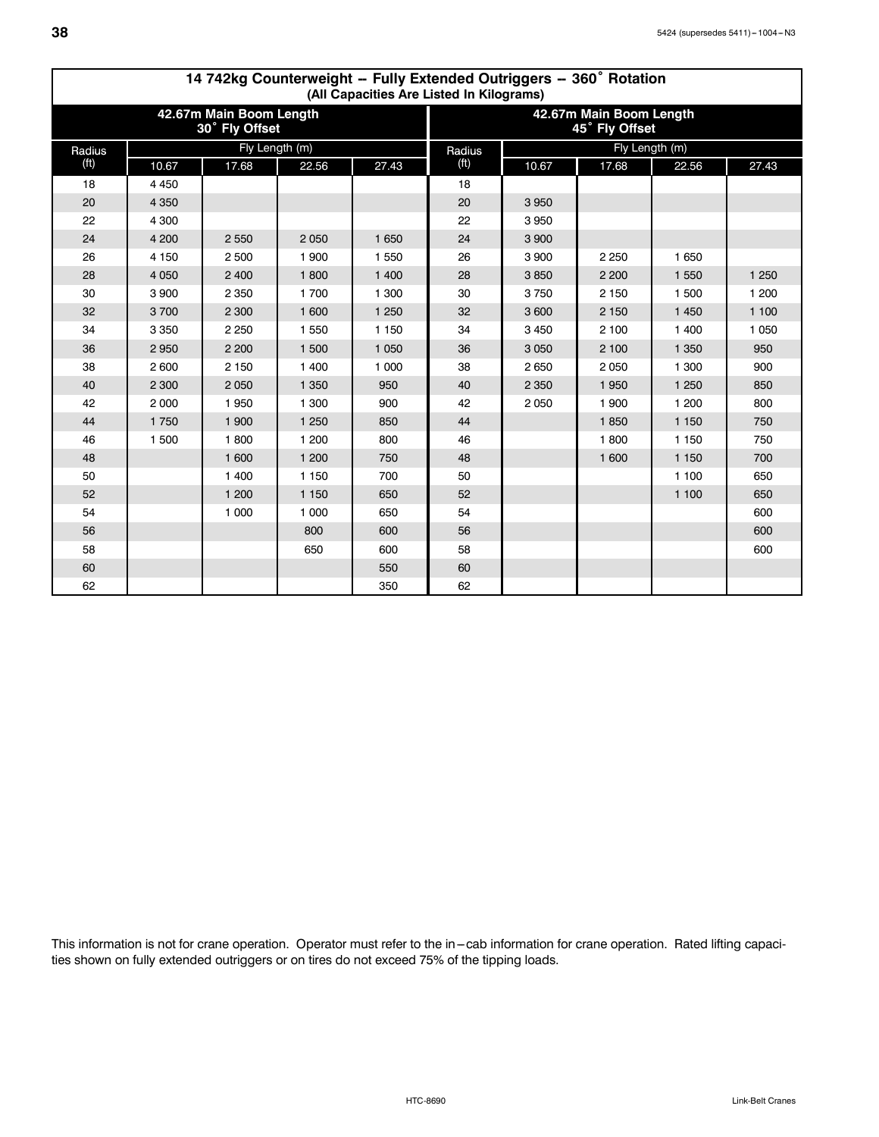| 14 742kg Counterweight -- Fully Extended Outriggers -- 360˚ Rotation<br>(All Capacities Are Listed In Kilograms) |                |                                           |         |         |                                           |                |         |         |         |  |  |
|------------------------------------------------------------------------------------------------------------------|----------------|-------------------------------------------|---------|---------|-------------------------------------------|----------------|---------|---------|---------|--|--|
|                                                                                                                  |                | 42.67m Main Boom Length<br>30° Fly Offset |         |         | 42.67m Main Boom Length<br>45° Fly Offset |                |         |         |         |  |  |
| Radius                                                                                                           | Fly Length (m) |                                           |         |         | Radius                                    | Fly Length (m) |         |         |         |  |  |
| (f <sup>t</sup> )                                                                                                | 10.67          | 17.68                                     | 22.56   | 27.43   | (f <sup>t</sup> )                         | 10.67          | 17.68   | 22.56   | 27.43   |  |  |
| 18                                                                                                               | 4 4 5 0        |                                           |         |         | 18                                        |                |         |         |         |  |  |
| 20                                                                                                               | 4 3 5 0        |                                           |         |         | 20                                        | 3 9 5 0        |         |         |         |  |  |
| 22                                                                                                               | 4 3 0 0        |                                           |         |         | 22                                        | 3950           |         |         |         |  |  |
| 24                                                                                                               | 4 200          | 2 5 5 0                                   | 2 0 5 0 | 1 6 5 0 | 24                                        | 3 9 0 0        |         |         |         |  |  |
| 26                                                                                                               | 4 1 5 0        | 2 500                                     | 1 900   | 1 5 5 0 | 26                                        | 3 9 0 0        | 2 2 5 0 | 1 650   |         |  |  |
| 28                                                                                                               | 4 0 5 0        | 2 4 0 0                                   | 1800    | 1 400   | 28                                        | 3850           | 2 2 0 0 | 1 550   | 1 2 5 0 |  |  |
| 30                                                                                                               | 3900           | 2 3 5 0                                   | 1700    | 1 300   | 30                                        | 3750           | 2 1 5 0 | 1 500   | 1 200   |  |  |
| 32                                                                                                               | 3700           | 2 3 0 0                                   | 1 600   | 1 2 5 0 | 32                                        | 3 600          | 2 1 5 0 | 1 4 5 0 | 1 100   |  |  |
| 34                                                                                                               | 3 3 5 0        | 2 2 5 0                                   | 1 550   | 1 1 5 0 | 34                                        | 3 4 5 0        | 2 100   | 1 400   | 1 0 5 0 |  |  |
| 36                                                                                                               | 2950           | 2 2 0 0                                   | 1 500   | 1 0 5 0 | 36                                        | 3 0 5 0        | 2 100   | 1 3 5 0 | 950     |  |  |
| 38                                                                                                               | 2600           | 2 150                                     | 1 400   | 1 000   | 38                                        | 2 6 5 0        | 2 0 5 0 | 1 300   | 900     |  |  |
| 40                                                                                                               | 2 3 0 0        | 2 0 5 0                                   | 1 3 5 0 | 950     | 40                                        | 2 3 5 0        | 1 9 5 0 | 1 2 5 0 | 850     |  |  |
| 42                                                                                                               | 2000           | 1950                                      | 1 300   | 900     | 42                                        | 2 0 5 0        | 1 900   | 1 200   | 800     |  |  |
| 44                                                                                                               | 1750           | 1 900                                     | 1 250   | 850     | 44                                        |                | 1850    | 1 1 5 0 | 750     |  |  |
| 46                                                                                                               | 1500           | 1800                                      | 1 200   | 800     | 46                                        |                | 1800    | 1 1 5 0 | 750     |  |  |
| 48                                                                                                               |                | 1 600                                     | 1 200   | 750     | 48                                        |                | 1 600   | 1 1 5 0 | 700     |  |  |
| 50                                                                                                               |                | 1 400                                     | 1 1 5 0 | 700     | 50                                        |                |         | 1 100   | 650     |  |  |
| 52                                                                                                               |                | 1 200                                     | 1 1 5 0 | 650     | 52                                        |                |         | 1 100   | 650     |  |  |
| 54                                                                                                               |                | 1 000                                     | 1 0 0 0 | 650     | 54                                        |                |         |         | 600     |  |  |
| 56                                                                                                               |                |                                           | 800     | 600     | 56                                        |                |         |         | 600     |  |  |
| 58                                                                                                               |                |                                           | 650     | 600     | 58                                        |                |         |         | 600     |  |  |
| 60                                                                                                               |                |                                           |         | 550     | 60                                        |                |         |         |         |  |  |
| 62                                                                                                               |                |                                           |         | 350     | 62                                        |                |         |         |         |  |  |

**14 742kg Counterweight -- Fully Extended Outriggers -- 360˚ Rotation**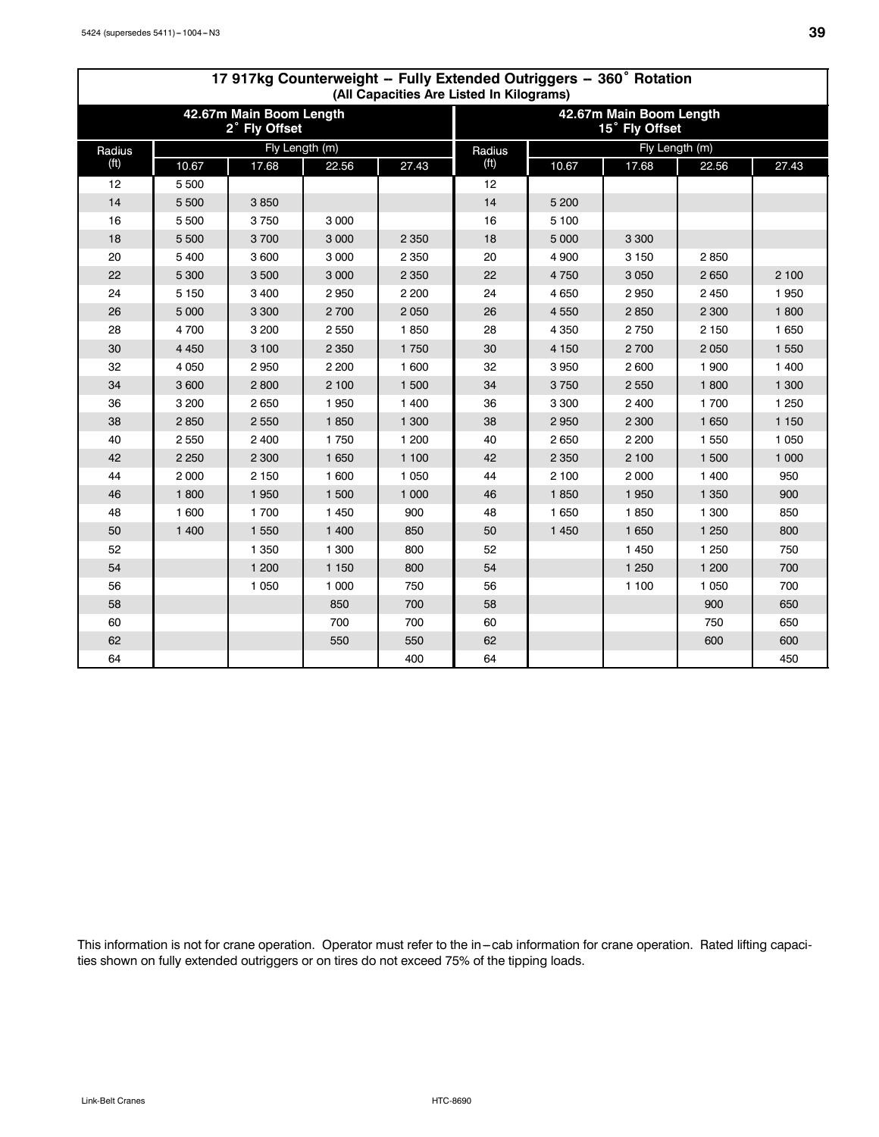| 17 917kg Counterweight -- Fully Extended Outriggers -- 360° Rotation<br>(All Capacities Are Listed In Kilograms) |         |                                          |         |         |                   |                |                                           |         |         |  |  |
|------------------------------------------------------------------------------------------------------------------|---------|------------------------------------------|---------|---------|-------------------|----------------|-------------------------------------------|---------|---------|--|--|
|                                                                                                                  |         | 42.67m Main Boom Length<br>2° Fly Offset |         |         |                   |                | 42.67m Main Boom Length<br>15° Fly Offset |         |         |  |  |
| Radius                                                                                                           |         | Fly Length (m)                           |         |         | Radius            | Fly Length (m) |                                           |         |         |  |  |
| (f <sup>t</sup> )                                                                                                | 10.67   | 17.68                                    | 22.56   | 27.43   | (f <sup>t</sup> ) | 10.67          | 17.68                                     | 22.56   | 27.43   |  |  |
| 12                                                                                                               | 5 500   |                                          |         |         | 12                |                |                                           |         |         |  |  |
| 14                                                                                                               | 5 500   | 3850                                     |         |         | 14                | 5 200          |                                           |         |         |  |  |
| 16                                                                                                               | 5 500   | 3750                                     | 3 0 0 0 |         | 16                | 5 100          |                                           |         |         |  |  |
| 18                                                                                                               | 5 500   | 3700                                     | 3 0 0 0 | 2 3 5 0 | 18                | 5 0 0 0        | 3 3 0 0                                   |         |         |  |  |
| 20                                                                                                               | 5400    | 3 600                                    | 3 0 0 0 | 2 3 5 0 | 20                | 4 9 0 0        | 3 1 5 0                                   | 2850    |         |  |  |
| 22                                                                                                               | 5 300   | 3 500                                    | 3 0 0 0 | 2 3 5 0 | 22                | 4750           | 3 0 5 0                                   | 2 6 5 0 | 2 100   |  |  |
| 24                                                                                                               | 5 1 5 0 | 3 4 0 0                                  | 2950    | 2 2 0 0 | 24                | 4 6 5 0        | 2950                                      | 2 4 5 0 | 1950    |  |  |
| 26                                                                                                               | 5 0 0 0 | 3 3 0 0                                  | 2700    | 2 0 5 0 | 26                | 4 5 5 0        | 2850                                      | 2 3 0 0 | 1800    |  |  |
| 28                                                                                                               | 4700    | 3 200                                    | 2 5 5 0 | 1850    | 28                | 4 3 5 0        | 2750                                      | 2 150   | 1 650   |  |  |
| 30                                                                                                               | 4 4 5 0 | 3 100                                    | 2 3 5 0 | 1 750   | 30                | 4 1 5 0        | 2700                                      | 2 0 5 0 | 1 5 5 0 |  |  |
| 32                                                                                                               | 4 0 5 0 | 2950                                     | 2 2 0 0 | 1 600   | 32                | 3950           | 2 600                                     | 1 900   | 1 400   |  |  |
| 34                                                                                                               | 3 600   | 2800                                     | 2 100   | 1 500   | 34                | 3750           | 2 5 5 0                                   | 1800    | 1 300   |  |  |
| 36                                                                                                               | 3 200   | 2 6 5 0                                  | 1950    | 1 400   | 36                | 3 3 0 0        | 2 400                                     | 1700    | 1 2 5 0 |  |  |
| 38                                                                                                               | 2850    | 2 5 5 0                                  | 1850    | 1 300   | 38                | 2950           | 2 3 0 0                                   | 1 650   | 1 1 5 0 |  |  |
| 40                                                                                                               | 2550    | 2 4 0 0                                  | 1750    | 1 200   | 40                | 2 6 5 0        | 2 2 0 0                                   | 1 5 5 0 | 1 0 5 0 |  |  |
| 42                                                                                                               | 2 2 5 0 | 2 3 0 0                                  | 1 650   | 1 100   | 42                | 2 3 5 0        | 2 100                                     | 1 500   | 1 0 0 0 |  |  |
| 44                                                                                                               | 2000    | 2 1 5 0                                  | 1 600   | 1 0 5 0 | 44                | 2 100          | 2 0 0 0                                   | 1 400   | 950     |  |  |
| 46                                                                                                               | 1800    | 1950                                     | 1 500   | 1 0 0 0 | 46                | 1850           | 1950                                      | 1 3 5 0 | 900     |  |  |
| 48                                                                                                               | 1 600   | 1 700                                    | 1 4 5 0 | 900     | 48                | 1 650          | 1850                                      | 1 300   | 850     |  |  |
| 50                                                                                                               | 1 400   | 1 550                                    | 1 400   | 850     | 50                | 1 4 5 0        | 1 650                                     | 1 2 5 0 | 800     |  |  |
| 52                                                                                                               |         | 1 3 5 0                                  | 1 300   | 800     | 52                |                | 1 450                                     | 1 250   | 750     |  |  |
| 54                                                                                                               |         | 1 200                                    | 1 1 5 0 | 800     | 54                |                | 1 2 5 0                                   | 1 200   | 700     |  |  |
| 56                                                                                                               |         | 1 0 5 0                                  | 1 0 0 0 | 750     | 56                |                | 1 100                                     | 1 0 5 0 | 700     |  |  |
| 58                                                                                                               |         |                                          | 850     | 700     | 58                |                |                                           | 900     | 650     |  |  |
| 60                                                                                                               |         |                                          | 700     | 700     | 60                |                |                                           | 750     | 650     |  |  |
| 62                                                                                                               |         |                                          | 550     | 550     | 62                |                |                                           | 600     | 600     |  |  |
| 64                                                                                                               |         |                                          |         | 400     | 64                |                |                                           |         | 450     |  |  |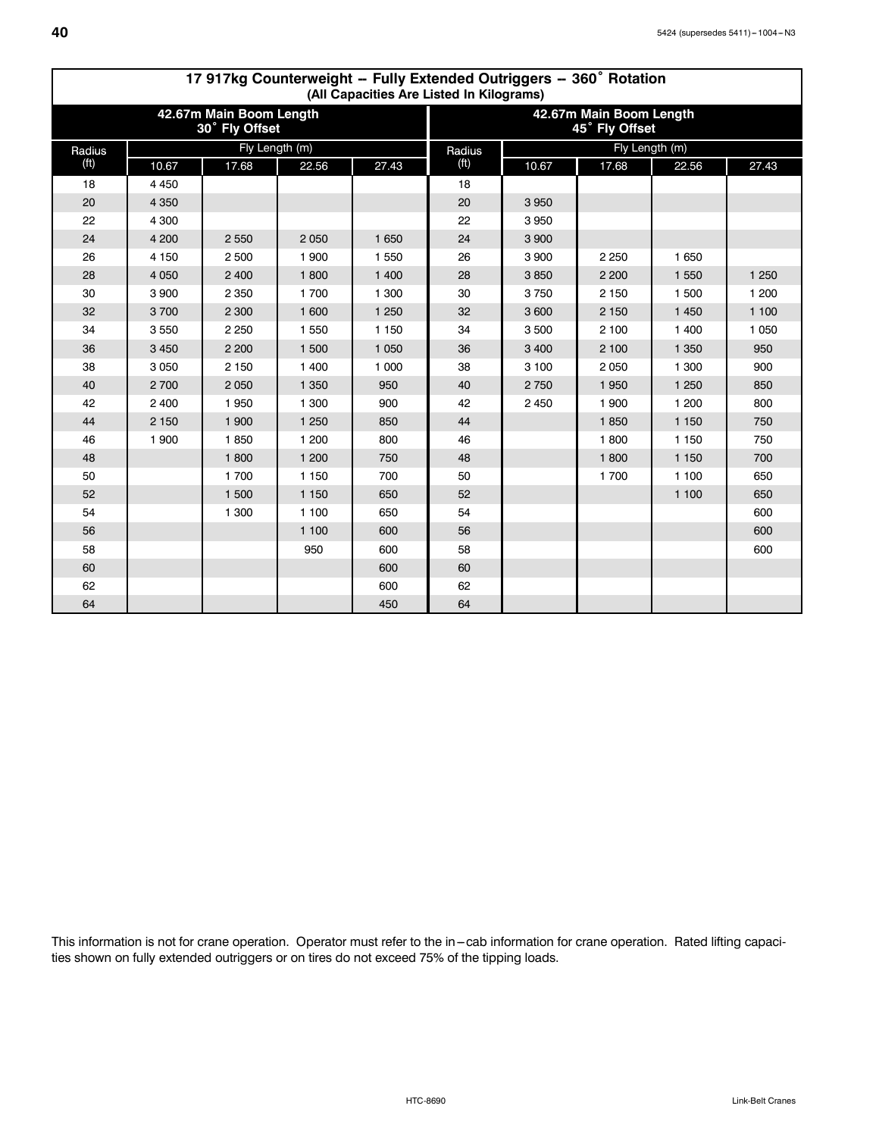| 17 917kg Counterweight -- Fully Extended Outriggers -- 360 ` Rotation<br>(All Capacities Are Listed In Kilograms) |         |                                           |         |         |                                           |         |                |         |         |  |  |
|-------------------------------------------------------------------------------------------------------------------|---------|-------------------------------------------|---------|---------|-------------------------------------------|---------|----------------|---------|---------|--|--|
|                                                                                                                   |         | 42.67m Main Boom Length<br>30° Fly Offset |         |         | 42.67m Main Boom Length<br>45° Fly Offset |         |                |         |         |  |  |
| Radius                                                                                                            |         | Fly Length (m)                            |         |         | Radius                                    |         | Fly Length (m) |         |         |  |  |
| (f <sup>t</sup> )                                                                                                 | 10.67   | 17.68                                     | 22.56   | 27.43   | (f <sup>t</sup> )                         | 10.67   | 17.68          | 22.56   | 27.43   |  |  |
| 18                                                                                                                | 4 4 5 0 |                                           |         |         | 18                                        |         |                |         |         |  |  |
| 20                                                                                                                | 4 3 5 0 |                                           |         |         | 20                                        | 3 9 5 0 |                |         |         |  |  |
| 22                                                                                                                | 4 3 0 0 |                                           |         |         | 22                                        | 3950    |                |         |         |  |  |
| 24                                                                                                                | 4 200   | 2 5 5 0                                   | 2 0 5 0 | 1 6 5 0 | 24                                        | 3 9 0 0 |                |         |         |  |  |
| 26                                                                                                                | 4 1 5 0 | 2 500                                     | 1 900   | 1 5 5 0 | 26                                        | 3 9 0 0 | 2 2 5 0        | 1 650   |         |  |  |
| 28                                                                                                                | 4 0 5 0 | 2 4 0 0                                   | 1800    | 1 400   | 28                                        | 3850    | 2 2 0 0        | 1 550   | 1 2 5 0 |  |  |
| 30                                                                                                                | 3 9 0 0 | 2 3 5 0                                   | 1700    | 1 300   | 30                                        | 3750    | 2 1 5 0        | 1 500   | 1 200   |  |  |
| 32                                                                                                                | 3700    | 2 3 0 0                                   | 1 600   | 1 2 5 0 | 32                                        | 3 600   | 2 1 5 0        | 1 4 5 0 | 1 100   |  |  |
| 34                                                                                                                | 3550    | 2 2 5 0                                   | 1 5 5 0 | 1 1 5 0 | 34                                        | 3 500   | 2 100          | 1 400   | 1 0 5 0 |  |  |
| 36                                                                                                                | 3 4 5 0 | 2 2 0 0                                   | 1 500   | 1 0 5 0 | 36                                        | 3 4 0 0 | 2 100          | 1 3 5 0 | 950     |  |  |
| 38                                                                                                                | 3050    | 2 1 5 0                                   | 1 400   | 1 000   | 38                                        | 3 100   | 2 0 5 0        | 1 300   | 900     |  |  |
| 40                                                                                                                | 2700    | 2 0 5 0                                   | 1 3 5 0 | 950     | 40                                        | 2750    | 1 9 5 0        | 1 2 5 0 | 850     |  |  |
| 42                                                                                                                | 2400    | 1950                                      | 1 300   | 900     | 42                                        | 2 4 5 0 | 1 900          | 1 200   | 800     |  |  |
| 44                                                                                                                | 2 1 5 0 | 1 900                                     | 1 2 5 0 | 850     | 44                                        |         | 1850           | 1 1 5 0 | 750     |  |  |
| 46                                                                                                                | 1900    | 1850                                      | 1 200   | 800     | 46                                        |         | 1800           | 1 1 5 0 | 750     |  |  |
| 48                                                                                                                |         | 1 800                                     | 1 200   | 750     | 48                                        |         | 1800           | 1 1 5 0 | 700     |  |  |
| 50                                                                                                                |         | 1700                                      | 1 1 5 0 | 700     | 50                                        |         | 1 700          | 1 100   | 650     |  |  |
| 52                                                                                                                |         | 1 500                                     | 1 1 5 0 | 650     | 52                                        |         |                | 1 100   | 650     |  |  |
| 54                                                                                                                |         | 1 300                                     | 1 100   | 650     | 54                                        |         |                |         | 600     |  |  |
| 56                                                                                                                |         |                                           | 1 100   | 600     | 56                                        |         |                |         | 600     |  |  |
| 58                                                                                                                |         |                                           | 950     | 600     | 58                                        |         |                |         | 600     |  |  |
| 60                                                                                                                |         |                                           |         | 600     | 60                                        |         |                |         |         |  |  |
| 62                                                                                                                |         |                                           |         | 600     | 62                                        |         |                |         |         |  |  |
| 64                                                                                                                |         |                                           |         | 450     | 64                                        |         |                |         |         |  |  |

# **17 917kg Counterweight -- Fully Extended Outriggers -- 360˚ Rotation**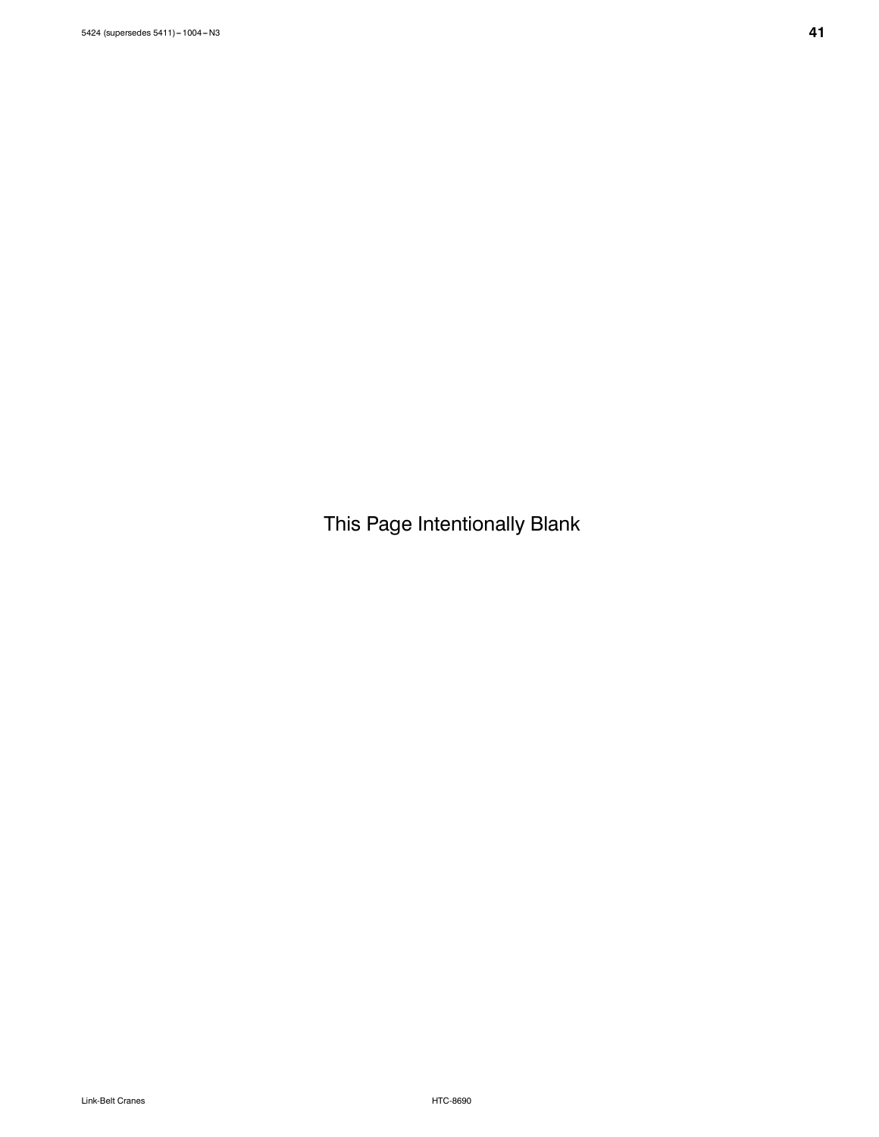This Page Intentionally Blank